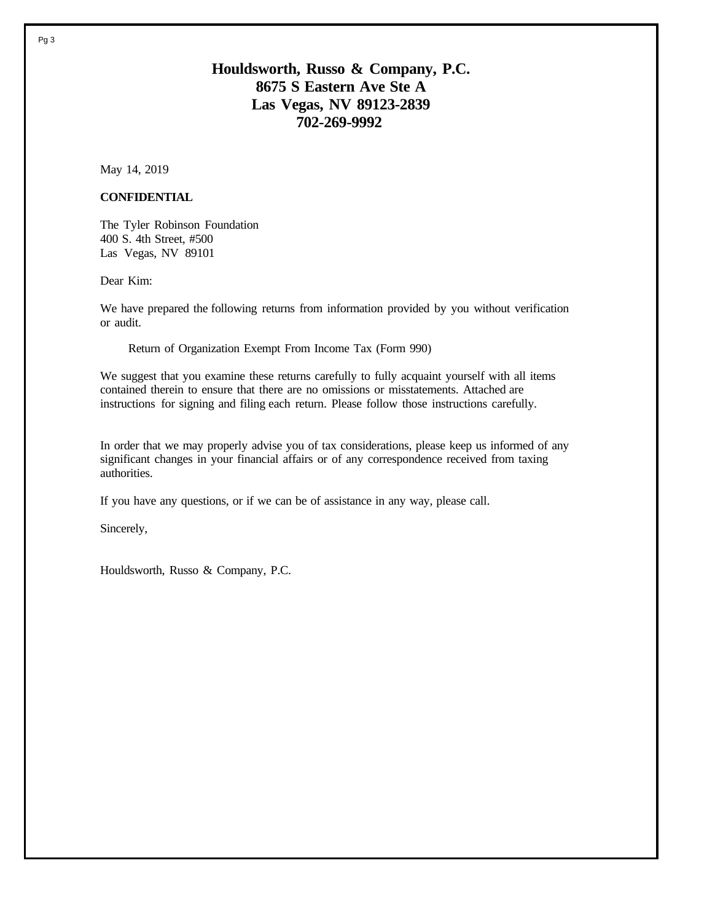# **Houldsworth, Russo & Company, P.C. 8675 S Eastern Ave Ste A Las Vegas, NV 89123-2839 702-269-9992**

May 14, 2019

#### **CONFIDENTIAL**

The Tyler Robinson Foundation 400 S. 4th Street, #500 Las Vegas, NV 89101

Dear Kim:

We have prepared the following returns from information provided by you without verification or audit.

Return of Organization Exempt From Income Tax (Form 990)

We suggest that you examine these returns carefully to fully acquaint yourself with all items contained therein to ensure that there are no omissions or misstatements. Attached are instructions for signing and filing each return. Please follow those instructions carefully.

In order that we may properly advise you of tax considerations, please keep us informed of any significant changes in your financial affairs or of any correspondence received from taxing authorities.

If you have any questions, or if we can be of assistance in any way, please call.

Sincerely,

Houldsworth, Russo & Company, P.C.

Pg 3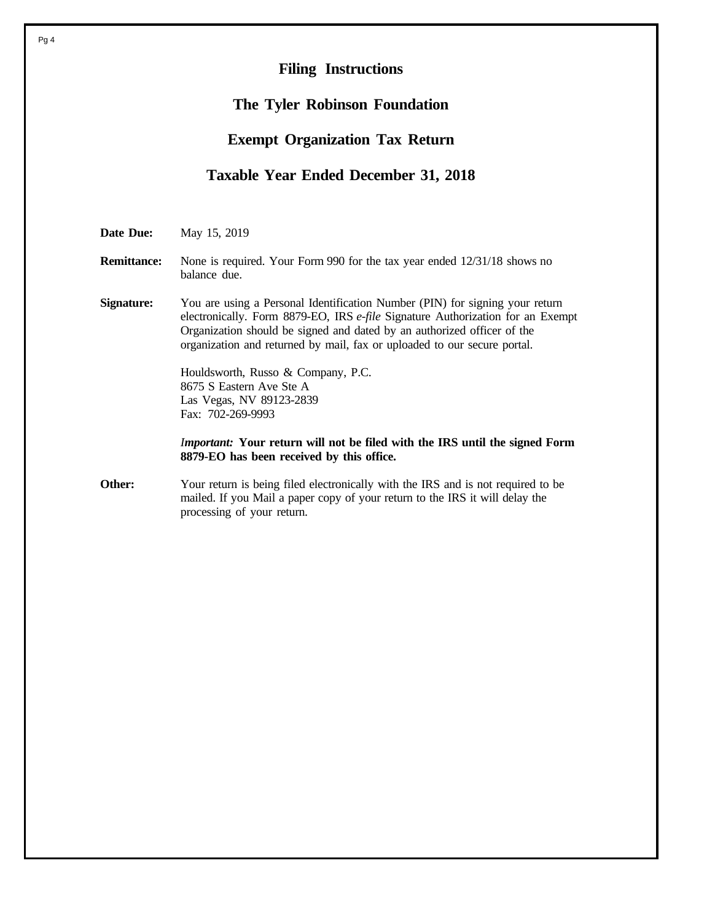# **Filing Instructions**

#### **The Tyler Robinson Foundation**

## **Exempt Organization Tax Return**

#### **Taxable Year Ended December 31, 2018**

**Date Due:** May 15, 2019

#### **Remittance:** None is required. Your Form 990 for the tax year ended  $12/31/18$  shows no balance due.

**Signature:** You are using a Personal Identification Number (PIN) for signing your return electronically. Form 8879-EO, IRS *e-file* Signature Authorization for an Exempt Organization should be signed and dated by an authorized officer of the organization and returned by mail, fax or uploaded to our secure portal.

> Houldsworth, Russo & Company, P.C. 8675 S Eastern Ave Ste A Las Vegas, NV 89123-2839 Fax: 702-269-9993

*Important:* **Your return will not be filed with the IRS until the signed Form 8879-EO has been received by this office.**

**Other:** Your return is being filed electronically with the IRS and is not required to be mailed. If you Mail a paper copy of your return to the IRS it will delay the processing of your return.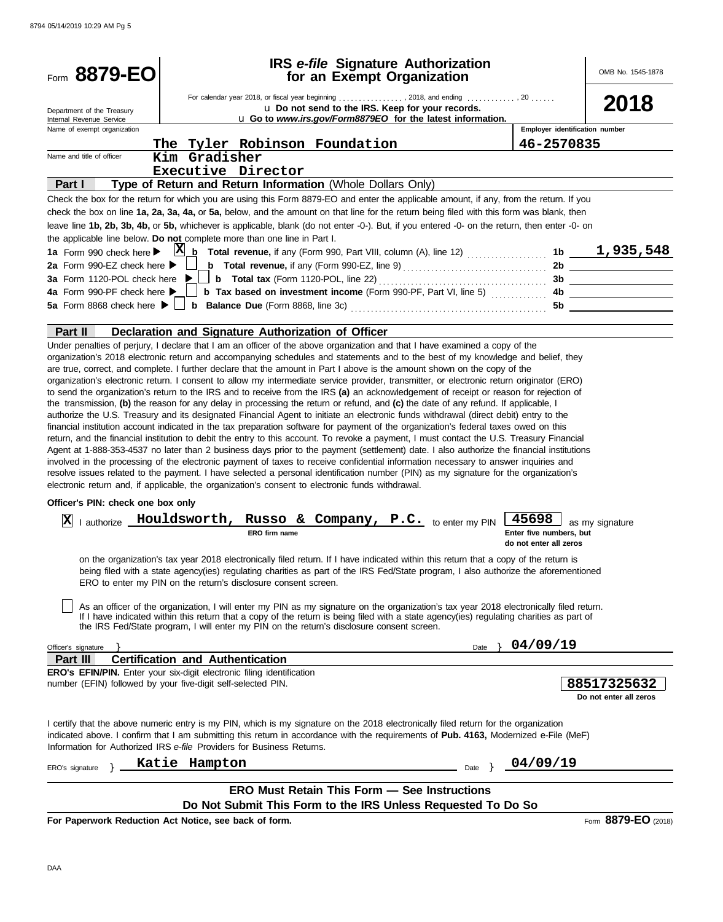| Form 8879-EO                                                                                                                                 |                                                                | <b>IRS</b> e-file Signature Authorization<br>for an Exempt Organization                                                                                                                                                                                                                                                                                                                                                                                                                                                                                                                                                                                                                                                                                                                                                                                                                                                                                                                       |           |                                                            | OMB No. 1545-1878                     |
|----------------------------------------------------------------------------------------------------------------------------------------------|----------------------------------------------------------------|-----------------------------------------------------------------------------------------------------------------------------------------------------------------------------------------------------------------------------------------------------------------------------------------------------------------------------------------------------------------------------------------------------------------------------------------------------------------------------------------------------------------------------------------------------------------------------------------------------------------------------------------------------------------------------------------------------------------------------------------------------------------------------------------------------------------------------------------------------------------------------------------------------------------------------------------------------------------------------------------------|-----------|------------------------------------------------------------|---------------------------------------|
|                                                                                                                                              |                                                                | For calendar year 2018, or fiscal year beginning  , 2018, and ending  , 20                                                                                                                                                                                                                                                                                                                                                                                                                                                                                                                                                                                                                                                                                                                                                                                                                                                                                                                    |           |                                                            | 2018                                  |
| Department of the Treasury<br>Internal Revenue Service                                                                                       |                                                                | U Do not send to the IRS. Keep for your records.<br>u Go to www.irs.gov/Form8879EO for the latest information.                                                                                                                                                                                                                                                                                                                                                                                                                                                                                                                                                                                                                                                                                                                                                                                                                                                                                |           |                                                            |                                       |
| Name of exempt organization                                                                                                                  |                                                                |                                                                                                                                                                                                                                                                                                                                                                                                                                                                                                                                                                                                                                                                                                                                                                                                                                                                                                                                                                                               |           |                                                            | Employer identification number        |
|                                                                                                                                              | The Tyler Robinson Foundation                                  |                                                                                                                                                                                                                                                                                                                                                                                                                                                                                                                                                                                                                                                                                                                                                                                                                                                                                                                                                                                               |           | 46-2570835                                                 |                                       |
| Name and title of officer                                                                                                                    | Kim Gradisher                                                  |                                                                                                                                                                                                                                                                                                                                                                                                                                                                                                                                                                                                                                                                                                                                                                                                                                                                                                                                                                                               |           |                                                            |                                       |
|                                                                                                                                              | Executive Director                                             |                                                                                                                                                                                                                                                                                                                                                                                                                                                                                                                                                                                                                                                                                                                                                                                                                                                                                                                                                                                               |           |                                                            |                                       |
| Part I                                                                                                                                       |                                                                | Type of Return and Return Information (Whole Dollars Only)                                                                                                                                                                                                                                                                                                                                                                                                                                                                                                                                                                                                                                                                                                                                                                                                                                                                                                                                    |           |                                                            |                                       |
|                                                                                                                                              |                                                                | Check the box for the return for which you are using this Form 8879-EO and enter the applicable amount, if any, from the return. If you                                                                                                                                                                                                                                                                                                                                                                                                                                                                                                                                                                                                                                                                                                                                                                                                                                                       |           |                                                            |                                       |
|                                                                                                                                              |                                                                | check the box on line 1a, 2a, 3a, 4a, or 5a, below, and the amount on that line for the return being filed with this form was blank, then                                                                                                                                                                                                                                                                                                                                                                                                                                                                                                                                                                                                                                                                                                                                                                                                                                                     |           |                                                            |                                       |
| the applicable line below. Do not complete more than one line in Part I.                                                                     |                                                                | leave line 1b, 2b, 3b, 4b, or 5b, whichever is applicable, blank (do not enter -0-). But, if you entered -0- on the return, then enter -0- on                                                                                                                                                                                                                                                                                                                                                                                                                                                                                                                                                                                                                                                                                                                                                                                                                                                 |           |                                                            |                                       |
| 1a Form 990 check here $\blacktriangleright$                                                                                                 |                                                                | $X_b$ Total revenue, if any (Form 990, Part VIII, column (A), line 12) $\ldots$                                                                                                                                                                                                                                                                                                                                                                                                                                                                                                                                                                                                                                                                                                                                                                                                                                                                                                               |           |                                                            | 1b $1,935,548$                        |
| 2a Form 990-EZ check here $\blacktriangleright$                                                                                              |                                                                | <b>b</b> Total revenue, if any (Form 990-EZ, line 9) $\ldots$ $\ldots$ $\ldots$ $\ldots$ $\ldots$ $\ldots$                                                                                                                                                                                                                                                                                                                                                                                                                                                                                                                                                                                                                                                                                                                                                                                                                                                                                    |           |                                                            |                                       |
| <b>3a</b> Form 1120-POL check here ▶                                                                                                         |                                                                | <b>b</b> Total tax (Form 1120-POL, line 22) $\ldots$ $\ldots$ $\ldots$                                                                                                                                                                                                                                                                                                                                                                                                                                                                                                                                                                                                                                                                                                                                                                                                                                                                                                                        |           |                                                            |                                       |
| 4a Form 990-PF check here ▶                                                                                                                  |                                                                | <b>b</b> Tax based on investment income (Form 990-PF, Part VI, line 5)                                                                                                                                                                                                                                                                                                                                                                                                                                                                                                                                                                                                                                                                                                                                                                                                                                                                                                                        |           |                                                            | 4b                                    |
| 5a Form 8868 check here ▶ [                                                                                                                  |                                                                |                                                                                                                                                                                                                                                                                                                                                                                                                                                                                                                                                                                                                                                                                                                                                                                                                                                                                                                                                                                               |           | 5b                                                         |                                       |
|                                                                                                                                              |                                                                |                                                                                                                                                                                                                                                                                                                                                                                                                                                                                                                                                                                                                                                                                                                                                                                                                                                                                                                                                                                               |           |                                                            |                                       |
| Part II                                                                                                                                      | Declaration and Signature Authorization of Officer             | Under penalties of perjury, I declare that I am an officer of the above organization and that I have examined a copy of the                                                                                                                                                                                                                                                                                                                                                                                                                                                                                                                                                                                                                                                                                                                                                                                                                                                                   |           |                                                            |                                       |
| electronic return and, if applicable, the organization's consent to electronic funds withdrawal.                                             |                                                                | the transmission, (b) the reason for any delay in processing the return or refund, and (c) the date of any refund. If applicable, I<br>authorize the U.S. Treasury and its designated Financial Agent to initiate an electronic funds withdrawal (direct debit) entry to the<br>financial institution account indicated in the tax preparation software for payment of the organization's federal taxes owed on this<br>return, and the financial institution to debit the entry to this account. To revoke a payment, I must contact the U.S. Treasury Financial<br>Agent at 1-888-353-4537 no later than 2 business days prior to the payment (settlement) date. I also authorize the financial institutions<br>involved in the processing of the electronic payment of taxes to receive confidential information necessary to answer inquiries and<br>resolve issues related to the payment. I have selected a personal identification number (PIN) as my signature for the organization's |           |                                                            |                                       |
| Officer's PIN: check one box only                                                                                                            |                                                                |                                                                                                                                                                                                                                                                                                                                                                                                                                                                                                                                                                                                                                                                                                                                                                                                                                                                                                                                                                                               |           |                                                            |                                       |
|                                                                                                                                              |                                                                |                                                                                                                                                                                                                                                                                                                                                                                                                                                                                                                                                                                                                                                                                                                                                                                                                                                                                                                                                                                               |           |                                                            |                                       |
| x <br>I authorize                                                                                                                            | ERO firm name                                                  | Houldsworth, Russo & Company, P.C. to enter my PIN                                                                                                                                                                                                                                                                                                                                                                                                                                                                                                                                                                                                                                                                                                                                                                                                                                                                                                                                            |           | 45698<br>Enter five numbers, but<br>do not enter all zeros | as my signature                       |
|                                                                                                                                              | ERO to enter my PIN on the return's disclosure consent screen. | on the organization's tax year 2018 electronically filed return. If I have indicated within this return that a copy of the return is<br>being filed with a state agency(ies) regulating charities as part of the IRS Fed/State program, I also authorize the aforementioned                                                                                                                                                                                                                                                                                                                                                                                                                                                                                                                                                                                                                                                                                                                   |           |                                                            |                                       |
|                                                                                                                                              |                                                                | As an officer of the organization, I will enter my PIN as my signature on the organization's tax year 2018 electronically filed return.<br>If I have indicated within this return that a copy of the return is being filed with a state agency(ies) regulating charities as part of<br>the IRS Fed/State program, I will enter my PIN on the return's disclosure consent screen.                                                                                                                                                                                                                                                                                                                                                                                                                                                                                                                                                                                                              |           |                                                            |                                       |
| Officer's signature                                                                                                                          |                                                                |                                                                                                                                                                                                                                                                                                                                                                                                                                                                                                                                                                                                                                                                                                                                                                                                                                                                                                                                                                                               | Date      | 04/09/19                                                   |                                       |
| Part III                                                                                                                                     | <b>Certification and Authentication</b>                        |                                                                                                                                                                                                                                                                                                                                                                                                                                                                                                                                                                                                                                                                                                                                                                                                                                                                                                                                                                                               |           |                                                            |                                       |
| <b>ERO's EFIN/PIN.</b> Enter your six-digit electronic filing identification<br>number (EFIN) followed by your five-digit self-selected PIN. |                                                                |                                                                                                                                                                                                                                                                                                                                                                                                                                                                                                                                                                                                                                                                                                                                                                                                                                                                                                                                                                                               |           |                                                            | 88517325632<br>Do not enter all zeros |
| Information for Authorized IRS e-file Providers for Business Returns.                                                                        |                                                                | I certify that the above numeric entry is my PIN, which is my signature on the 2018 electronically filed return for the organization<br>indicated above. I confirm that I am submitting this return in accordance with the requirements of Pub. 4163, Modernized e-File (MeF)                                                                                                                                                                                                                                                                                                                                                                                                                                                                                                                                                                                                                                                                                                                 |           |                                                            |                                       |
| ERO's signature                                                                                                                              | Katie Hampton                                                  |                                                                                                                                                                                                                                                                                                                                                                                                                                                                                                                                                                                                                                                                                                                                                                                                                                                                                                                                                                                               | Date $\}$ | 04/09/19                                                   |                                       |
|                                                                                                                                              |                                                                | <b>ERO Must Retain This Form - See Instructions</b>                                                                                                                                                                                                                                                                                                                                                                                                                                                                                                                                                                                                                                                                                                                                                                                                                                                                                                                                           |           |                                                            |                                       |
|                                                                                                                                              |                                                                | Do Not Submit This Form to the IRS Unless Requested To Do So                                                                                                                                                                                                                                                                                                                                                                                                                                                                                                                                                                                                                                                                                                                                                                                                                                                                                                                                  |           |                                                            |                                       |
| For Paperwork Reduction Act Notice, see back of form.                                                                                        |                                                                |                                                                                                                                                                                                                                                                                                                                                                                                                                                                                                                                                                                                                                                                                                                                                                                                                                                                                                                                                                                               |           |                                                            | Form 8879-EO (2018)                   |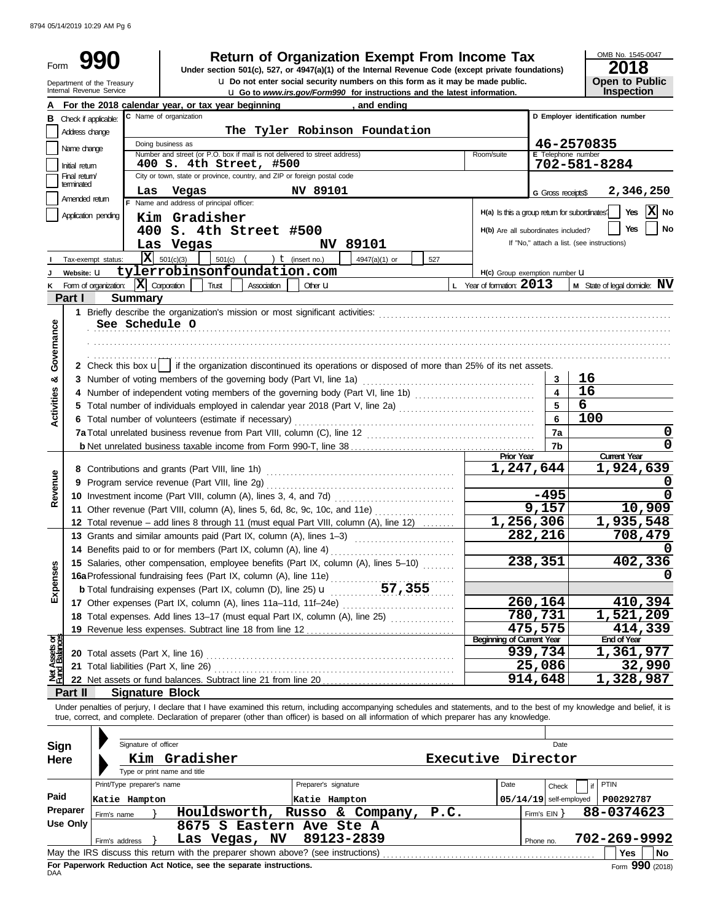| Form                           |                                                        | <b>Return of Organization Exempt From Income Tax</b><br>Under section 501(c), 527, or 4947(a)(1) of the Internal Revenue Code (except private foundations)<br>U Do not enter social security numbers on this form as it may be made public. |                                               | OMB No. 1545-0047<br>2018<br><b>Open to Public</b>       |
|--------------------------------|--------------------------------------------------------|---------------------------------------------------------------------------------------------------------------------------------------------------------------------------------------------------------------------------------------------|-----------------------------------------------|----------------------------------------------------------|
|                                | Department of the Treasury<br>Internal Revenue Service | U Go to www.irs.gov/Form990 for instructions and the latest information.                                                                                                                                                                    |                                               | Inspection                                               |
|                                |                                                        | For the 2018 calendar year, or tax year beginning<br>, and ending                                                                                                                                                                           |                                               |                                                          |
| в                              | Check if applicable:                                   | C Name of organization                                                                                                                                                                                                                      |                                               | D Employer identification number                         |
|                                | Address change                                         | The Tyler Robinson Foundation                                                                                                                                                                                                               |                                               |                                                          |
|                                | Name change                                            | Doing business as<br>Number and street (or P.O. box if mail is not delivered to street address)<br>Room/suite                                                                                                                               |                                               | 46-2570835<br>E Telephone number                         |
|                                | Initial return                                         | 400 S. 4th Street, #500                                                                                                                                                                                                                     |                                               | 702-581-8284                                             |
|                                | Final return/<br>terminated                            | City or town, state or province, country, and ZIP or foreign postal code                                                                                                                                                                    |                                               |                                                          |
|                                | Las<br>Amended return                                  | <b>NV 89101</b><br>Vegas                                                                                                                                                                                                                    | <b>G</b> Gross receipts\$                     | 2,346,250                                                |
|                                | Application pending                                    | Name and address of principal officer:                                                                                                                                                                                                      | H(a) Is this a group return for subordinates' | x <br>Yes<br>No                                          |
|                                |                                                        | Kim Gradisher                                                                                                                                                                                                                               | H(b) Are all subordinates included?           | Yes<br>No                                                |
|                                |                                                        | 400 S. 4th Street #500<br>NV 89101<br>Las Vegas                                                                                                                                                                                             |                                               | If "No," attach a list. (see instructions)               |
|                                | X<br>Tax-exempt status:                                | ) $t$ (insert no.)<br>501(c)(3)<br>$501(c)$ (<br>4947(a)(1) or<br>527                                                                                                                                                                       |                                               |                                                          |
|                                | Website: U                                             | tylerrobinsonfoundation.com                                                                                                                                                                                                                 | H(c) Group exemption number U                 |                                                          |
|                                | Form of organization:                                  | $ \mathbf{X} $ Corporation<br>Trust<br>Association<br>Other $U$                                                                                                                                                                             | L Year of formation: $2013$                   | <b>M</b> State of legal domicile: $\mathbf{N}\mathbf{V}$ |
|                                | Part I<br><b>Summary</b>                               |                                                                                                                                                                                                                                             |                                               |                                                          |
|                                |                                                        | 1 Briefly describe the organization's mission or most significant activities:                                                                                                                                                               |                                               |                                                          |
|                                | See Schedule O                                         |                                                                                                                                                                                                                                             |                                               |                                                          |
| Governance                     |                                                        |                                                                                                                                                                                                                                             |                                               |                                                          |
|                                |                                                        |                                                                                                                                                                                                                                             |                                               |                                                          |
|                                |                                                        | 2 Check this box $\mathbf{u}$ if the organization discontinued its operations or disposed of more than 25% of its net assets.                                                                                                               |                                               |                                                          |
| න්                             |                                                        | 3 Number of voting members of the governing body (Part VI, line 1a)                                                                                                                                                                         | 3                                             | 16                                                       |
|                                |                                                        |                                                                                                                                                                                                                                             | $\overline{4}$                                | 16                                                       |
| <b>Activities</b>              |                                                        |                                                                                                                                                                                                                                             | 5                                             | $\overline{6}$                                           |
|                                |                                                        | 6 Total number of volunteers (estimate if necessary)                                                                                                                                                                                        | 6                                             | 100                                                      |
|                                |                                                        |                                                                                                                                                                                                                                             | 7a                                            | 0                                                        |
|                                |                                                        |                                                                                                                                                                                                                                             | 7 <sub>b</sub>                                | 0                                                        |
|                                |                                                        |                                                                                                                                                                                                                                             | <b>Prior Year</b><br>1,247,644                | <b>Current Year</b><br>1,924,639                         |
| Revenue                        |                                                        |                                                                                                                                                                                                                                             |                                               | 0                                                        |
|                                |                                                        |                                                                                                                                                                                                                                             |                                               |                                                          |
|                                |                                                        |                                                                                                                                                                                                                                             |                                               | 0                                                        |
|                                |                                                        |                                                                                                                                                                                                                                             | $-495$                                        |                                                          |
|                                |                                                        | 11 Other revenue (Part VIII, column (A), lines 5, 6d, 8c, 9c, 10c, and 11e)                                                                                                                                                                 | 9,157                                         | 10,909                                                   |
|                                |                                                        | 12 Total revenue - add lines 8 through 11 (must equal Part VIII, column (A), line 12)<br>13 Grants and similar amounts paid (Part IX, column (A), lines 1-3)                                                                                | 1,256,306<br>282,216                          | 1,935,548<br>708,479                                     |
|                                |                                                        | 14 Benefits paid to or for members (Part IX, column (A), line 4)                                                                                                                                                                            |                                               | 0                                                        |
|                                |                                                        | 15 Salaries, other compensation, employee benefits (Part IX, column (A), lines 5-10)                                                                                                                                                        | 238,351                                       | 402,336                                                  |
|                                |                                                        |                                                                                                                                                                                                                                             |                                               |                                                          |
|                                |                                                        | 16a Professional fundraising fees (Part IX, column (A), line 11e)<br>b Total fundraising expenses (Part IX, column (D), line 25) <b>u</b> 57, 355                                                                                           |                                               |                                                          |
| Expenses                       |                                                        | 17 Other expenses (Part IX, column (A), lines 11a-11d, 11f-24e)                                                                                                                                                                             | 260,164                                       | 410,394                                                  |
|                                |                                                        | 18 Total expenses. Add lines 13-17 (must equal Part IX, column (A), line 25) [[[[[[[[[[[[[[[[[[[[[[[[[[[[[[[                                                                                                                                | 780,731                                       | 1,521,209                                                |
|                                |                                                        |                                                                                                                                                                                                                                             | 475,575                                       | 414,339                                                  |
|                                |                                                        |                                                                                                                                                                                                                                             | <b>Beginning of Current Year</b>              | <b>End of Year</b>                                       |
|                                | 20 Total assets (Part X, line 16)                      |                                                                                                                                                                                                                                             | 939,734                                       | 1,361,977                                                |
|                                | 21 Total liabilities (Part X, line 26)                 |                                                                                                                                                                                                                                             | 25,086                                        | 32,990                                                   |
| Net Assets or<br>Fund Balances |                                                        | 22 Net assets or fund balances. Subtract line 21 from line 20<br><u>.</u>                                                                                                                                                                   | 914,648                                       | 1,328,987                                                |
|                                | <b>Signature Block</b><br>Part II                      | Under penalties of perjury, I declare that I have examined this return, including accompanying schedules and statements, and to the best of my knowledge and belief, it is                                                                  |                                               |                                                          |
|                                |                                                        | true, correct, and complete. Declaration of preparer (other than officer) is based on all information of which preparer has any knowledge.                                                                                                  |                                               |                                                          |
|                                |                                                        |                                                                                                                                                                                                                                             |                                               |                                                          |
| <b>Sign</b>                    | Signature of officer                                   |                                                                                                                                                                                                                                             | Date                                          |                                                          |
| Here                           |                                                        | Kim Gradisher<br>Executive Director                                                                                                                                                                                                         |                                               |                                                          |
|                                |                                                        | Type or print name and title                                                                                                                                                                                                                |                                               |                                                          |
|                                | Print/Type preparer's name                             | Preparer's signature                                                                                                                                                                                                                        | Date<br>Check                                 | <b>PTIN</b>                                              |
| Paid                           | Katie Hampton                                          | Katie Hampton                                                                                                                                                                                                                               | $05/14/19$ self-employed                      | P00292787                                                |
|                                | Preparer<br>Firm's name                                | P.C.<br>Houldsworth, Russo & Company,                                                                                                                                                                                                       | Firm's EIN }                                  | 88-0374623                                               |
|                                | <b>Use Only</b>                                        | 8675 S Eastern Ave Ste A                                                                                                                                                                                                                    |                                               |                                                          |
|                                | Firm's address                                         | 89123-2839<br>Las Vegas, NV<br>May the IRS discuss this return with the preparer shown above? (see instructions)                                                                                                                            | Phone no.                                     | 702-269-9992<br>Yes<br>  No                              |

| Use Only $ $ |                                                                    |  |  | 8675 S Eastern Ave Ste A                                                          |           |              |     |                 |
|--------------|--------------------------------------------------------------------|--|--|-----------------------------------------------------------------------------------|-----------|--------------|-----|-----------------|
|              | Firm's address                                                     |  |  | Las Vegas, NV 89123-2839                                                          | Phone no. | 702-269-9992 |     |                 |
|              |                                                                    |  |  | May the IRS discuss this return with the preparer shown above? (see instructions) |           |              | Yes | l No            |
| DAA          | For Paperwork Reduction Act Notice, see the separate instructions. |  |  |                                                                                   |           |              |     | Form 990 (2018) |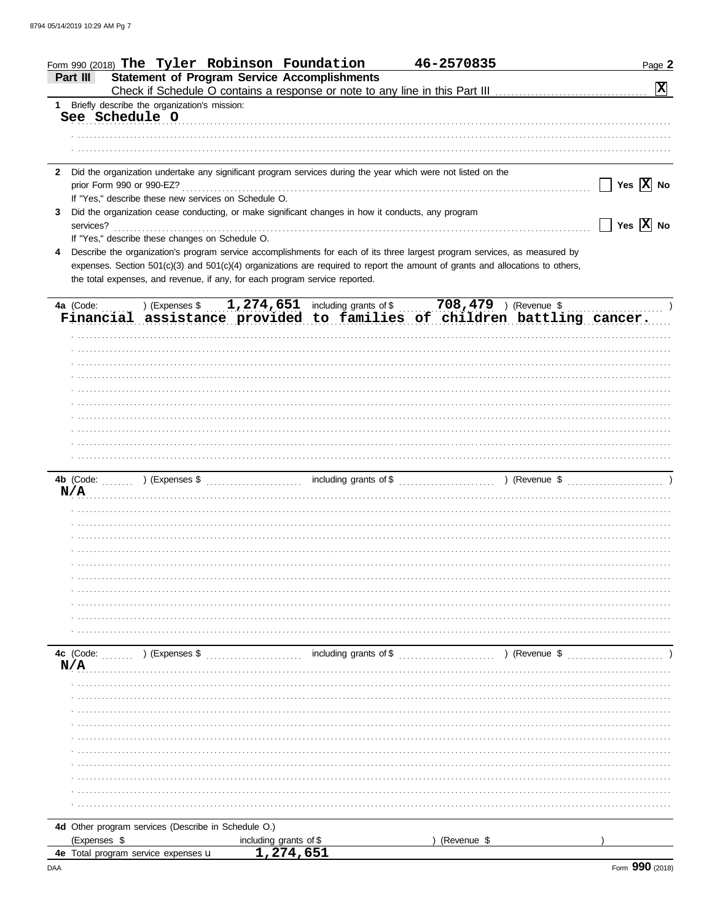| <b>Statement of Program Service Accomplishments</b><br>Part III<br>$\boxed{\mathbf{X}}$<br>1 Briefly describe the organization's mission:<br>See Schedule O<br>Did the organization undertake any significant program services during the year which were not listed on the<br>$\mathbf{2}$<br>Yes $\overline{X}$ No<br>If "Yes," describe these new services on Schedule O.<br>Did the organization cease conducting, or make significant changes in how it conducts, any program<br>3<br>$\boxed{\phantom{1}}$ Yes $\boxed{\textbf{X}}$ No<br>services?<br>If "Yes," describe these changes on Schedule O.<br>Describe the organization's program service accomplishments for each of its three largest program services, as measured by<br>4<br>expenses. Section 501(c)(3) and 501(c)(4) organizations are required to report the amount of grants and allocations to others,<br>the total expenses, and revenue, if any, for each program service reported.<br>Financial assistance provided to families of children battling cancer.<br>N/A<br>including grants of \$<br>4c (Code: (Code: ) (Expenses \$<br>) (Revenue \$<br>N/A<br>4d Other program services (Describe in Schedule O.)<br>(Expenses \$<br>including grants of \$<br>(Revenue \$<br>1,274,651<br>4e Total program service expenses <b>u</b> |  | Form 990 (2018) The Tyler Robinson Foundation |  | 46-2570835 | Page 2 |  |
|-------------------------------------------------------------------------------------------------------------------------------------------------------------------------------------------------------------------------------------------------------------------------------------------------------------------------------------------------------------------------------------------------------------------------------------------------------------------------------------------------------------------------------------------------------------------------------------------------------------------------------------------------------------------------------------------------------------------------------------------------------------------------------------------------------------------------------------------------------------------------------------------------------------------------------------------------------------------------------------------------------------------------------------------------------------------------------------------------------------------------------------------------------------------------------------------------------------------------------------------------------------------------------------------------------------------|--|-----------------------------------------------|--|------------|--------|--|
|                                                                                                                                                                                                                                                                                                                                                                                                                                                                                                                                                                                                                                                                                                                                                                                                                                                                                                                                                                                                                                                                                                                                                                                                                                                                                                                   |  |                                               |  |            |        |  |
|                                                                                                                                                                                                                                                                                                                                                                                                                                                                                                                                                                                                                                                                                                                                                                                                                                                                                                                                                                                                                                                                                                                                                                                                                                                                                                                   |  |                                               |  |            |        |  |
|                                                                                                                                                                                                                                                                                                                                                                                                                                                                                                                                                                                                                                                                                                                                                                                                                                                                                                                                                                                                                                                                                                                                                                                                                                                                                                                   |  |                                               |  |            |        |  |
|                                                                                                                                                                                                                                                                                                                                                                                                                                                                                                                                                                                                                                                                                                                                                                                                                                                                                                                                                                                                                                                                                                                                                                                                                                                                                                                   |  |                                               |  |            |        |  |
|                                                                                                                                                                                                                                                                                                                                                                                                                                                                                                                                                                                                                                                                                                                                                                                                                                                                                                                                                                                                                                                                                                                                                                                                                                                                                                                   |  |                                               |  |            |        |  |
|                                                                                                                                                                                                                                                                                                                                                                                                                                                                                                                                                                                                                                                                                                                                                                                                                                                                                                                                                                                                                                                                                                                                                                                                                                                                                                                   |  |                                               |  |            |        |  |
|                                                                                                                                                                                                                                                                                                                                                                                                                                                                                                                                                                                                                                                                                                                                                                                                                                                                                                                                                                                                                                                                                                                                                                                                                                                                                                                   |  |                                               |  |            |        |  |
|                                                                                                                                                                                                                                                                                                                                                                                                                                                                                                                                                                                                                                                                                                                                                                                                                                                                                                                                                                                                                                                                                                                                                                                                                                                                                                                   |  |                                               |  |            |        |  |
|                                                                                                                                                                                                                                                                                                                                                                                                                                                                                                                                                                                                                                                                                                                                                                                                                                                                                                                                                                                                                                                                                                                                                                                                                                                                                                                   |  |                                               |  |            |        |  |
|                                                                                                                                                                                                                                                                                                                                                                                                                                                                                                                                                                                                                                                                                                                                                                                                                                                                                                                                                                                                                                                                                                                                                                                                                                                                                                                   |  |                                               |  |            |        |  |
|                                                                                                                                                                                                                                                                                                                                                                                                                                                                                                                                                                                                                                                                                                                                                                                                                                                                                                                                                                                                                                                                                                                                                                                                                                                                                                                   |  |                                               |  |            |        |  |
|                                                                                                                                                                                                                                                                                                                                                                                                                                                                                                                                                                                                                                                                                                                                                                                                                                                                                                                                                                                                                                                                                                                                                                                                                                                                                                                   |  |                                               |  |            |        |  |
|                                                                                                                                                                                                                                                                                                                                                                                                                                                                                                                                                                                                                                                                                                                                                                                                                                                                                                                                                                                                                                                                                                                                                                                                                                                                                                                   |  |                                               |  |            |        |  |
|                                                                                                                                                                                                                                                                                                                                                                                                                                                                                                                                                                                                                                                                                                                                                                                                                                                                                                                                                                                                                                                                                                                                                                                                                                                                                                                   |  |                                               |  |            |        |  |
|                                                                                                                                                                                                                                                                                                                                                                                                                                                                                                                                                                                                                                                                                                                                                                                                                                                                                                                                                                                                                                                                                                                                                                                                                                                                                                                   |  |                                               |  |            |        |  |
|                                                                                                                                                                                                                                                                                                                                                                                                                                                                                                                                                                                                                                                                                                                                                                                                                                                                                                                                                                                                                                                                                                                                                                                                                                                                                                                   |  |                                               |  |            |        |  |
|                                                                                                                                                                                                                                                                                                                                                                                                                                                                                                                                                                                                                                                                                                                                                                                                                                                                                                                                                                                                                                                                                                                                                                                                                                                                                                                   |  |                                               |  |            |        |  |
|                                                                                                                                                                                                                                                                                                                                                                                                                                                                                                                                                                                                                                                                                                                                                                                                                                                                                                                                                                                                                                                                                                                                                                                                                                                                                                                   |  |                                               |  |            |        |  |
|                                                                                                                                                                                                                                                                                                                                                                                                                                                                                                                                                                                                                                                                                                                                                                                                                                                                                                                                                                                                                                                                                                                                                                                                                                                                                                                   |  |                                               |  |            |        |  |
|                                                                                                                                                                                                                                                                                                                                                                                                                                                                                                                                                                                                                                                                                                                                                                                                                                                                                                                                                                                                                                                                                                                                                                                                                                                                                                                   |  |                                               |  |            |        |  |
|                                                                                                                                                                                                                                                                                                                                                                                                                                                                                                                                                                                                                                                                                                                                                                                                                                                                                                                                                                                                                                                                                                                                                                                                                                                                                                                   |  |                                               |  |            |        |  |
|                                                                                                                                                                                                                                                                                                                                                                                                                                                                                                                                                                                                                                                                                                                                                                                                                                                                                                                                                                                                                                                                                                                                                                                                                                                                                                                   |  |                                               |  |            |        |  |
|                                                                                                                                                                                                                                                                                                                                                                                                                                                                                                                                                                                                                                                                                                                                                                                                                                                                                                                                                                                                                                                                                                                                                                                                                                                                                                                   |  |                                               |  |            |        |  |
|                                                                                                                                                                                                                                                                                                                                                                                                                                                                                                                                                                                                                                                                                                                                                                                                                                                                                                                                                                                                                                                                                                                                                                                                                                                                                                                   |  |                                               |  |            |        |  |
|                                                                                                                                                                                                                                                                                                                                                                                                                                                                                                                                                                                                                                                                                                                                                                                                                                                                                                                                                                                                                                                                                                                                                                                                                                                                                                                   |  |                                               |  |            |        |  |
|                                                                                                                                                                                                                                                                                                                                                                                                                                                                                                                                                                                                                                                                                                                                                                                                                                                                                                                                                                                                                                                                                                                                                                                                                                                                                                                   |  |                                               |  |            |        |  |
|                                                                                                                                                                                                                                                                                                                                                                                                                                                                                                                                                                                                                                                                                                                                                                                                                                                                                                                                                                                                                                                                                                                                                                                                                                                                                                                   |  |                                               |  |            |        |  |
|                                                                                                                                                                                                                                                                                                                                                                                                                                                                                                                                                                                                                                                                                                                                                                                                                                                                                                                                                                                                                                                                                                                                                                                                                                                                                                                   |  |                                               |  |            |        |  |
|                                                                                                                                                                                                                                                                                                                                                                                                                                                                                                                                                                                                                                                                                                                                                                                                                                                                                                                                                                                                                                                                                                                                                                                                                                                                                                                   |  |                                               |  |            |        |  |
|                                                                                                                                                                                                                                                                                                                                                                                                                                                                                                                                                                                                                                                                                                                                                                                                                                                                                                                                                                                                                                                                                                                                                                                                                                                                                                                   |  |                                               |  |            |        |  |
|                                                                                                                                                                                                                                                                                                                                                                                                                                                                                                                                                                                                                                                                                                                                                                                                                                                                                                                                                                                                                                                                                                                                                                                                                                                                                                                   |  |                                               |  |            |        |  |
|                                                                                                                                                                                                                                                                                                                                                                                                                                                                                                                                                                                                                                                                                                                                                                                                                                                                                                                                                                                                                                                                                                                                                                                                                                                                                                                   |  |                                               |  |            |        |  |
|                                                                                                                                                                                                                                                                                                                                                                                                                                                                                                                                                                                                                                                                                                                                                                                                                                                                                                                                                                                                                                                                                                                                                                                                                                                                                                                   |  |                                               |  |            |        |  |
|                                                                                                                                                                                                                                                                                                                                                                                                                                                                                                                                                                                                                                                                                                                                                                                                                                                                                                                                                                                                                                                                                                                                                                                                                                                                                                                   |  |                                               |  |            |        |  |
|                                                                                                                                                                                                                                                                                                                                                                                                                                                                                                                                                                                                                                                                                                                                                                                                                                                                                                                                                                                                                                                                                                                                                                                                                                                                                                                   |  |                                               |  |            |        |  |
|                                                                                                                                                                                                                                                                                                                                                                                                                                                                                                                                                                                                                                                                                                                                                                                                                                                                                                                                                                                                                                                                                                                                                                                                                                                                                                                   |  |                                               |  |            |        |  |
|                                                                                                                                                                                                                                                                                                                                                                                                                                                                                                                                                                                                                                                                                                                                                                                                                                                                                                                                                                                                                                                                                                                                                                                                                                                                                                                   |  |                                               |  |            |        |  |
|                                                                                                                                                                                                                                                                                                                                                                                                                                                                                                                                                                                                                                                                                                                                                                                                                                                                                                                                                                                                                                                                                                                                                                                                                                                                                                                   |  |                                               |  |            |        |  |
|                                                                                                                                                                                                                                                                                                                                                                                                                                                                                                                                                                                                                                                                                                                                                                                                                                                                                                                                                                                                                                                                                                                                                                                                                                                                                                                   |  |                                               |  |            |        |  |
|                                                                                                                                                                                                                                                                                                                                                                                                                                                                                                                                                                                                                                                                                                                                                                                                                                                                                                                                                                                                                                                                                                                                                                                                                                                                                                                   |  |                                               |  |            |        |  |
|                                                                                                                                                                                                                                                                                                                                                                                                                                                                                                                                                                                                                                                                                                                                                                                                                                                                                                                                                                                                                                                                                                                                                                                                                                                                                                                   |  |                                               |  |            |        |  |
|                                                                                                                                                                                                                                                                                                                                                                                                                                                                                                                                                                                                                                                                                                                                                                                                                                                                                                                                                                                                                                                                                                                                                                                                                                                                                                                   |  |                                               |  |            |        |  |
|                                                                                                                                                                                                                                                                                                                                                                                                                                                                                                                                                                                                                                                                                                                                                                                                                                                                                                                                                                                                                                                                                                                                                                                                                                                                                                                   |  |                                               |  |            |        |  |
|                                                                                                                                                                                                                                                                                                                                                                                                                                                                                                                                                                                                                                                                                                                                                                                                                                                                                                                                                                                                                                                                                                                                                                                                                                                                                                                   |  |                                               |  |            |        |  |
|                                                                                                                                                                                                                                                                                                                                                                                                                                                                                                                                                                                                                                                                                                                                                                                                                                                                                                                                                                                                                                                                                                                                                                                                                                                                                                                   |  |                                               |  |            |        |  |
|                                                                                                                                                                                                                                                                                                                                                                                                                                                                                                                                                                                                                                                                                                                                                                                                                                                                                                                                                                                                                                                                                                                                                                                                                                                                                                                   |  |                                               |  |            |        |  |
|                                                                                                                                                                                                                                                                                                                                                                                                                                                                                                                                                                                                                                                                                                                                                                                                                                                                                                                                                                                                                                                                                                                                                                                                                                                                                                                   |  |                                               |  |            |        |  |
|                                                                                                                                                                                                                                                                                                                                                                                                                                                                                                                                                                                                                                                                                                                                                                                                                                                                                                                                                                                                                                                                                                                                                                                                                                                                                                                   |  |                                               |  |            |        |  |
|                                                                                                                                                                                                                                                                                                                                                                                                                                                                                                                                                                                                                                                                                                                                                                                                                                                                                                                                                                                                                                                                                                                                                                                                                                                                                                                   |  |                                               |  |            |        |  |
|                                                                                                                                                                                                                                                                                                                                                                                                                                                                                                                                                                                                                                                                                                                                                                                                                                                                                                                                                                                                                                                                                                                                                                                                                                                                                                                   |  |                                               |  |            |        |  |
|                                                                                                                                                                                                                                                                                                                                                                                                                                                                                                                                                                                                                                                                                                                                                                                                                                                                                                                                                                                                                                                                                                                                                                                                                                                                                                                   |  |                                               |  |            |        |  |
|                                                                                                                                                                                                                                                                                                                                                                                                                                                                                                                                                                                                                                                                                                                                                                                                                                                                                                                                                                                                                                                                                                                                                                                                                                                                                                                   |  |                                               |  |            |        |  |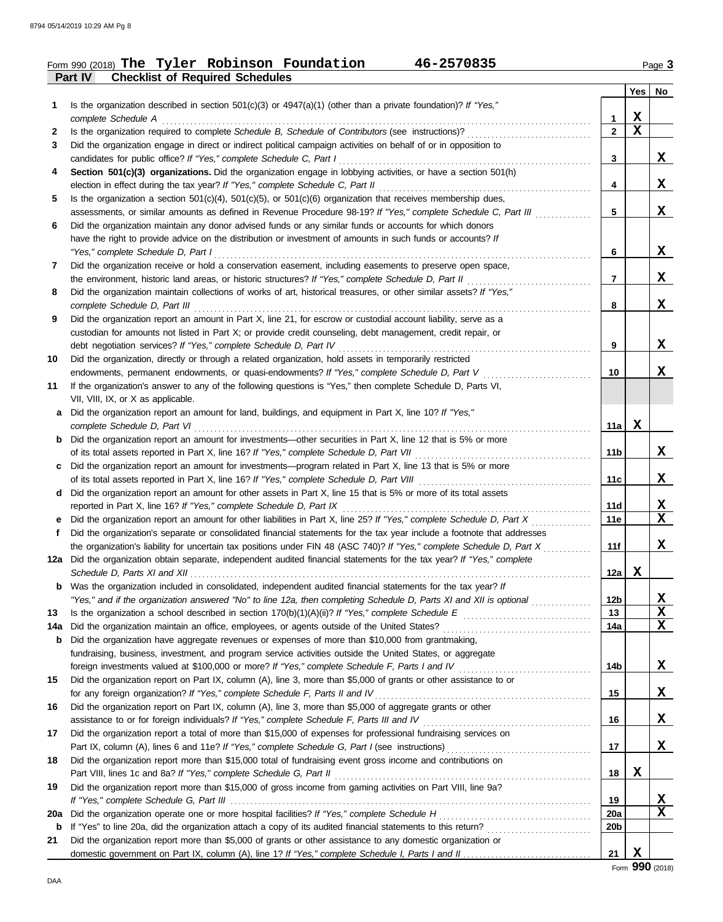#### **Part IV Checklist of Required Schedules** Form 990 (2018) Page **3 The Tyler Robinson Foundation 46-2570835**

|              |                                                                                                                                                      |              | <b>Yes</b>  | No          |
|--------------|------------------------------------------------------------------------------------------------------------------------------------------------------|--------------|-------------|-------------|
| 1            | Is the organization described in section $501(c)(3)$ or $4947(a)(1)$ (other than a private foundation)? If "Yes,"                                    |              |             |             |
|              | complete Schedule A                                                                                                                                  | 1            | X           |             |
| $\mathbf{2}$ |                                                                                                                                                      | $\mathbf{2}$ | $\mathbf x$ |             |
| 3            | Did the organization engage in direct or indirect political campaign activities on behalf of or in opposition to                                     |              |             |             |
|              |                                                                                                                                                      | 3            |             | X           |
| 4            | Section 501(c)(3) organizations. Did the organization engage in lobbying activities, or have a section 501(h)                                        |              |             |             |
|              |                                                                                                                                                      | 4            |             | X           |
| 5            | Is the organization a section $501(c)(4)$ , $501(c)(5)$ , or $501(c)(6)$ organization that receives membership dues,                                 |              |             |             |
|              | assessments, or similar amounts as defined in Revenue Procedure 98-19? If "Yes," complete Schedule C, Part III                                       | 5            |             | X           |
| 6            | Did the organization maintain any donor advised funds or any similar funds or accounts for which donors                                              |              |             |             |
|              | have the right to provide advice on the distribution or investment of amounts in such funds or accounts? If                                          |              |             | X           |
|              | "Yes," complete Schedule D, Part I                                                                                                                   | 6            |             |             |
| 7            | Did the organization receive or hold a conservation easement, including easements to preserve open space,                                            | 7            |             | X           |
| 8            | the environment, historic land areas, or historic structures? If "Yes," complete Schedule D, Part II                                                 |              |             |             |
|              | Did the organization maintain collections of works of art, historical treasures, or other similar assets? If "Yes,"<br>complete Schedule D, Part III | 8            |             | X           |
| 9            | Did the organization report an amount in Part X, line 21, for escrow or custodial account liability, serve as a                                      |              |             |             |
|              | custodian for amounts not listed in Part X; or provide credit counseling, debt management, credit repair, or                                         |              |             |             |
|              | debt negotiation services? If "Yes," complete Schedule D, Part IV [[[[[[[[[[[[[[[[[[[[[[[[[]]]]]]]]]                                                 | 9            |             | X           |
| 10           | Did the organization, directly or through a related organization, hold assets in temporarily restricted                                              |              |             |             |
|              | endowments, permanent endowments, or quasi-endowments? If "Yes," complete Schedule D, Part V                                                         | 10           |             | X           |
| 11           | If the organization's answer to any of the following questions is "Yes," then complete Schedule D, Parts VI,                                         |              |             |             |
|              | VII, VIII, IX, or X as applicable.                                                                                                                   |              |             |             |
| a            | Did the organization report an amount for land, buildings, and equipment in Part X, line 10? If "Yes,"                                               |              |             |             |
|              | complete Schedule D, Part VI                                                                                                                         | 11a          | X           |             |
| b            | Did the organization report an amount for investments—other securities in Part X, line 12 that is 5% or more                                         |              |             |             |
|              |                                                                                                                                                      | 11b          |             | X           |
| c            | Did the organization report an amount for investments—program related in Part X, line 13 that is 5% or more                                          |              |             |             |
|              |                                                                                                                                                      | 11c          |             | X           |
| d            | Did the organization report an amount for other assets in Part X, line 15 that is 5% or more of its total assets                                     |              |             |             |
|              | reported in Part X, line 16? If "Yes," complete Schedule D, Part IX                                                                                  | 11d          |             | $\mathbf x$ |
| e.           | Did the organization report an amount for other liabilities in Part X, line 25? If "Yes," complete Schedule D, Part X                                | 11e          |             | $\mathbf x$ |
| f            | Did the organization's separate or consolidated financial statements for the tax year include a footnote that addresses                              |              |             |             |
|              | the organization's liability for uncertain tax positions under FIN 48 (ASC 740)? If "Yes," complete Schedule D, Part X                               | 11f          |             | X           |
|              | 12a Did the organization obtain separate, independent audited financial statements for the tax year? If "Yes," complete                              |              |             |             |
|              |                                                                                                                                                      | 12a          | x           |             |
|              | Was the organization included in consolidated, independent audited financial statements for the tax year? If                                         |              |             |             |
|              | "Yes," and if the organization answered "No" to line 12a, then completing Schedule D, Parts XI and XII is optional                                   | 12b          |             | <u>x</u>    |
| 13           |                                                                                                                                                      | 13           |             | X           |
| 14a          | Did the organization maintain an office, employees, or agents outside of the United States? [[[[[[[[[[[[[[[[[[                                       | 14a          |             | $\mathbf x$ |
| b            | Did the organization have aggregate revenues or expenses of more than \$10,000 from grantmaking,                                                     |              |             |             |
|              | fundraising, business, investment, and program service activities outside the United States, or aggregate                                            |              |             |             |
|              |                                                                                                                                                      | 14b          |             | X           |
| 15           | Did the organization report on Part IX, column (A), line 3, more than \$5,000 of grants or other assistance to or                                    |              |             |             |
|              | for any foreign organization? If "Yes," complete Schedule F, Parts II and IV                                                                         | 15           |             | X           |
| 16           | Did the organization report on Part IX, column (A), line 3, more than \$5,000 of aggregate grants or other                                           |              |             |             |
|              |                                                                                                                                                      | 16           |             | X           |
| 17           | Did the organization report a total of more than \$15,000 of expenses for professional fundraising services on                                       |              |             |             |
|              |                                                                                                                                                      | 17           |             | X           |
| 18           | Did the organization report more than \$15,000 total of fundraising event gross income and contributions on                                          |              | X           |             |
|              | Part VIII, lines 1c and 8a? If "Yes," complete Schedule G, Part II                                                                                   | 18           |             |             |
| 19           | Did the organization report more than \$15,000 of gross income from gaming activities on Part VIII, line 9a?                                         |              |             | X           |
| 20a          | Did the organization operate one or more hospital facilities? If "Yes," complete Schedule H                                                          | 19<br>20a    |             | $\mathbf x$ |
| b            |                                                                                                                                                      | 20b          |             |             |
| 21           | Did the organization report more than \$5,000 of grants or other assistance to any domestic organization or                                          |              |             |             |
|              |                                                                                                                                                      | 21           | X           |             |
|              |                                                                                                                                                      |              |             |             |

Form **990** (2018)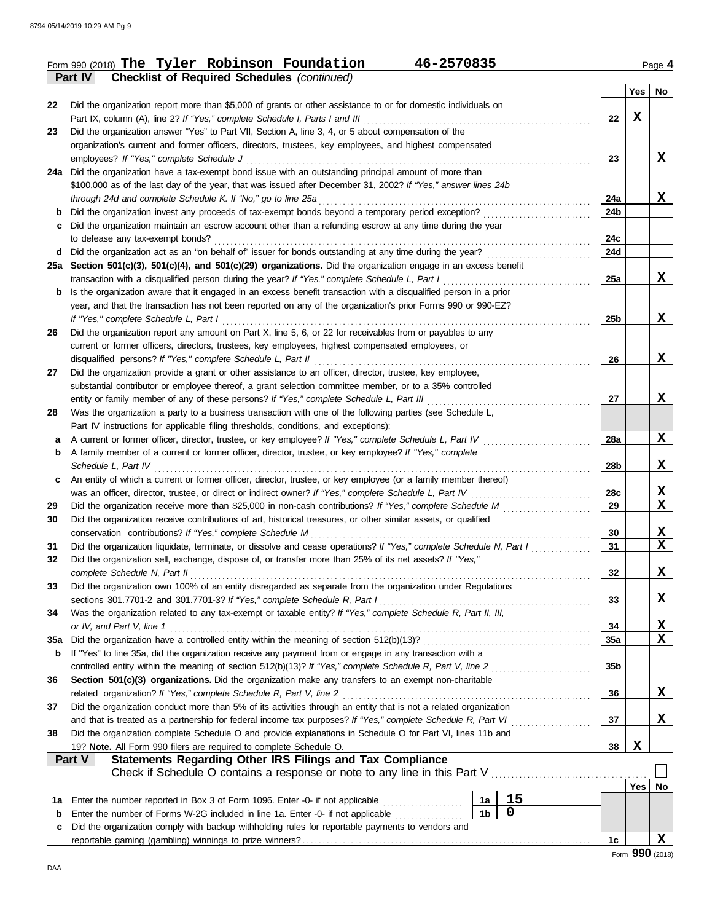|     | Form 990 (2018) The Tyler Robinson Foundation<br>46-2570835                                                                                                                   |                 |            | Page 4      |
|-----|-------------------------------------------------------------------------------------------------------------------------------------------------------------------------------|-----------------|------------|-------------|
|     | <b>Checklist of Required Schedules (continued)</b><br><b>Part IV</b>                                                                                                          |                 |            |             |
|     |                                                                                                                                                                               |                 | Yes        | No          |
| 22  | Did the organization report more than \$5,000 of grants or other assistance to or for domestic individuals on                                                                 |                 |            |             |
|     | Part IX, column (A), line 2? If "Yes," complete Schedule I, Parts I and III                                                                                                   | 22              | X          |             |
| 23  | Did the organization answer "Yes" to Part VII, Section A, line 3, 4, or 5 about compensation of the                                                                           |                 |            |             |
|     | organization's current and former officers, directors, trustees, key employees, and highest compensated                                                                       |                 |            |             |
|     | employees? If "Yes," complete Schedule J                                                                                                                                      | 23              |            | x           |
|     | 24a Did the organization have a tax-exempt bond issue with an outstanding principal amount of more than                                                                       |                 |            |             |
|     | \$100,000 as of the last day of the year, that was issued after December 31, 2002? If "Yes," answer lines 24b<br>through 24d and complete Schedule K. If "No," go to line 25a | 24a             |            | X           |
|     | Did the organization invest any proceeds of tax-exempt bonds beyond a temporary period exception?                                                                             | 24b             |            |             |
|     | Did the organization maintain an escrow account other than a refunding escrow at any time during the year                                                                     |                 |            |             |
|     | to defease any tax-exempt bonds?                                                                                                                                              | 24c             |            |             |
| d   | Did the organization act as an "on behalf of" issuer for bonds outstanding at any time during the year?                                                                       | 24d             |            |             |
|     | 25a Section 501(c)(3), 501(c)(4), and 501(c)(29) organizations. Did the organization engage in an excess benefit                                                              |                 |            |             |
|     | transaction with a disqualified person during the year? If "Yes," complete Schedule L, Part I                                                                                 | 25a             |            | X           |
| b   | Is the organization aware that it engaged in an excess benefit transaction with a disqualified person in a prior                                                              |                 |            |             |
|     | year, and that the transaction has not been reported on any of the organization's prior Forms 990 or 990-EZ?                                                                  |                 |            |             |
|     | If "Yes," complete Schedule L, Part I                                                                                                                                         | 25b             |            | X           |
| 26  | Did the organization report any amount on Part X, line 5, 6, or 22 for receivables from or payables to any                                                                    |                 |            |             |
|     | current or former officers, directors, trustees, key employees, highest compensated employees, or                                                                             |                 |            |             |
|     | disqualified persons? If "Yes," complete Schedule L, Part II                                                                                                                  | 26              |            | X           |
| 27  | Did the organization provide a grant or other assistance to an officer, director, trustee, key employee,                                                                      |                 |            |             |
|     | substantial contributor or employee thereof, a grant selection committee member, or to a 35% controlled                                                                       |                 |            |             |
|     | entity or family member of any of these persons? If "Yes," complete Schedule L, Part III                                                                                      | 27              |            | x           |
| 28  | Was the organization a party to a business transaction with one of the following parties (see Schedule L,                                                                     |                 |            |             |
|     | Part IV instructions for applicable filing thresholds, conditions, and exceptions):                                                                                           |                 |            |             |
| а   | A current or former officer, director, trustee, or key employee? If "Yes," complete Schedule L, Part IV                                                                       | 28a             |            | X           |
| b   | A family member of a current or former officer, director, trustee, or key employee? If "Yes," complete                                                                        |                 |            |             |
|     | Schedule L, Part IV                                                                                                                                                           | 28b             |            | X           |
| c   | An entity of which a current or former officer, director, trustee, or key employee (or a family member thereof)                                                               |                 |            |             |
|     | was an officer, director, trustee, or direct or indirect owner? If "Yes," complete Schedule L, Part IV                                                                        | 28c             |            | $\mathbf x$ |
| 29  | Did the organization receive more than \$25,000 in non-cash contributions? If "Yes," complete Schedule M                                                                      | 29              |            | X           |
| 30  | Did the organization receive contributions of art, historical treasures, or other similar assets, or qualified                                                                |                 |            |             |
|     | conservation contributions? If "Yes," complete Schedule M                                                                                                                     | 30              |            | X<br>X      |
| 31  | Did the organization liquidate, terminate, or dissolve and cease operations? If "Yes," complete Schedule N, Part I                                                            | 31              |            |             |
| 32  | Did the organization sell, exchange, dispose of, or transfer more than 25% of its net assets? If "Yes,"                                                                       |                 |            | X           |
| 33  | complete Schedule N, Part II<br>Did the organization own 100% of an entity disregarded as separate from the organization under Regulations                                    | 32              |            |             |
|     | sections 301.7701-2 and 301.7701-3? If "Yes," complete Schedule R, Part I                                                                                                     | 33              |            | X           |
| 34  | Was the organization related to any tax-exempt or taxable entity? If "Yes," complete Schedule R, Part II, III,                                                                |                 |            |             |
|     | or IV, and Part V, line 1                                                                                                                                                     | 34              |            | <u>x</u>    |
| 35a | Did the organization have a controlled entity within the meaning of section 512(b)(13)?                                                                                       | 35a             |            | X           |
| b   | If "Yes" to line 35a, did the organization receive any payment from or engage in any transaction with a                                                                       |                 |            |             |
|     | controlled entity within the meaning of section 512(b)(13)? If "Yes," complete Schedule R, Part V, line 2                                                                     | 35 <sub>b</sub> |            |             |
| 36  | Section 501(c)(3) organizations. Did the organization make any transfers to an exempt non-charitable                                                                          |                 |            |             |
|     | related organization? If "Yes," complete Schedule R, Part V, line 2                                                                                                           | 36              |            | X           |
| 37  | Did the organization conduct more than 5% of its activities through an entity that is not a related organization                                                              |                 |            |             |
|     | and that is treated as a partnership for federal income tax purposes? If "Yes," complete Schedule R, Part VI                                                                  | 37              |            | X           |
| 38  | Did the organization complete Schedule O and provide explanations in Schedule O for Part VI, lines 11b and                                                                    |                 |            |             |
|     | 19? Note. All Form 990 filers are required to complete Schedule O.                                                                                                            | 38              | X          |             |
|     | Statements Regarding Other IRS Filings and Tax Compliance<br>Part V                                                                                                           |                 |            |             |
|     |                                                                                                                                                                               |                 |            |             |
|     |                                                                                                                                                                               |                 | $Yes \mid$ | No          |
| 1a  | 15<br>Enter the number reported in Box 3 of Form 1096. Enter -0- if not applicable<br>1a                                                                                      |                 |            |             |
| b   | $\mathbf 0$<br>1 <sub>b</sub><br>Enter the number of Forms W-2G included in line 1a. Enter -0- if not applicable                                                              |                 |            |             |
| c   | Did the organization comply with backup withholding rules for reportable payments to vendors and                                                                              |                 |            |             |
|     |                                                                                                                                                                               | 1c              |            | X           |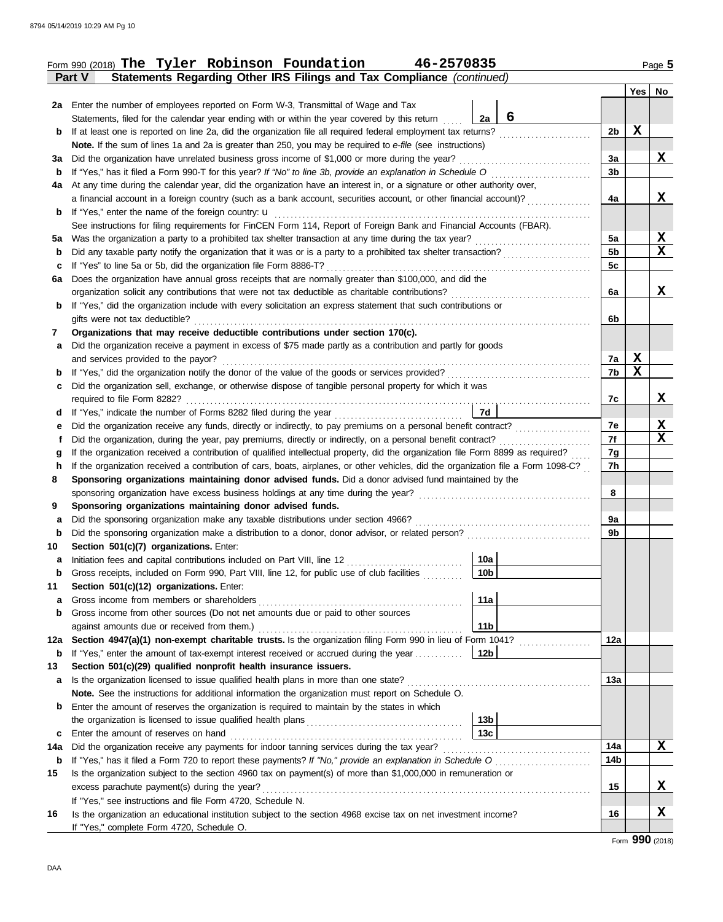|     | Form 990 (2018) The Tyler Robinson Foundation<br>46-2570835                                                                        |                |   | Page 5        |  |  |  |  |  |  |
|-----|------------------------------------------------------------------------------------------------------------------------------------|----------------|---|---------------|--|--|--|--|--|--|
|     | Statements Regarding Other IRS Filings and Tax Compliance (continued)<br>Part V                                                    |                |   |               |  |  |  |  |  |  |
|     |                                                                                                                                    |                |   | $Yes \mid No$ |  |  |  |  |  |  |
|     | 2a Enter the number of employees reported on Form W-3, Transmittal of Wage and Tax                                                 |                |   |               |  |  |  |  |  |  |
|     | 6<br>2a<br>Statements, filed for the calendar year ending with or within the year covered by this return                           |                |   |               |  |  |  |  |  |  |
| b   | If at least one is reported on line 2a, did the organization file all required federal employment tax returns?                     | 2b             | X |               |  |  |  |  |  |  |
|     | Note. If the sum of lines 1a and 2a is greater than 250, you may be required to e-file (see instructions)                          |                |   |               |  |  |  |  |  |  |
|     | Did the organization have unrelated business gross income of \$1,000 or more during the year?<br>За                                |                |   |               |  |  |  |  |  |  |
| b   | If "Yes," has it filed a Form 990-T for this year? If "No" to line 3b, provide an explanation in Schedule O                        |                |   |               |  |  |  |  |  |  |
| 4a  | At any time during the calendar year, did the organization have an interest in, or a signature or other authority over,            | 3b             |   |               |  |  |  |  |  |  |
|     | a financial account in a foreign country (such as a bank account, securities account, or other financial account)?                 | 4a             |   | X             |  |  |  |  |  |  |
| b   | If "Yes," enter the name of the foreign country: <b>u</b>                                                                          |                |   |               |  |  |  |  |  |  |
|     | See instructions for filing requirements for FinCEN Form 114, Report of Foreign Bank and Financial Accounts (FBAR).                |                |   |               |  |  |  |  |  |  |
|     |                                                                                                                                    | 5a             |   | X             |  |  |  |  |  |  |
| 5a  | Was the organization a party to a prohibited tax shelter transaction at any time during the tax year?                              | 5 <sub>b</sub> |   | X             |  |  |  |  |  |  |
| b   | Did any taxable party notify the organization that it was or is a party to a prohibited tax shelter transaction?                   |                |   |               |  |  |  |  |  |  |
| с   | If "Yes" to line 5a or 5b, did the organization file Form 8886-T?                                                                  | 5c             |   |               |  |  |  |  |  |  |
| 6a  | Does the organization have annual gross receipts that are normally greater than \$100,000, and did the                             |                |   |               |  |  |  |  |  |  |
|     | organization solicit any contributions that were not tax deductible as charitable contributions?                                   | 6a             |   | X             |  |  |  |  |  |  |
| b   | If "Yes," did the organization include with every solicitation an express statement that such contributions or                     |                |   |               |  |  |  |  |  |  |
|     | gifts were not tax deductible?                                                                                                     | 6b             |   |               |  |  |  |  |  |  |
| 7   | Organizations that may receive deductible contributions under section 170(c).                                                      |                |   |               |  |  |  |  |  |  |
| a   | Did the organization receive a payment in excess of \$75 made partly as a contribution and partly for goods                        |                |   |               |  |  |  |  |  |  |
|     | and services provided to the payor?                                                                                                | 7a             | X |               |  |  |  |  |  |  |
| b   |                                                                                                                                    | 7b             | X |               |  |  |  |  |  |  |
| с   | Did the organization sell, exchange, or otherwise dispose of tangible personal property for which it was                           |                |   |               |  |  |  |  |  |  |
|     | required to file Form 8282?                                                                                                        | 7c             |   | X             |  |  |  |  |  |  |
| d   | If "Yes," indicate the number of Forms 8282 filed during the year<br>7d                                                            |                |   |               |  |  |  |  |  |  |
| е   | Did the organization receive any funds, directly or indirectly, to pay premiums on a personal benefit contract?                    | 7e             |   | X             |  |  |  |  |  |  |
| f   | Did the organization, during the year, pay premiums, directly or indirectly, on a personal benefit contract?                       | 7f             |   | X             |  |  |  |  |  |  |
| g   | If the organization received a contribution of qualified intellectual property, did the organization file Form 8899 as required?   | 7g             |   |               |  |  |  |  |  |  |
| h   | If the organization received a contribution of cars, boats, airplanes, or other vehicles, did the organization file a Form 1098-C? | 7h             |   |               |  |  |  |  |  |  |
| 8   | Sponsoring organizations maintaining donor advised funds. Did a donor advised fund maintained by the                               |                |   |               |  |  |  |  |  |  |
|     | sponsoring organization have excess business holdings at any time during the year?                                                 | 8              |   |               |  |  |  |  |  |  |
| 9   | Sponsoring organizations maintaining donor advised funds.                                                                          |                |   |               |  |  |  |  |  |  |
| a   | Did the sponsoring organization make any taxable distributions under section 4966?                                                 | 9a             |   |               |  |  |  |  |  |  |
| b   | Did the sponsoring organization make a distribution to a donor, donor advisor, or related person?                                  | 9b             |   |               |  |  |  |  |  |  |
| 10  | Section 501(c)(7) organizations. Enter:                                                                                            |                |   |               |  |  |  |  |  |  |
|     | 10a<br>Initiation fees and capital contributions included on Part VIII, line 12                                                    |                |   |               |  |  |  |  |  |  |
| b   | 10 <sub>b</sub><br>Gross receipts, included on Form 990, Part VIII, line 12, for public use of club facilities                     |                |   |               |  |  |  |  |  |  |
| 11  | Section 501(c)(12) organizations. Enter:                                                                                           |                |   |               |  |  |  |  |  |  |
| a   | 11a<br>Gross income from members or shareholders                                                                                   |                |   |               |  |  |  |  |  |  |
| b   | Gross income from other sources (Do not net amounts due or paid to other sources                                                   |                |   |               |  |  |  |  |  |  |
|     | against amounts due or received from them.)<br>11b                                                                                 |                |   |               |  |  |  |  |  |  |
| 12a | Section 4947(a)(1) non-exempt charitable trusts. Is the organization filing Form 990 in lieu of Form 1041?                         | 12a            |   |               |  |  |  |  |  |  |
| b   | 12 <sub>b</sub><br>If "Yes," enter the amount of tax-exempt interest received or accrued during the year                           |                |   |               |  |  |  |  |  |  |
| 13  | Section 501(c)(29) qualified nonprofit health insurance issuers.                                                                   |                |   |               |  |  |  |  |  |  |
| a   | Is the organization licensed to issue qualified health plans in more than one state?                                               | 13а            |   |               |  |  |  |  |  |  |
|     | Note. See the instructions for additional information the organization must report on Schedule O.                                  |                |   |               |  |  |  |  |  |  |
|     |                                                                                                                                    |                |   |               |  |  |  |  |  |  |
| b   | Enter the amount of reserves the organization is required to maintain by the states in which                                       |                |   |               |  |  |  |  |  |  |
|     | 13 <sub>b</sub>                                                                                                                    |                |   |               |  |  |  |  |  |  |
| c   | 13c<br>Enter the amount of reserves on hand                                                                                        |                |   |               |  |  |  |  |  |  |
| 14a | Did the organization receive any payments for indoor tanning services during the tax year?                                         | 14a            |   | X             |  |  |  |  |  |  |
| b   |                                                                                                                                    | 14b            |   |               |  |  |  |  |  |  |
| 15  | Is the organization subject to the section 4960 tax on payment(s) of more than \$1,000,000 in remuneration or                      |                |   |               |  |  |  |  |  |  |
|     | excess parachute payment(s) during the year?                                                                                       | 15             |   | X             |  |  |  |  |  |  |
|     | If "Yes," see instructions and file Form 4720, Schedule N.                                                                         |                |   |               |  |  |  |  |  |  |
| 16  | Is the organization an educational institution subject to the section 4968 excise tax on net investment income?                    | 16             |   | X             |  |  |  |  |  |  |
|     | If "Yes," complete Form 4720, Schedule O.                                                                                          |                |   |               |  |  |  |  |  |  |

Form **990** (2018)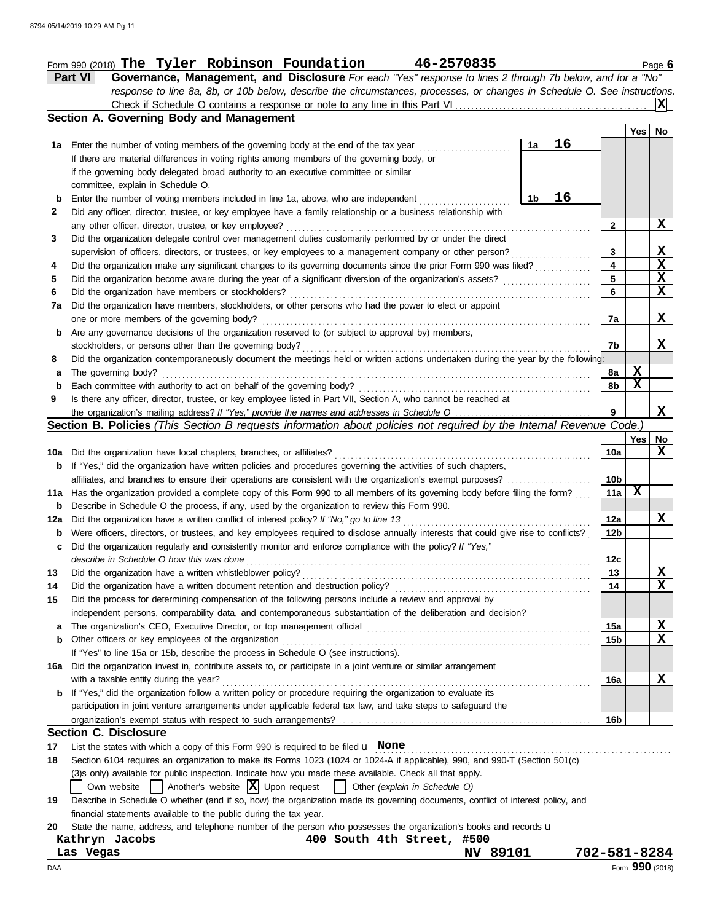#### Form 990 (2018) Page **6 The Tyler Robinson Foundation 46-2570835**

**Part VI Governance, Management, and Disclosure** *For each "Yes" response to lines 2 through 7b below, and for a "No" response to line 8a, 8b, or 10b below, describe the circumstances, processes, or changes in Schedule O. See instructions.* Check if Schedule O contains a response or note to any line in this Part VI . . . . . . . . . . . . . . . . . . . . . . . . . . . . . . . . . . . . . . . . . . . . . . . . **X**

|              | Section A. Governing Body and Management                                                                                                                                                     |    |    |                 |        |             |
|--------------|----------------------------------------------------------------------------------------------------------------------------------------------------------------------------------------------|----|----|-----------------|--------|-------------|
|              |                                                                                                                                                                                              |    |    |                 | Yes    | No          |
| 1а           | Enter the number of voting members of the governing body at the end of the tax year                                                                                                          | 1a | 16 |                 |        |             |
|              | If there are material differences in voting rights among members of the governing body, or                                                                                                   |    |    |                 |        |             |
|              | if the governing body delegated broad authority to an executive committee or similar                                                                                                         |    |    |                 |        |             |
|              | committee, explain in Schedule O.                                                                                                                                                            |    |    |                 |        |             |
| b            | Enter the number of voting members included in line 1a, above, who are independent                                                                                                           | 1b | 16 |                 |        |             |
| $\mathbf{2}$ | Did any officer, director, trustee, or key employee have a family relationship or a business relationship with                                                                               |    |    |                 |        |             |
|              | any other officer, director, trustee, or key employee?                                                                                                                                       |    |    | 2               |        | X           |
| 3            | Did the organization delegate control over management duties customarily performed by or under the direct                                                                                    |    |    |                 |        |             |
|              | supervision of officers, directors, or trustees, or key employees to a management company or other person?                                                                                   |    | .  | 3               |        | X           |
| 4            | Did the organization make any significant changes to its governing documents since the prior Form 990 was filed?                                                                             |    |    | 4               |        | $\mathbf x$ |
| 5            | Did the organization become aware during the year of a significant diversion of the organization's assets?                                                                                   |    |    | 5               |        | X           |
| 6            | Did the organization have members or stockholders?                                                                                                                                           |    |    | 6               |        | X           |
| 7a           | Did the organization have members, stockholders, or other persons who had the power to elect or appoint                                                                                      |    |    |                 |        |             |
|              | one or more members of the governing body?                                                                                                                                                   |    |    | 7a              |        | X           |
| b            | Are any governance decisions of the organization reserved to (or subject to approval by) members,                                                                                            |    |    |                 |        |             |
|              | stockholders, or persons other than the governing body?                                                                                                                                      |    |    | 7b              |        | X           |
| 8            | Did the organization contemporaneously document the meetings held or written actions undertaken during the year by the following:                                                            |    |    |                 |        |             |
| а            | The governing body?                                                                                                                                                                          |    |    | 8a              | X<br>X |             |
| b            | Each committee with authority to act on behalf of the governing body?<br>Is there any officer, director, trustee, or key employee listed in Part VII, Section A, who cannot be reached at    |    |    | 8b              |        |             |
| 9            |                                                                                                                                                                                              |    |    | 9               |        | X           |
|              | Section B. Policies (This Section B requests information about policies not required by the Internal Revenue Code.                                                                           |    |    |                 |        |             |
|              |                                                                                                                                                                                              |    |    |                 | Yes    | No          |
| 10a          | Did the organization have local chapters, branches, or affiliates?                                                                                                                           |    |    | 10a             |        | X           |
| b            | If "Yes," did the organization have written policies and procedures governing the activities of such chapters,                                                                               |    |    |                 |        |             |
|              | affiliates, and branches to ensure their operations are consistent with the organization's exempt purposes?                                                                                  |    |    | 10b             |        |             |
| 11a          | Has the organization provided a complete copy of this Form 990 to all members of its governing body before filing the form?                                                                  |    |    | 11a             | X      |             |
| b            | Describe in Schedule O the process, if any, used by the organization to review this Form 990.                                                                                                |    |    |                 |        |             |
| 12a          | Did the organization have a written conflict of interest policy? If "No," go to line 13                                                                                                      |    |    | 12a             |        | x           |
| b            | Were officers, directors, or trustees, and key employees required to disclose annually interests that could give rise to conflicts?                                                          |    |    | 12 <sub>b</sub> |        |             |
| c            | Did the organization regularly and consistently monitor and enforce compliance with the policy? If "Yes,"                                                                                    |    |    |                 |        |             |
|              | describe in Schedule O how this was done                                                                                                                                                     |    |    | 12c             |        |             |
| 13           | Did the organization have a written whistleblower policy?                                                                                                                                    |    |    | 13              |        | X           |
| 14           | Did the organization have a written document retention and destruction policy?                                                                                                               |    |    | 14              |        | $\mathbf x$ |
| 15           | Did the process for determining compensation of the following persons include a review and approval by                                                                                       |    |    |                 |        |             |
|              | independent persons, comparability data, and contemporaneous substantiation of the deliberation and decision?                                                                                |    |    |                 |        |             |
| a            |                                                                                                                                                                                              |    |    | 15a             |        | X           |
| b            | Other officers or key employees of the organization                                                                                                                                          |    |    | 15 <sub>b</sub> |        | X           |
|              | If "Yes" to line 15a or 15b, describe the process in Schedule O (see instructions).                                                                                                          |    |    |                 |        |             |
| 16a          | Did the organization invest in, contribute assets to, or participate in a joint venture or similar arrangement                                                                               |    |    |                 |        |             |
|              | with a taxable entity during the year?                                                                                                                                                       |    |    | 16a             |        | X           |
| b            | If "Yes," did the organization follow a written policy or procedure requiring the organization to evaluate its                                                                               |    |    |                 |        |             |
|              | participation in joint venture arrangements under applicable federal tax law, and take steps to safeguard the                                                                                |    |    |                 |        |             |
|              |                                                                                                                                                                                              |    |    | 16 <sub>b</sub> |        |             |
|              | Section C. Disclosure                                                                                                                                                                        |    |    |                 |        |             |
| 17           | List the states with which a copy of this Form 990 is required to be filed $\mu$ None                                                                                                        |    |    |                 |        |             |
| 18           | Section 6104 requires an organization to make its Forms 1023 (1024 or 1024-A if applicable), 990, and 990-T (Section 501(c)                                                                  |    |    |                 |        |             |
|              | (3)s only) available for public inspection. Indicate how you made these available. Check all that apply.<br>Own website   Another's website  X  Upon request   Other (explain in Schedule O) |    |    |                 |        |             |
| 19           | Describe in Schedule O whether (and if so, how) the organization made its governing documents, conflict of interest policy, and                                                              |    |    |                 |        |             |
|              | financial statements available to the public during the tax year.                                                                                                                            |    |    |                 |        |             |
| 20           | State the name, address, and telephone number of the person who possesses the organization's books and records u                                                                             |    |    |                 |        |             |
|              |                                                                                                                                                                                              |    |    |                 |        |             |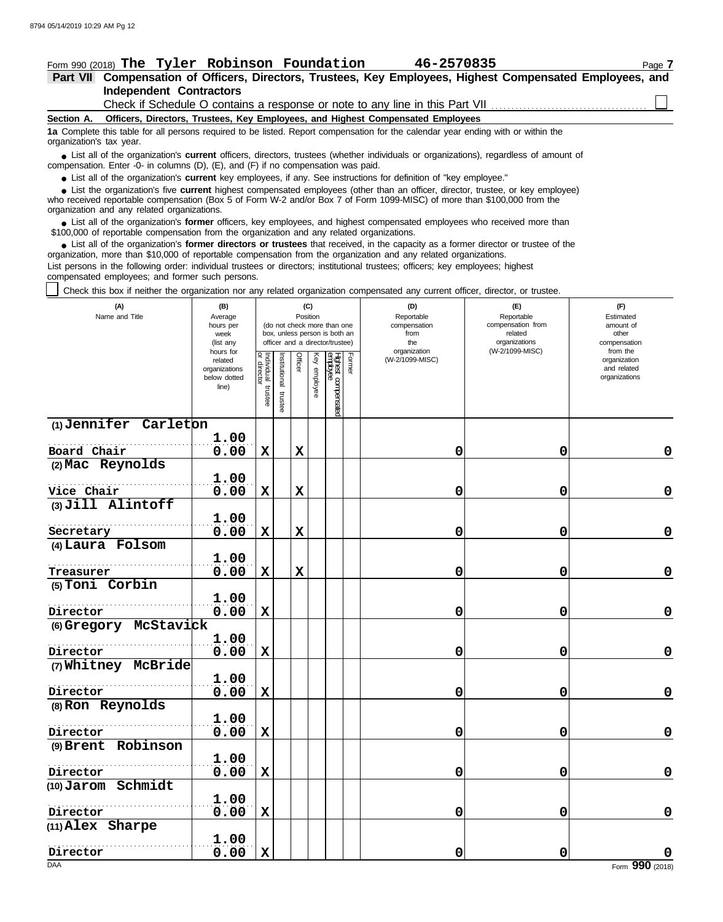## Form 990 (2018) Page **7 The Tyler Robinson Foundation 46-2570835**

#### **Independent Contractors Part VII Compensation of Officers, Directors, Trustees, Key Employees, Highest Compensated Employees, and**

Check if Schedule O contains a response or note to any line in this Part VII

**Section A. Officers, Directors, Trustees, Key Employees, and Highest Compensated Employees**

**1a** Complete this table for all persons required to be listed. Report compensation for the calendar year ending with or within the organization's tax year.

■ List all of the organization's **current** officers, directors, trustees (whether individuals or organizations), regardless of amount of annount of the organization and the studies of amount of compensation. Enter -0- in columns (D), (E), and (F) if no compensation was paid.

● List all of the organization's **current** key employees, if any. See instructions for definition of "key employee."

who received reportable compensation (Box 5 of Form W-2 and/or Box 7 of Form 1099-MISC) of more than \$100,000 from the organization and any related organizations. ■ List the organization's five **current** highest compensated employees (other than an officer, director, trustee, or key employee)<br> **•** Persived reportable compensation (Box 5 of Form W-2 and/or Box 7 of Form 1099-MISC) o

■ List all of the organization's **former** officers, key employees, and highest compensated employees who received more than<br>00,000 of reportable compensation from the organization and any related organizations \$100,000 of reportable compensation from the organization and any related organizations.

■ List all of the organization's **former directors or trustees** that received, in the capacity as a former director or trustee of the prization more than \$10,000 of reportable compensation from the organization and any re organization, more than \$10,000 of reportable compensation from the organization and any related organizations.

List persons in the following order: individual trustees or directors; institutional trustees; officers; key employees; highest compensated employees; and former such persons.

Check this box if neither the organization nor any related organization compensated any current officer, director, or trustee.

| (W-2/1099-MISC)<br>organization<br>from the<br>hours for<br>Former<br>Individual trustee<br>or director<br>Officer<br>Key employee<br>Highest compensated<br>employee<br>nstitutional<br>(W-2/1099-MISC)<br>organization<br>related<br>and related<br>organizations<br>organizations<br>below dotted<br>line)<br>trustee<br>(1) Jennifer Carleton<br>1.00<br>Board Chair<br>0.00<br>0<br>0<br>X<br>X |             |
|------------------------------------------------------------------------------------------------------------------------------------------------------------------------------------------------------------------------------------------------------------------------------------------------------------------------------------------------------------------------------------------------------|-------------|
|                                                                                                                                                                                                                                                                                                                                                                                                      |             |
|                                                                                                                                                                                                                                                                                                                                                                                                      |             |
|                                                                                                                                                                                                                                                                                                                                                                                                      | $\mathbf 0$ |
| (2) Mac Reynolds                                                                                                                                                                                                                                                                                                                                                                                     |             |
| 1.00                                                                                                                                                                                                                                                                                                                                                                                                 |             |
| Vice Chair<br>0.00<br>$\mathbf x$<br>$\mathbf x$<br>0<br>0                                                                                                                                                                                                                                                                                                                                           | $\mathbf 0$ |
| (3) Jill Alintoff                                                                                                                                                                                                                                                                                                                                                                                    |             |
| 1.00<br>0.00<br>0<br>$\mathbf x$<br>$\mathbf x$<br>0<br>Secretary                                                                                                                                                                                                                                                                                                                                    | 0           |
| (4) Laura Folsom                                                                                                                                                                                                                                                                                                                                                                                     |             |
| 1.00                                                                                                                                                                                                                                                                                                                                                                                                 |             |
| 0.00<br>$\mathbf x$<br>$\mathbf x$<br>0<br>0<br>Treasurer                                                                                                                                                                                                                                                                                                                                            | $\mathbf 0$ |
| (5) Toni Corbin                                                                                                                                                                                                                                                                                                                                                                                      |             |
| 1.00                                                                                                                                                                                                                                                                                                                                                                                                 |             |
| 0<br>0.00<br>$\mathbf x$<br>0<br>Director                                                                                                                                                                                                                                                                                                                                                            | $\mathbf 0$ |
| (6) Gregory McStavick<br>1.00                                                                                                                                                                                                                                                                                                                                                                        |             |
| 0.00<br>$\mathbf x$<br>0<br>0<br>Director                                                                                                                                                                                                                                                                                                                                                            | $\mathbf 0$ |
| (7) Whitney McBride                                                                                                                                                                                                                                                                                                                                                                                  |             |
| 1.00                                                                                                                                                                                                                                                                                                                                                                                                 |             |
| 0.00<br>Director<br>$\mathbf x$<br>0<br>0                                                                                                                                                                                                                                                                                                                                                            | $\mathbf 0$ |
| (8) Ron Reynolds                                                                                                                                                                                                                                                                                                                                                                                     |             |
| 1.00                                                                                                                                                                                                                                                                                                                                                                                                 |             |
| 0.00<br>$\mathbf x$<br>$\mathbf 0$<br>$\mathbf 0$<br>Director                                                                                                                                                                                                                                                                                                                                        | $\mathbf 0$ |
| (9) Brent Robinson<br>1.00                                                                                                                                                                                                                                                                                                                                                                           |             |
| 0.00<br>$\mathbf x$<br>0<br>Director<br>0                                                                                                                                                                                                                                                                                                                                                            | $\mathbf 0$ |
| (10) Jarom Schmidt                                                                                                                                                                                                                                                                                                                                                                                   |             |
| 1.00                                                                                                                                                                                                                                                                                                                                                                                                 |             |
| 0.00<br>$\mathbf x$<br>0<br>0<br>Director                                                                                                                                                                                                                                                                                                                                                            | $\mathbf 0$ |
| (11) Alex Sharpe                                                                                                                                                                                                                                                                                                                                                                                     |             |
| 1.00                                                                                                                                                                                                                                                                                                                                                                                                 |             |
| 0.00<br>0<br>$\mathbf x$<br>0<br>Director<br><b>DAA</b><br>Form 990 (2018)                                                                                                                                                                                                                                                                                                                           |             |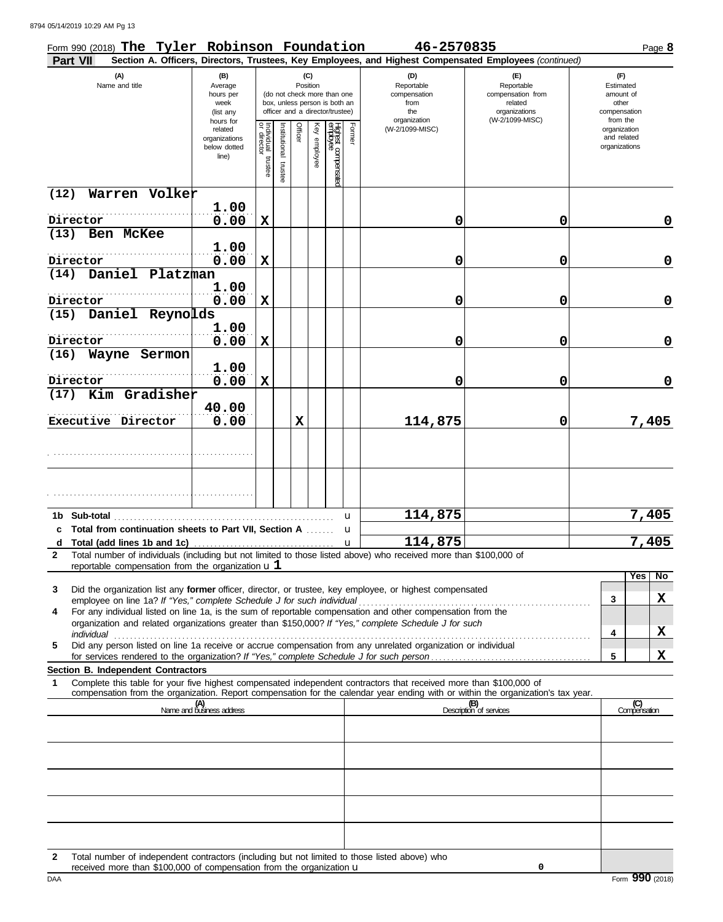8794 05/14/2019 10:29 AM Pg 13

| Form 990 (2018) The Tyler Robinson Foundation<br><b>Part VII</b>                                                   |                                                               |                                   |                          |         |                 |                                                                                                 |        | 46-2570835                                                                                                                   | Section A. Officers, Directors, Trustees, Key Employees, and Highest Compensated Employees (continued)                                                             | Page 8                                                             |
|--------------------------------------------------------------------------------------------------------------------|---------------------------------------------------------------|-----------------------------------|--------------------------|---------|-----------------|-------------------------------------------------------------------------------------------------|--------|------------------------------------------------------------------------------------------------------------------------------|--------------------------------------------------------------------------------------------------------------------------------------------------------------------|--------------------------------------------------------------------|
| (A)<br>Name and title                                                                                              | (B)<br>Average<br>hours per<br>week<br>(list any<br>hours for |                                   |                          |         | (C)<br>Position | (do not check more than one<br>box, unless person is both an<br>officer and a director/trustee) |        | (D)<br>Reportable<br>compensation<br>from<br>the<br>organization                                                             | (F)<br>Reportable<br>compensation from<br>related<br>organizations<br>(W-2/1099-MISC)                                                                              | (F)<br>Estimated<br>amount of<br>other<br>compensation<br>from the |
|                                                                                                                    | related<br>organizations<br>below dotted<br>line)             | Individual trustee<br>or director | Institutional<br>trustee | Officer | Key employee    | Highest compensated<br>employee                                                                 | Former | (W-2/1099-MISC)                                                                                                              |                                                                                                                                                                    | organization<br>and related<br>organizations                       |
| Warren Volker<br>(12)                                                                                              |                                                               |                                   |                          |         |                 |                                                                                                 |        |                                                                                                                              |                                                                                                                                                                    |                                                                    |
| Director                                                                                                           | 1.00<br>0.00                                                  | X                                 |                          |         |                 |                                                                                                 |        | 0                                                                                                                            | 0                                                                                                                                                                  | 0                                                                  |
| (13)<br>Ben McKee                                                                                                  | 1.00                                                          |                                   |                          |         |                 |                                                                                                 |        |                                                                                                                              |                                                                                                                                                                    |                                                                    |
| Director<br>Daniel Platzman<br>(14)                                                                                | 0.00                                                          | х                                 |                          |         |                 |                                                                                                 |        | 0                                                                                                                            | 0                                                                                                                                                                  | 0                                                                  |
|                                                                                                                    | 1.00                                                          |                                   |                          |         |                 |                                                                                                 |        |                                                                                                                              |                                                                                                                                                                    |                                                                    |
| Director<br>Daniel Reynolds<br>(15)                                                                                | 0.00                                                          | х                                 |                          |         |                 |                                                                                                 |        | 0                                                                                                                            | 0                                                                                                                                                                  | 0                                                                  |
|                                                                                                                    | 1.00                                                          |                                   |                          |         |                 |                                                                                                 |        |                                                                                                                              |                                                                                                                                                                    |                                                                    |
| Director                                                                                                           | 0.00                                                          | X                                 |                          |         |                 |                                                                                                 |        | 0                                                                                                                            | 0                                                                                                                                                                  | $\mathbf 0$                                                        |
| (16)<br>Wayne Sermon<br>Director                                                                                   | 1.00<br>0.00                                                  | X                                 |                          |         |                 |                                                                                                 |        | 0                                                                                                                            | 0                                                                                                                                                                  | 0                                                                  |
| Kim Gradisher<br>(17)                                                                                              |                                                               |                                   |                          |         |                 |                                                                                                 |        |                                                                                                                              |                                                                                                                                                                    |                                                                    |
| Executive Director                                                                                                 | 40.00<br>0.00                                                 |                                   |                          | X       |                 |                                                                                                 |        | 114,875                                                                                                                      | 0                                                                                                                                                                  | 7,405                                                              |
|                                                                                                                    |                                                               |                                   |                          |         |                 |                                                                                                 |        |                                                                                                                              |                                                                                                                                                                    |                                                                    |
|                                                                                                                    |                                                               |                                   |                          |         |                 |                                                                                                 |        |                                                                                                                              |                                                                                                                                                                    |                                                                    |
| 1b Sub-total                                                                                                       |                                                               |                                   |                          |         |                 |                                                                                                 | u      | 114,875                                                                                                                      |                                                                                                                                                                    | 7,405                                                              |
| c Total from continuation sheets to Part VII, Section A                                                            |                                                               |                                   |                          |         |                 |                                                                                                 | u      |                                                                                                                              |                                                                                                                                                                    |                                                                    |
| d<br>$\mathbf{2}$                                                                                                  |                                                               |                                   |                          |         |                 |                                                                                                 | u      | 114,875<br>Total number of individuals (including but not limited to those listed above) who received more than \$100,000 of |                                                                                                                                                                    | 7,405                                                              |
| reportable compensation from the organization $u1$                                                                 |                                                               |                                   |                          |         |                 |                                                                                                 |        |                                                                                                                              |                                                                                                                                                                    |                                                                    |
| Did the organization list any former officer, director, or trustee, key employee, or highest compensated<br>3      |                                                               |                                   |                          |         |                 |                                                                                                 |        |                                                                                                                              |                                                                                                                                                                    | Yes <br>No                                                         |
| employee on line 1a? If "Yes," complete Schedule J for such individual<br>4                                        |                                                               |                                   |                          |         |                 |                                                                                                 |        | For any individual listed on line 1a, is the sum of reportable compensation and other compensation from the                  |                                                                                                                                                                    | X<br>3                                                             |
| individual                                                                                                         |                                                               |                                   |                          |         |                 |                                                                                                 |        | organization and related organizations greater than \$150,000? If "Yes," complete Schedule J for such                        |                                                                                                                                                                    | X<br>4                                                             |
| Did any person listed on line 1a receive or accrue compensation from any unrelated organization or individual<br>5 |                                                               |                                   |                          |         |                 |                                                                                                 |        |                                                                                                                              |                                                                                                                                                                    |                                                                    |
| Section B. Independent Contractors                                                                                 |                                                               |                                   |                          |         |                 |                                                                                                 |        |                                                                                                                              |                                                                                                                                                                    | X<br>5                                                             |
| 1                                                                                                                  |                                                               |                                   |                          |         |                 |                                                                                                 |        | Complete this table for your five highest compensated independent contractors that received more than \$100,000 of           |                                                                                                                                                                    |                                                                    |
|                                                                                                                    | (A)<br>Name and business address                              |                                   |                          |         |                 |                                                                                                 |        |                                                                                                                              | compensation from the organization. Report compensation for the calendar year ending with or within the organization's tax year.<br>(B)<br>Description of services | (C)<br>Compensation                                                |
|                                                                                                                    |                                                               |                                   |                          |         |                 |                                                                                                 |        |                                                                                                                              |                                                                                                                                                                    |                                                                    |
|                                                                                                                    |                                                               |                                   |                          |         |                 |                                                                                                 |        |                                                                                                                              |                                                                                                                                                                    |                                                                    |
|                                                                                                                    |                                                               |                                   |                          |         |                 |                                                                                                 |        |                                                                                                                              |                                                                                                                                                                    |                                                                    |
|                                                                                                                    |                                                               |                                   |                          |         |                 |                                                                                                 |        |                                                                                                                              |                                                                                                                                                                    |                                                                    |
|                                                                                                                    |                                                               |                                   |                          |         |                 |                                                                                                 |        |                                                                                                                              |                                                                                                                                                                    |                                                                    |
|                                                                                                                    |                                                               |                                   |                          |         |                 |                                                                                                 |        |                                                                                                                              |                                                                                                                                                                    |                                                                    |
|                                                                                                                    |                                                               |                                   |                          |         |                 |                                                                                                 |        |                                                                                                                              |                                                                                                                                                                    |                                                                    |
| Total number of independent contractors (including but not limited to those listed above) who<br>$\mathbf{2}$      |                                                               |                                   |                          |         |                 |                                                                                                 |        |                                                                                                                              |                                                                                                                                                                    |                                                                    |

**0**

received more than \$100,000 of compensation from the organization u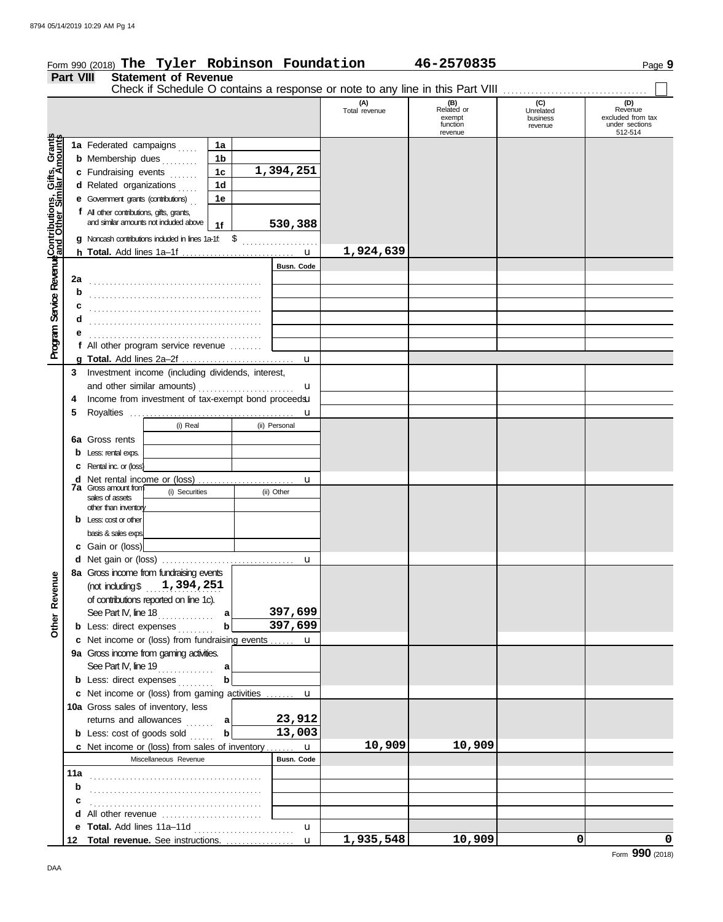|                                                                                                                  |                  | Form 990 (2018) The Tyler Robinson Foundation                                          |                |   |                   |               | 46-2570835                                         |                                  | Page 9                                                    |
|------------------------------------------------------------------------------------------------------------------|------------------|----------------------------------------------------------------------------------------|----------------|---|-------------------|---------------|----------------------------------------------------|----------------------------------|-----------------------------------------------------------|
|                                                                                                                  | <b>Part VIII</b> | <b>Statement of Revenue</b>                                                            |                |   |                   |               |                                                    |                                  |                                                           |
|                                                                                                                  |                  | Check if Schedule O contains a response or note to any line in this Part VIII          |                |   |                   | (A)           |                                                    | (C)                              | (D)                                                       |
|                                                                                                                  |                  |                                                                                        |                |   |                   | Total revenue | (B)<br>Related or<br>exempt<br>function<br>revenue | Unrelated<br>business<br>revenue | Revenue<br>excluded from tax<br>under sections<br>512-514 |
|                                                                                                                  |                  | 1a Federated campaigns                                                                 | 1a             |   |                   |               |                                                    |                                  |                                                           |
|                                                                                                                  |                  | <b>b</b> Membership dues                                                               | 1b             |   |                   |               |                                                    |                                  |                                                           |
|                                                                                                                  |                  | c Fundraising events                                                                   | 1 <sub>c</sub> |   | 1,394,251         |               |                                                    |                                  |                                                           |
|                                                                                                                  |                  | d Related organizations                                                                | 1 <sub>d</sub> |   |                   |               |                                                    |                                  |                                                           |
|                                                                                                                  |                  | <b>e</b> Government grants (contributions)                                             | 1e             |   |                   |               |                                                    |                                  |                                                           |
|                                                                                                                  |                  | f All other contributions, gifts, grants,                                              |                |   |                   |               |                                                    |                                  |                                                           |
|                                                                                                                  |                  | and similar amounts not included above                                                 | 1f             |   | 530,388           |               |                                                    |                                  |                                                           |
|                                                                                                                  |                  | $g$ Noncash contributions included in lines 1a-1f: $$$                                 |                |   |                   |               |                                                    |                                  |                                                           |
|                                                                                                                  |                  |                                                                                        |                |   |                   | 1,924,639     |                                                    |                                  |                                                           |
| <b>Program Service Reverue</b> Contributions, Gifts, Grants<br>Program Service Reverue and Other Similar Amounts |                  |                                                                                        |                |   | <b>Busn. Code</b> |               |                                                    |                                  |                                                           |
|                                                                                                                  | 2a               |                                                                                        |                |   |                   |               |                                                    |                                  |                                                           |
|                                                                                                                  | b                |                                                                                        |                |   |                   |               |                                                    |                                  |                                                           |
|                                                                                                                  | c                |                                                                                        |                |   |                   |               |                                                    |                                  |                                                           |
|                                                                                                                  | d                |                                                                                        |                |   |                   |               |                                                    |                                  |                                                           |
|                                                                                                                  |                  |                                                                                        |                |   |                   |               |                                                    |                                  |                                                           |
|                                                                                                                  |                  | f All other program service revenue                                                    |                |   |                   |               |                                                    |                                  |                                                           |
|                                                                                                                  |                  |                                                                                        |                |   | u                 |               |                                                    |                                  |                                                           |
|                                                                                                                  | 3                | Investment income (including dividends, interest,                                      |                |   |                   |               |                                                    |                                  |                                                           |
|                                                                                                                  |                  | and other similar amounts)<br>Income from investment of tax-exempt bond proceedsu      |                | . | u                 |               |                                                    |                                  |                                                           |
|                                                                                                                  | 5                |                                                                                        |                |   |                   |               |                                                    |                                  |                                                           |
|                                                                                                                  |                  | (i) Real                                                                               |                |   | (ii) Personal     |               |                                                    |                                  |                                                           |
|                                                                                                                  |                  | <b>6a</b> Gross rents                                                                  |                |   |                   |               |                                                    |                                  |                                                           |
|                                                                                                                  |                  | <b>b</b> Less: rental exps.                                                            |                |   |                   |               |                                                    |                                  |                                                           |
|                                                                                                                  |                  | <b>C</b> Rental inc. or (loss)                                                         |                |   |                   |               |                                                    |                                  |                                                           |
|                                                                                                                  |                  | d Net rental income or (loss)                                                          |                |   | u                 |               |                                                    |                                  |                                                           |
|                                                                                                                  |                  | <b>7a</b> Gross amount from<br>(i) Securities                                          |                |   | (ii) Other        |               |                                                    |                                  |                                                           |
|                                                                                                                  |                  | sales of assets<br>other than inventory                                                |                |   |                   |               |                                                    |                                  |                                                           |
|                                                                                                                  |                  | $b$ Less: cost or other                                                                |                |   |                   |               |                                                    |                                  |                                                           |
|                                                                                                                  |                  | basis & sales exps.                                                                    |                |   |                   |               |                                                    |                                  |                                                           |
|                                                                                                                  |                  | c Gain or (loss)                                                                       |                |   |                   |               |                                                    |                                  |                                                           |
|                                                                                                                  |                  | d Net gain or (loss)                                                                   |                |   |                   |               |                                                    |                                  |                                                           |
|                                                                                                                  |                  | 8a Gross income from fundraising events                                                |                |   |                   |               |                                                    |                                  |                                                           |
| Other Revenue                                                                                                    |                  | (not including $$1,394,251$                                                            |                |   |                   |               |                                                    |                                  |                                                           |
|                                                                                                                  |                  | of contributions reported on line 1c).                                                 |                |   |                   |               |                                                    |                                  |                                                           |
|                                                                                                                  |                  | See Part IV, line 18                                                                   | a              |   | 397,699           |               |                                                    |                                  |                                                           |
|                                                                                                                  |                  | <b>b</b> Less: direct expenses                                                         | b              |   | 397,699           |               |                                                    |                                  |                                                           |
|                                                                                                                  |                  | c Net income or (loss) from fundraising events  u                                      |                |   |                   |               |                                                    |                                  |                                                           |
|                                                                                                                  |                  | 9a Gross income from gaming activities.                                                |                |   |                   |               |                                                    |                                  |                                                           |
|                                                                                                                  |                  |                                                                                        |                |   |                   |               |                                                    |                                  |                                                           |
|                                                                                                                  |                  | <b>b</b> Less: direct expenses                                                         |                |   |                   |               |                                                    |                                  |                                                           |
|                                                                                                                  |                  | c Net income or (loss) from gaming activities  u<br>10a Gross sales of inventory, less |                |   |                   |               |                                                    |                                  |                                                           |
|                                                                                                                  |                  | returns and allowances                                                                 | _a             |   | 23,912            |               |                                                    |                                  |                                                           |
|                                                                                                                  |                  | <b>b</b> Less: cost of goods sold                                                      | $\mathbf{b}$   |   | 13,003            |               |                                                    |                                  |                                                           |
|                                                                                                                  |                  | c Net income or (loss) from sales of inventory u                                       |                |   |                   | 10,909        | 10,909                                             |                                  |                                                           |
|                                                                                                                  |                  | Miscellaneous Revenue                                                                  |                |   | <b>Busn. Code</b> |               |                                                    |                                  |                                                           |
|                                                                                                                  | 11a              |                                                                                        |                |   |                   |               |                                                    |                                  |                                                           |
|                                                                                                                  | b                |                                                                                        |                |   |                   |               |                                                    |                                  |                                                           |
|                                                                                                                  |                  |                                                                                        |                |   |                   |               |                                                    |                                  |                                                           |
|                                                                                                                  |                  | d All other revenue                                                                    |                |   |                   |               |                                                    |                                  |                                                           |
|                                                                                                                  |                  | e Total. Add lines 11a-11d                                                             |                |   | $\mathbf u$       |               |                                                    |                                  |                                                           |
|                                                                                                                  |                  |                                                                                        |                |   |                   | 1,935,548     | 10,909                                             | $\mathbf 0$                      | $\mathbf 0$                                               |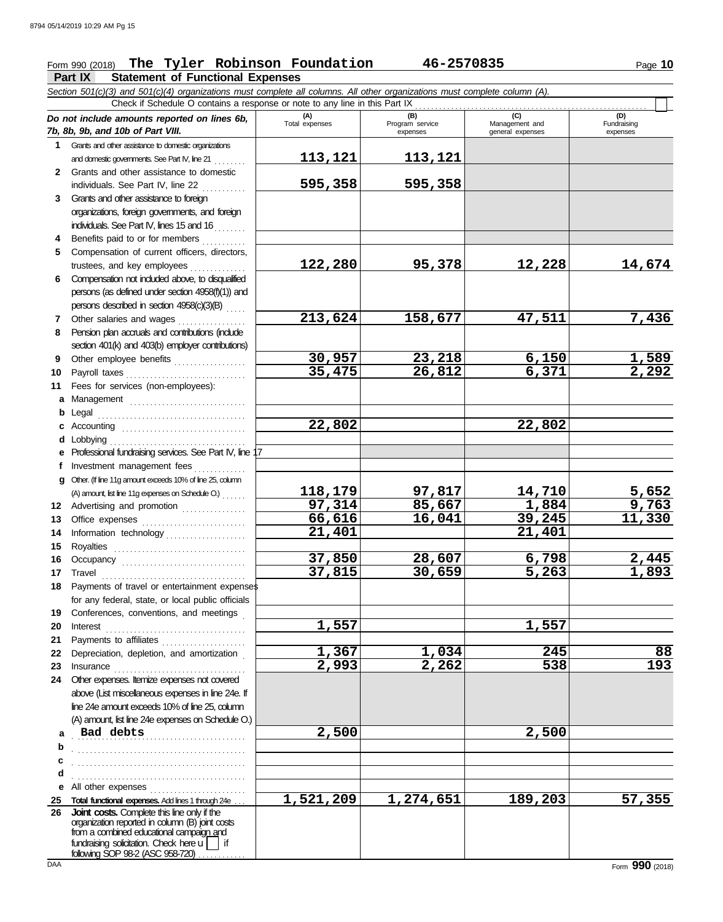# Form 990 (2018) Page **10 The Tyler Robinson Foundation 46-2570835**

**Part IX Statement of Functional Expenses**

*Section 501(c)(3) and 501(c)(4) organizations must complete all columns. All other organizations must complete column (A). Do not include amounts reported on lines 6b, 7b, 8b, 9b, and 10b of Part VIII.* **1 2** Grants and other assistance to domestic organizations and domestic governments. See Part IV, line 21 Grants and other assistance to domestic individuals. See Part IV, line 22 **(A) (B) (C) (C) C**<br>Total expenses **Program service Manageme** Total expenses<br>
expenses Program service<br>
Program service<br>  $\frac{1}{2}$ <br>  $\frac{1}{2}$ <br>  $\frac{1}{2}$ <br>  $\frac{1}{2}$ <br>  $\frac{1}{2}$ <br>  $\frac{1}{2}$ <br>  $\frac{1}{2}$ <br>  $\frac{1}{2}$ <br>  $\frac{1}{2}$ <br>  $\frac{1}{2}$ <br>  $\frac{1}{2}$ <br>  $\frac{1}{2}$ <br>  $\frac{1}{2}$ <br>  $\frac{1}{2}$ <br>  $\frac{1}{2}$ expenses general expenses Check if Schedule O contains a response or note to any line in this Part IX **113,121 113,121 595,358 595,358**

**21,401 21,401**

**37,815 30,659 5,263 1,893**

- **3** Grants and other assistance to foreign organizations, foreign governments, and foreign individuals. See Part IV, lines 15 and 16
- **4** Benefits paid to or for members **.** . . . . . . . . **5** Compensation of current officers, directors, trustees, and key employees ..............
- **6** Compensation not included above, to disqualified persons (as defined under section 4958(f)(1)) and persons described in section 4958(c)(3)(B) . . . . .
- **7 8** Other salaries and wages ............. Pension plan accruals and contributions (include
- **9** section 401(k) and 403(b) employer contributions) Other employee benefits ..................
- **10 11 a** Management ............................. **b** Legal . . . . . . . . . . . . . . . . . . . . . . . . . . . . . . . . . . . . . **c** Accounting . . . . . . . . . . . . . . . . . . . . . . . . . . . . . . . **d** Lobbying . . . . . . . . . . . . . . . . . . . . . . . . . . . . . . . . . . Payroll taxes . . . . . . . . . . . . . . . . . . . . . . . . . . . . . . Fees for services (non-employees):
- **e** Professional fundraising services. See Part IV, line 17 **f g** Investment management fees Other. (If line 11g amount exceeds 10% of line 25, column
- **12** Advertising and promotion . . . . . . . . . . . . . . (A) amount, list line 11g expenses on Schedule O.) . . . . . .
- **13** Office expenses **.......................**... **14 15 16** Information technology . . . . . . . . . . . . . . . . . . . . Royalties . . . . . . . . . . . . . . . . . . . . . . . . . . . . . . . . . Occupancy . . . . . . . . . . . . . . . . . . . . . . . . . . . . . . .
- **17** Travel . . . . . . . . . . . . . . . . . . . . . . . . . . . . . . . . . . . . **18** Payments of travel or entertainment expenses for any federal, state, or local public officials
- **19** Conferences, conventions, and meetings . **20** Interest . . . . . . . . . . . . . . . . . . . . . . . . . . . . . . . . . . . **21** Payments to affiliates ......................
- **22** Depreciation, depletion, and amortization . **23** Insurance . . . . . . . . . . . . . . . . . . . . . . . . . . . . . . . . . **24** Other expenses. Itemize expenses not covered
- **a** Bad debts **2,500 2,500 2,500 b** . . . . . . . . . . . . . . . . . . . . . . . . . . . . . . . . . . . . . . . . . . . above (List miscellaneous expenses in line 24e. If line 24e amount exceeds 10% of line 25, column (A) amount, list line 24e expenses on Schedule O.)
- **c d e** All other expenses **. . . . . . . . . . . . . . . . . .** . . . . . . . . . . . **25 Total functional expenses.** Add lines 1 through 24e . . . . . . . . . . . . . . . . . . . . . . . . . . . . . . . . . . . . . . . . . . . . . . . . . . . . . . . . . . . . . . . . . . . . . . . . . . . . . . . . . . . . . . . . .

**26** fundraising solicitation. Check here  $\mathsf{u}$  | if organization reported in column (B) joint costs from a combined educational campaign and following SOP 98-2 (ASC 958-720) . . . . . . . . . . **Joint costs.** Complete this line only if the

**122,280 95,378 12,228 14,674**

**213,624 158,677 47,511 7,436**

**30,957 23,218 6,150 1,589 35,475 26,812 6,371 2,292**

**118,179 97,817 14,710 5,652 97,314 85,667 1,884 9,763**

**37,850 28,607 6,798 2,445**

**1,367 1,034 245 88 2,993 2,262 538 193**

**1,521,209 1,274,651 189,203 57,355**

**66,616 16,041 39,245 11,330**

**22,802 22,802**

**1,557 1,557**

(D)<br>Fundraising expenses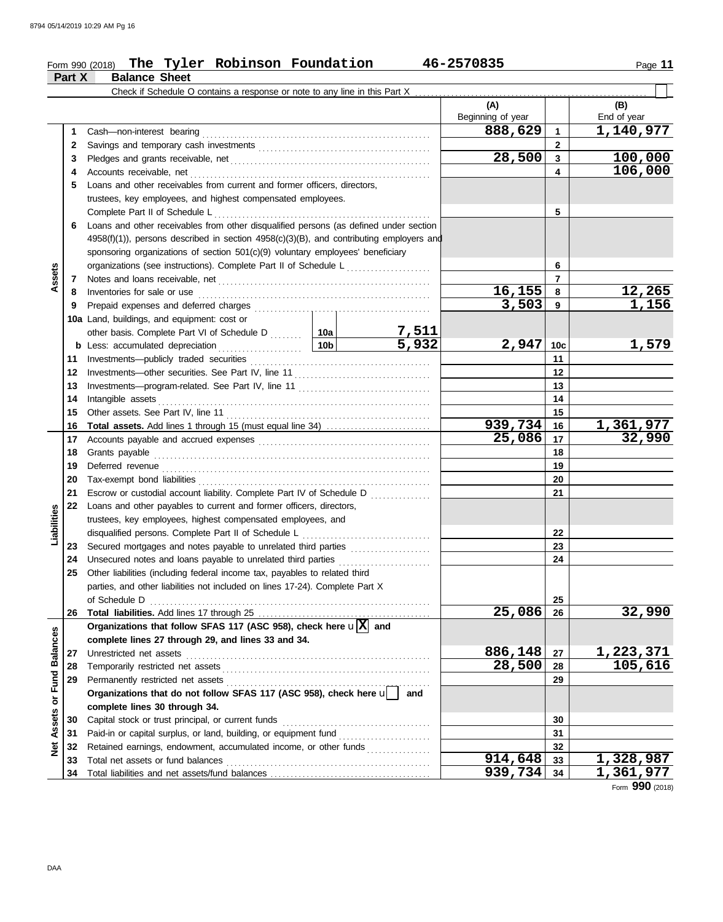## Form 990 (2018) Page **11 The Tyler Robinson Foundation 46-2570835**

|                      | Part X | <b>Balance Sheet</b>                                                                                                                  |                       |                          |                 |                     |
|----------------------|--------|---------------------------------------------------------------------------------------------------------------------------------------|-----------------------|--------------------------|-----------------|---------------------|
|                      |        | Check if Schedule O contains a response or note to any line in this Part X.                                                           |                       |                          |                 |                     |
|                      |        |                                                                                                                                       |                       | (A)<br>Beginning of year |                 | (B)<br>End of year  |
|                      | 1      | Cash-non-interest bearing                                                                                                             |                       | 888,629                  | $\mathbf{1}$    | 1,140,977           |
|                      | 2      |                                                                                                                                       |                       |                          | $\mathbf{2}$    |                     |
|                      | 3      |                                                                                                                                       |                       | 28,500                   | $\mathbf{3}$    | 100,000             |
|                      | 4      |                                                                                                                                       |                       |                          | 4               | 106,000             |
|                      | 5      | Loans and other receivables from current and former officers, directors,                                                              |                       |                          |                 |                     |
|                      |        | trustees, key employees, and highest compensated employees.                                                                           |                       |                          |                 |                     |
|                      |        | Complete Part II of Schedule L                                                                                                        |                       |                          | 5               |                     |
|                      | 6      | Loans and other receivables from other disqualified persons (as defined under section                                                 |                       |                          |                 |                     |
|                      |        | $4958(f)(1)$ ), persons described in section $4958(c)(3)(B)$ , and contributing employers and                                         |                       |                          |                 |                     |
|                      |        | sponsoring organizations of section 501(c)(9) voluntary employees' beneficiary                                                        |                       |                          |                 |                     |
|                      |        | organizations (see instructions). Complete Part II of Schedule L                                                                      |                       | 6                        |                 |                     |
| Assets               | 7      |                                                                                                                                       |                       |                          | $\overline{7}$  |                     |
|                      | 8      | Inventories for sale or use                                                                                                           |                       | 16, 155                  | 8               | <u>12,265</u>       |
|                      | 9      |                                                                                                                                       |                       | 3,503                    | 9               | 1,156               |
|                      |        | 10a Land, buildings, and equipment: cost or                                                                                           |                       |                          |                 |                     |
|                      |        | other basis. Complete Part VI of Schedule D  10a                                                                                      |                       |                          |                 |                     |
|                      |        | 10 <sub>b</sub>  <br><b>b</b> Less: accumulated depreciation<br>.                                                                     | <u>7,511</u><br>5,932 | 2,947                    | 10 <sub>c</sub> | 1,579               |
|                      | 11     |                                                                                                                                       |                       |                          | 11              |                     |
|                      | 12     |                                                                                                                                       |                       |                          | 12              |                     |
|                      | 13     |                                                                                                                                       |                       |                          | 13              |                     |
|                      | 14     | Intangible assets                                                                                                                     |                       |                          | 14              |                     |
|                      | 15     |                                                                                                                                       |                       |                          | 15              |                     |
|                      | 16     |                                                                                                                                       |                       | 939,734                  | 16              |                     |
|                      | 17     |                                                                                                                                       |                       | 25,086                   | 17              | 1,361,977<br>32,990 |
|                      | 18     | Grants payable                                                                                                                        |                       | 18                       |                 |                     |
|                      | 19     |                                                                                                                                       |                       |                          | 19              |                     |
|                      | 20     | Tax-exempt bond liabilities                                                                                                           |                       | 20                       |                 |                     |
|                      | 21     | Escrow or custodial account liability. Complete Part IV of Schedule D                                                                 |                       |                          | 21              |                     |
|                      | 22     | Loans and other payables to current and former officers, directors,                                                                   |                       |                          |                 |                     |
| Liabilities          |        | trustees, key employees, highest compensated employees, and                                                                           |                       |                          |                 |                     |
|                      |        | disqualified persons. Complete Part II of Schedule L                                                                                  |                       |                          | 22              |                     |
|                      | 23     | Secured mortgages and notes payable to unrelated third parties [1] [1] Secured mortgages and notes payable to unrelated third parties |                       |                          | 23              |                     |
|                      | 24     | Unsecured notes and loans payable to unrelated third parties                                                                          |                       |                          | 24              |                     |
|                      | 25     | Other liabilities (including federal income tax, payables to related third                                                            |                       |                          |                 |                     |
|                      |        | parties, and other liabilities not included on lines 17-24). Complete Part X                                                          |                       |                          |                 |                     |
|                      |        | of Schedule D                                                                                                                         |                       |                          | 25              |                     |
|                      | 26     |                                                                                                                                       |                       | 25,086                   | 26              | 32,990              |
|                      |        | Organizations that follow SFAS 117 (ASC 958), check here $\mathbf{u}[\overline{X}]$ and                                               |                       |                          |                 |                     |
|                      |        | complete lines 27 through 29, and lines 33 and 34.                                                                                    |                       |                          |                 |                     |
|                      | 27     |                                                                                                                                       |                       | 886,148                  | 27              | <u>1,223,371</u>    |
| <b>Fund Balances</b> | 28     |                                                                                                                                       |                       | 28,500                   | 28              | 105,616             |
|                      | 29     |                                                                                                                                       |                       |                          | 29              |                     |
|                      |        | Organizations that do not follow SFAS 117 (ASC 958), check here u                                                                     | and                   |                          |                 |                     |
| $\overline{\sigma}$  |        | complete lines 30 through 34.                                                                                                         |                       |                          |                 |                     |
| <b>Net Assets</b>    | 30     | Capital stock or trust principal, or current funds                                                                                    |                       |                          | 30              |                     |
|                      | 31     | Paid-in or capital surplus, or land, building, or equipment fund                                                                      |                       |                          | 31              |                     |
|                      | 32     | Retained earnings, endowment, accumulated income, or other funds                                                                      |                       |                          | 32              |                     |
|                      | 33     | Total net assets or fund balances                                                                                                     |                       | 914,648                  | 33              | 1,328,987           |
|                      | 34     |                                                                                                                                       |                       | 939,734                  | 34              | 1,361,977           |

Form **990** (2018)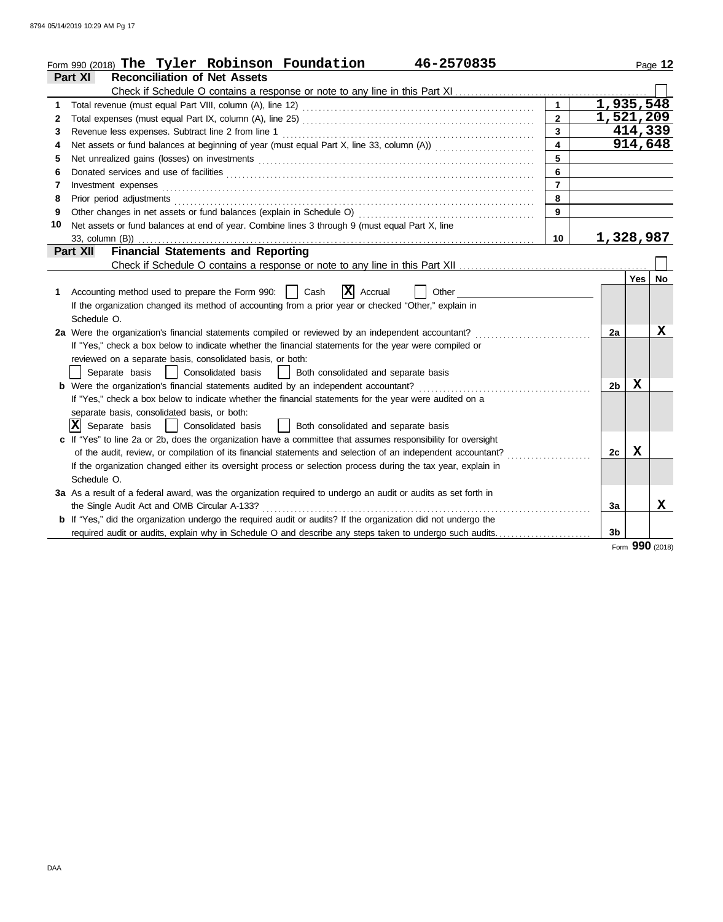|    | Form 990 (2018) The Tyler Robinson Foundation<br>46-2570835                                                           |                |                |         | Page 12         |
|----|-----------------------------------------------------------------------------------------------------------------------|----------------|----------------|---------|-----------------|
|    | <b>Reconciliation of Net Assets</b><br>Part XI                                                                        |                |                |         |                 |
|    | Check if Schedule O contains a response or note to any line in this Part XI                                           |                |                |         |                 |
| 1  |                                                                                                                       |                | 1,935,548      |         |                 |
| 2  |                                                                                                                       | $\mathbf{2}$   | 1,521,209      |         |                 |
| 3  |                                                                                                                       | 3              |                | 414,339 |                 |
| 4  |                                                                                                                       | 4              |                | 914,648 |                 |
| 5  |                                                                                                                       | 5              |                |         |                 |
| 6  |                                                                                                                       | 6              |                |         |                 |
| 7  | Investment expenses <b>constant expenses constant expenses constant expenses constant expenses</b>                    | $\overline{7}$ |                |         |                 |
| 8  |                                                                                                                       | 8              |                |         |                 |
| 9  |                                                                                                                       | 9              |                |         |                 |
| 10 | Net assets or fund balances at end of year. Combine lines 3 through 9 (must equal Part X, line                        |                |                |         |                 |
|    | 33, column (B)                                                                                                        | 10             | 1,328,987      |         |                 |
|    | <b>Financial Statements and Reporting</b><br>Part XII                                                                 |                |                |         |                 |
|    |                                                                                                                       |                |                |         |                 |
|    |                                                                                                                       |                |                | Yes l   | No              |
| 1. | $ \mathbf{X} $ Accrual<br>Accounting method used to prepare the Form 990:    <br>Cash<br>Other                        |                |                |         |                 |
|    | If the organization changed its method of accounting from a prior year or checked "Other," explain in                 |                |                |         |                 |
|    | Schedule O.                                                                                                           |                |                |         |                 |
|    | 2a Were the organization's financial statements compiled or reviewed by an independent accountant?                    |                | 2a             |         | $\mathbf X$     |
|    | If "Yes," check a box below to indicate whether the financial statements for the year were compiled or                |                |                |         |                 |
|    | reviewed on a separate basis, consolidated basis, or both:                                                            |                |                |         |                 |
|    | Consolidated basis<br>Both consolidated and separate basis<br>Separate basis                                          |                |                |         |                 |
|    | <b>b</b> Were the organization's financial statements audited by an independent accountant?                           |                | 2 <sub>b</sub> | X       |                 |
|    | If "Yes," check a box below to indicate whether the financial statements for the year were audited on a               |                |                |         |                 |
|    | separate basis, consolidated basis, or both:                                                                          |                |                |         |                 |
|    | $ \mathbf{X} $ Separate basis<br>Consolidated basis<br>Both consolidated and separate basis                           |                |                |         |                 |
|    | c If "Yes" to line 2a or 2b, does the organization have a committee that assumes responsibility for oversight         |                |                |         |                 |
|    | of the audit, review, or compilation of its financial statements and selection of an independent accountant?          |                | 2c             | X       |                 |
|    | If the organization changed either its oversight process or selection process during the tax year, explain in         |                |                |         |                 |
|    | Schedule O.                                                                                                           |                |                |         |                 |
|    | 3a As a result of a federal award, was the organization required to undergo an audit or audits as set forth in        |                |                |         |                 |
|    | the Single Audit Act and OMB Circular A-133?                                                                          |                | 3a             |         | X               |
|    | <b>b</b> If "Yes," did the organization undergo the required audit or audits? If the organization did not undergo the |                |                |         |                 |
|    | required audit or audits, explain why in Schedule O and describe any steps taken to undergo such audits               |                | 3b             |         |                 |
|    |                                                                                                                       |                |                |         | Form 990 (2018) |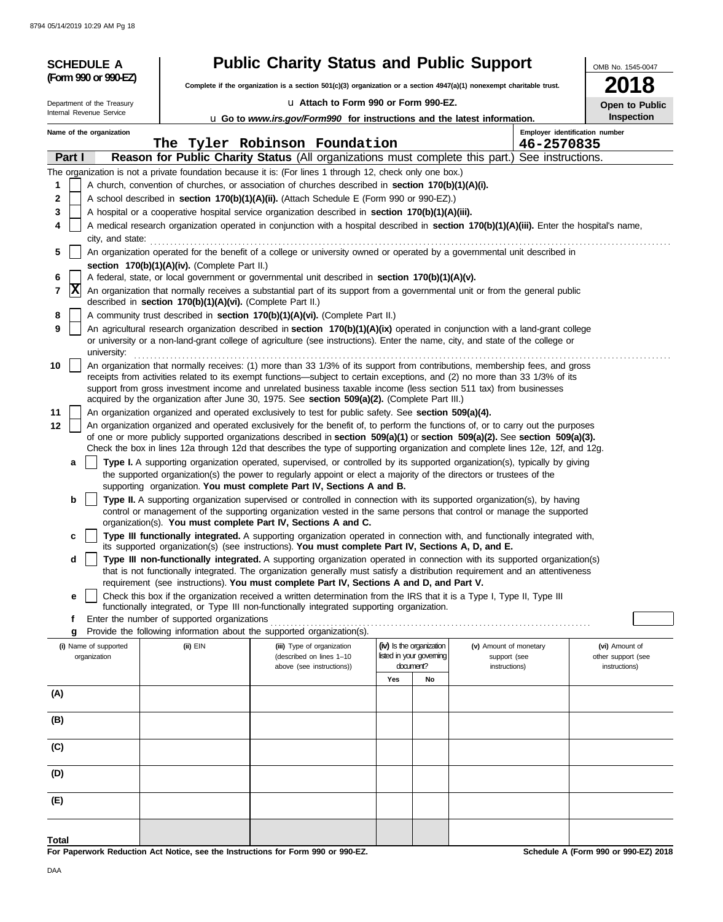| <b>SCHEDULE A</b>          |                                                                                                                                                                                                                                                 | <b>Public Charity Status and Public Support</b>                                                                                                                                                                                                           |                          |                        | OMB No. 1545-0047              |  |  |  |  |
|----------------------------|-------------------------------------------------------------------------------------------------------------------------------------------------------------------------------------------------------------------------------------------------|-----------------------------------------------------------------------------------------------------------------------------------------------------------------------------------------------------------------------------------------------------------|--------------------------|------------------------|--------------------------------|--|--|--|--|
| (Form 990 or 990-EZ)       |                                                                                                                                                                                                                                                 | Complete if the organization is a section 501(c)(3) organization or a section 4947(a)(1) nonexempt charitable trust.                                                                                                                                      |                          |                        |                                |  |  |  |  |
| Department of the Treasury |                                                                                                                                                                                                                                                 | La Attach to Form 990 or Form 990-EZ.                                                                                                                                                                                                                     |                          |                        | 18<br>Open to Public           |  |  |  |  |
| Internal Revenue Service   |                                                                                                                                                                                                                                                 | U Go to www.irs.gov/Form990 for instructions and the latest information.                                                                                                                                                                                  |                          |                        | Inspection                     |  |  |  |  |
| Name of the organization   |                                                                                                                                                                                                                                                 |                                                                                                                                                                                                                                                           |                          |                        | Employer identification number |  |  |  |  |
|                            |                                                                                                                                                                                                                                                 | The Tyler Robinson Foundation                                                                                                                                                                                                                             |                          | 46-2570835             |                                |  |  |  |  |
| Part I                     |                                                                                                                                                                                                                                                 | Reason for Public Charity Status (All organizations must complete this part.) See instructions.                                                                                                                                                           |                          |                        |                                |  |  |  |  |
|                            |                                                                                                                                                                                                                                                 | The organization is not a private foundation because it is: (For lines 1 through 12, check only one box.)                                                                                                                                                 |                          |                        |                                |  |  |  |  |
| 1                          |                                                                                                                                                                                                                                                 | A church, convention of churches, or association of churches described in section 170(b)(1)(A)(i).                                                                                                                                                        |                          |                        |                                |  |  |  |  |
| 2                          |                                                                                                                                                                                                                                                 | A school described in section 170(b)(1)(A)(ii). (Attach Schedule E (Form 990 or 990-EZ).)                                                                                                                                                                 |                          |                        |                                |  |  |  |  |
| 3<br>4                     | A hospital or a cooperative hospital service organization described in section 170(b)(1)(A)(iii).<br>A medical research organization operated in conjunction with a hospital described in section 170(b)(1)(A)(iii). Enter the hospital's name, |                                                                                                                                                                                                                                                           |                          |                        |                                |  |  |  |  |
| city, and state:           |                                                                                                                                                                                                                                                 |                                                                                                                                                                                                                                                           |                          |                        |                                |  |  |  |  |
| 5                          |                                                                                                                                                                                                                                                 | An organization operated for the benefit of a college or university owned or operated by a governmental unit described in                                                                                                                                 |                          |                        |                                |  |  |  |  |
|                            | section 170(b)(1)(A)(iv). (Complete Part II.)                                                                                                                                                                                                   |                                                                                                                                                                                                                                                           |                          |                        |                                |  |  |  |  |
| 6                          |                                                                                                                                                                                                                                                 | A federal, state, or local government or governmental unit described in section 170(b)(1)(A)(v).                                                                                                                                                          |                          |                        |                                |  |  |  |  |
| X<br>7                     | described in section 170(b)(1)(A)(vi). (Complete Part II.)                                                                                                                                                                                      | An organization that normally receives a substantial part of its support from a governmental unit or from the general public                                                                                                                              |                          |                        |                                |  |  |  |  |
| 8                          |                                                                                                                                                                                                                                                 | A community trust described in section 170(b)(1)(A)(vi). (Complete Part II.)                                                                                                                                                                              |                          |                        |                                |  |  |  |  |
| 9                          |                                                                                                                                                                                                                                                 | An agricultural research organization described in section 170(b)(1)(A)(ix) operated in conjunction with a land-grant college                                                                                                                             |                          |                        |                                |  |  |  |  |
| university:                |                                                                                                                                                                                                                                                 | or university or a non-land-grant college of agriculture (see instructions). Enter the name, city, and state of the college or                                                                                                                            |                          |                        |                                |  |  |  |  |
| 10                         |                                                                                                                                                                                                                                                 | An organization that normally receives: (1) more than 33 1/3% of its support from contributions, membership fees, and gross                                                                                                                               |                          |                        |                                |  |  |  |  |
|                            |                                                                                                                                                                                                                                                 | receipts from activities related to its exempt functions—subject to certain exceptions, and (2) no more than 33 1/3% of its                                                                                                                               |                          |                        |                                |  |  |  |  |
|                            |                                                                                                                                                                                                                                                 | support from gross investment income and unrelated business taxable income (less section 511 tax) from businesses                                                                                                                                         |                          |                        |                                |  |  |  |  |
| 11                         |                                                                                                                                                                                                                                                 | acquired by the organization after June 30, 1975. See section 509(a)(2). (Complete Part III.)<br>An organization organized and operated exclusively to test for public safety. See section 509(a)(4).                                                     |                          |                        |                                |  |  |  |  |
| 12                         |                                                                                                                                                                                                                                                 | An organization organized and operated exclusively for the benefit of, to perform the functions of, or to carry out the purposes                                                                                                                          |                          |                        |                                |  |  |  |  |
|                            |                                                                                                                                                                                                                                                 | of one or more publicly supported organizations described in section 509(a)(1) or section 509(a)(2). See section 509(a)(3).                                                                                                                               |                          |                        |                                |  |  |  |  |
|                            |                                                                                                                                                                                                                                                 | Check the box in lines 12a through 12d that describes the type of supporting organization and complete lines 12e, 12f, and 12g.                                                                                                                           |                          |                        |                                |  |  |  |  |
| a                          |                                                                                                                                                                                                                                                 | Type I. A supporting organization operated, supervised, or controlled by its supported organization(s), typically by giving                                                                                                                               |                          |                        |                                |  |  |  |  |
|                            |                                                                                                                                                                                                                                                 | the supported organization(s) the power to regularly appoint or elect a majority of the directors or trustees of the<br>supporting organization. You must complete Part IV, Sections A and B.                                                             |                          |                        |                                |  |  |  |  |
| b                          |                                                                                                                                                                                                                                                 | Type II. A supporting organization supervised or controlled in connection with its supported organization(s), by having                                                                                                                                   |                          |                        |                                |  |  |  |  |
|                            |                                                                                                                                                                                                                                                 | control or management of the supporting organization vested in the same persons that control or manage the supported                                                                                                                                      |                          |                        |                                |  |  |  |  |
|                            |                                                                                                                                                                                                                                                 | organization(s). You must complete Part IV, Sections A and C.                                                                                                                                                                                             |                          |                        |                                |  |  |  |  |
| c                          |                                                                                                                                                                                                                                                 | Type III functionally integrated. A supporting organization operated in connection with, and functionally integrated with,                                                                                                                                |                          |                        |                                |  |  |  |  |
|                            |                                                                                                                                                                                                                                                 | its supported organization(s) (see instructions). You must complete Part IV, Sections A, D, and E.                                                                                                                                                        |                          |                        |                                |  |  |  |  |
| d                          |                                                                                                                                                                                                                                                 | Type III non-functionally integrated. A supporting organization operated in connection with its supported organization(s)<br>that is not functionally integrated. The organization generally must satisfy a distribution requirement and an attentiveness |                          |                        |                                |  |  |  |  |
|                            |                                                                                                                                                                                                                                                 | requirement (see instructions). You must complete Part IV, Sections A and D, and Part V.                                                                                                                                                                  |                          |                        |                                |  |  |  |  |
| е                          |                                                                                                                                                                                                                                                 | Check this box if the organization received a written determination from the IRS that it is a Type I, Type II, Type III                                                                                                                                   |                          |                        |                                |  |  |  |  |
|                            |                                                                                                                                                                                                                                                 | functionally integrated, or Type III non-functionally integrated supporting organization.                                                                                                                                                                 |                          |                        |                                |  |  |  |  |
| f<br>g                     | Enter the number of supported organizations                                                                                                                                                                                                     | Provide the following information about the supported organization(s).                                                                                                                                                                                    |                          |                        |                                |  |  |  |  |
| (i) Name of supported      | (ii) EIN                                                                                                                                                                                                                                        | (iii) Type of organization                                                                                                                                                                                                                                | (iv) Is the organization | (v) Amount of monetary | (vi) Amount of                 |  |  |  |  |
| organization               |                                                                                                                                                                                                                                                 | (described on lines 1-10                                                                                                                                                                                                                                  | listed in your governing | support (see           | other support (see             |  |  |  |  |
|                            |                                                                                                                                                                                                                                                 | above (see instructions))                                                                                                                                                                                                                                 | document?                | instructions)          | instructions)                  |  |  |  |  |
|                            |                                                                                                                                                                                                                                                 |                                                                                                                                                                                                                                                           | Yes<br>No                |                        |                                |  |  |  |  |
| (A)                        |                                                                                                                                                                                                                                                 |                                                                                                                                                                                                                                                           |                          |                        |                                |  |  |  |  |
| (B)                        |                                                                                                                                                                                                                                                 |                                                                                                                                                                                                                                                           |                          |                        |                                |  |  |  |  |
|                            |                                                                                                                                                                                                                                                 |                                                                                                                                                                                                                                                           |                          |                        |                                |  |  |  |  |
| (C)                        |                                                                                                                                                                                                                                                 |                                                                                                                                                                                                                                                           |                          |                        |                                |  |  |  |  |
| (D)                        |                                                                                                                                                                                                                                                 |                                                                                                                                                                                                                                                           |                          |                        |                                |  |  |  |  |
| (E)                        |                                                                                                                                                                                                                                                 |                                                                                                                                                                                                                                                           |                          |                        |                                |  |  |  |  |
|                            |                                                                                                                                                                                                                                                 |                                                                                                                                                                                                                                                           |                          |                        |                                |  |  |  |  |
| Total                      |                                                                                                                                                                                                                                                 |                                                                                                                                                                                                                                                           |                          |                        |                                |  |  |  |  |

**For Paperwork Reduction Act Notice, see the Instructions for Form 990 or 990-EZ.**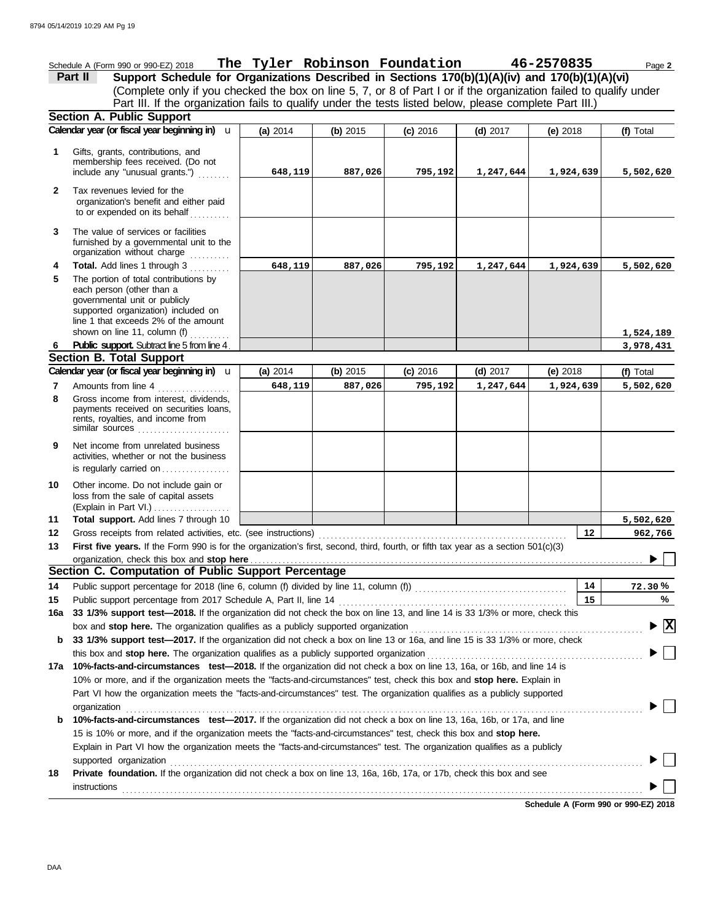|              | Schedule A (Form 990 or 990-EZ) 2018                                                                                                  | The Tyler Robinson Foundation 46-2570835 |          |            |            |           | Page 2    |
|--------------|---------------------------------------------------------------------------------------------------------------------------------------|------------------------------------------|----------|------------|------------|-----------|-----------|
|              | Support Schedule for Organizations Described in Sections 170(b)(1)(A)(iv) and 170(b)(1)(A)(vi)<br>Part II                             |                                          |          |            |            |           |           |
|              | (Complete only if you checked the box on line 5, 7, or 8 of Part I or if the organization failed to qualify under                     |                                          |          |            |            |           |           |
|              | Part III. If the organization fails to qualify under the tests listed below, please complete Part III.)                               |                                          |          |            |            |           |           |
|              | <b>Section A. Public Support</b>                                                                                                      |                                          |          |            |            |           |           |
|              | Calendar year (or fiscal year beginning in) u                                                                                         | (a) 2014                                 | (b) 2015 | $(c)$ 2016 | $(d)$ 2017 | (e) 2018  | (f) Total |
| 1            | Gifts, grants, contributions, and                                                                                                     |                                          |          |            |            |           |           |
|              | membership fees received. (Do not                                                                                                     |                                          |          |            |            |           |           |
|              | include any "unusual grants.")                                                                                                        | 648,119                                  | 887,026  | 795,192    | 1,247,644  | 1,924,639 | 5,502,620 |
| $\mathbf{2}$ | Tax revenues levied for the                                                                                                           |                                          |          |            |            |           |           |
|              | organization's benefit and either paid<br>to or expended on its behalf                                                                |                                          |          |            |            |           |           |
| 3            | The value of services or facilities                                                                                                   |                                          |          |            |            |           |           |
|              | furnished by a governmental unit to the<br>organization without charge                                                                |                                          |          |            |            |           |           |
| 4            | Total. Add lines 1 through 3                                                                                                          | 648,119                                  | 887,026  | 795,192    | 1,247,644  | 1,924,639 | 5,502,620 |
| 5            | The portion of total contributions by                                                                                                 |                                          |          |            |            |           |           |
|              | each person (other than a<br>governmental unit or publicly                                                                            |                                          |          |            |            |           |           |
|              | supported organization) included on                                                                                                   |                                          |          |            |            |           |           |
|              | line 1 that exceeds 2% of the amount                                                                                                  |                                          |          |            |            |           |           |
|              | shown on line 11, column (f)                                                                                                          |                                          |          |            |            |           | 1,524,189 |
| 6            | <b>Public support.</b> Subtract line 5 from line 4<br><b>Section B. Total Support</b>                                                 |                                          |          |            |            |           | 3,978,431 |
|              | Calendar year (or fiscal year beginning in) u                                                                                         | (a) 2014                                 | (b) 2015 | $(c)$ 2016 | $(d)$ 2017 | (e) 2018  | (f) Total |
| 7            | Amounts from line 4                                                                                                                   | 648,119                                  | 887,026  | 795,192    | 1,247,644  | 1,924,639 | 5,502,620 |
| 8            | Gross income from interest, dividends,                                                                                                |                                          |          |            |            |           |           |
|              | payments received on securities loans,                                                                                                |                                          |          |            |            |           |           |
|              | rents, royalties, and income from<br>similar sources $\ldots, \ldots, \ldots, \ldots, \ldots$                                         |                                          |          |            |            |           |           |
| 9            | Net income from unrelated business                                                                                                    |                                          |          |            |            |           |           |
|              | activities, whether or not the business                                                                                               |                                          |          |            |            |           |           |
|              | is regularly carried on                                                                                                               |                                          |          |            |            |           |           |
| 10           | Other income. Do not include gain or                                                                                                  |                                          |          |            |            |           |           |
|              | loss from the sale of capital assets                                                                                                  |                                          |          |            |            |           |           |
|              | (Explain in Part VI.)                                                                                                                 |                                          |          |            |            |           |           |
| 11           | Total support. Add lines 7 through 10                                                                                                 |                                          |          |            |            | 12        | 5,502,620 |
| 12<br>13     | First five years. If the Form 990 is for the organization's first, second, third, fourth, or fifth tax year as a section 501(c)(3)    |                                          |          |            |            |           | 962,766   |
|              | organization, check this box and stop here                                                                                            |                                          |          |            |            |           |           |
|              | Section C. Computation of Public Support Percentage                                                                                   |                                          |          |            |            |           |           |
| 14           |                                                                                                                                       |                                          |          |            |            | 14        | 72.30%    |
| 15           | Public support percentage from 2017 Schedule A, Part II, line 14                                                                      |                                          |          |            |            | 15        | %         |
| 16a          | 33 1/3% support test-2018. If the organization did not check the box on line 13, and line 14 is 33 1/3% or more, check this           |                                          |          |            |            |           |           |
|              | $\blacktriangleright$ $\vert$ X<br>box and stop here. The organization qualifies as a publicly supported organization                 |                                          |          |            |            |           |           |
| b            | 33 1/3% support test-2017. If the organization did not check a box on line 13 or 16a, and line 15 is 33 1/3% or more, check           |                                          |          |            |            |           |           |
|              |                                                                                                                                       |                                          |          |            |            |           |           |
|              | 17a 10%-facts-and-circumstances test-2018. If the organization did not check a box on line 13, 16a, or 16b, and line 14 is            |                                          |          |            |            |           |           |
|              | 10% or more, and if the organization meets the "facts-and-circumstances" test, check this box and stop here. Explain in               |                                          |          |            |            |           |           |
|              | Part VI how the organization meets the "facts-and-circumstances" test. The organization qualifies as a publicly supported             |                                          |          |            |            |           |           |
|              | organization<br>10%-facts-and-circumstances test-2017. If the organization did not check a box on line 13, 16a, 16b, or 17a, and line |                                          |          |            |            |           |           |
| b            | 15 is 10% or more, and if the organization meets the "facts-and-circumstances" test, check this box and stop here.                    |                                          |          |            |            |           |           |
|              | Explain in Part VI how the organization meets the "facts-and-circumstances" test. The organization qualifies as a publicly            |                                          |          |            |            |           |           |
|              | supported organization                                                                                                                |                                          |          |            |            |           |           |
| 18           | Private foundation. If the organization did not check a box on line 13, 16a, 16b, 17a, or 17b, check this box and see                 |                                          |          |            |            |           |           |
|              | instructions                                                                                                                          |                                          |          |            |            |           |           |
|              |                                                                                                                                       |                                          |          |            |            |           |           |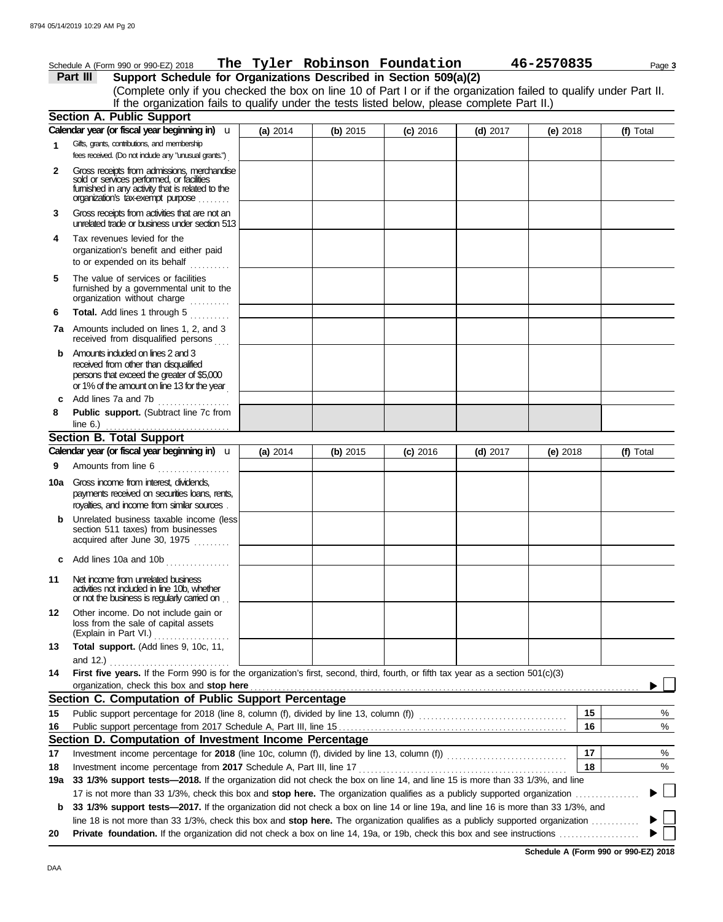|              | Schedule A (Form 990 or 990-EZ) 2018                                                                                                                                             |          |            | The Tyler Robinson Foundation |            | 46-2570835 | Page 3    |  |
|--------------|----------------------------------------------------------------------------------------------------------------------------------------------------------------------------------|----------|------------|-------------------------------|------------|------------|-----------|--|
|              | Support Schedule for Organizations Described in Section 509(a)(2)<br>Part III                                                                                                    |          |            |                               |            |            |           |  |
|              | (Complete only if you checked the box on line 10 of Part I or if the organization failed to qualify under Part II.                                                               |          |            |                               |            |            |           |  |
|              | If the organization fails to qualify under the tests listed below, please complete Part II.)                                                                                     |          |            |                               |            |            |           |  |
|              | <b>Section A. Public Support</b>                                                                                                                                                 |          |            |                               |            |            |           |  |
|              | Calendar year (or fiscal year beginning in) u                                                                                                                                    | (a) 2014 | (b) $2015$ | $(c)$ 2016                    | $(d)$ 2017 | (e) $2018$ | (f) Total |  |
| 1            | Gifts, grants, contributions, and membership<br>fees received. (Do not include any "unusual grants.")                                                                            |          |            |                               |            |            |           |  |
| $\mathbf{2}$ | Gross receipts from admissions, merchandise<br>sold or services performed, or facilities<br>fumished in any activity that is related to the<br>organization's tax-exempt purpose |          |            |                               |            |            |           |  |
| 3            | Gross receipts from activities that are not an<br>unrelated trade or business under section 513                                                                                  |          |            |                               |            |            |           |  |
| 4            | Tax revenues levied for the<br>organization's benefit and either paid<br>to or expended on its behalf                                                                            |          |            |                               |            |            |           |  |
| 5            | The value of services or facilities<br>furnished by a governmental unit to the<br>organization without charge                                                                    |          |            |                               |            |            |           |  |
| 6            | Total. Add lines 1 through 5                                                                                                                                                     |          |            |                               |            |            |           |  |
|              | <b>7a</b> Amounts included on lines 1, 2, and 3<br>received from disqualified persons                                                                                            |          |            |                               |            |            |           |  |
| b            | Amounts included on lines 2 and 3<br>received from other than disqualified<br>persons that exceed the greater of \$5,000<br>or 1% of the amount on line 13 for the year          |          |            |                               |            |            |           |  |
| C            | Add lines 7a and 7b<br>.                                                                                                                                                         |          |            |                               |            |            |           |  |
| 8            | Public support. (Subtract line 7c from                                                                                                                                           |          |            |                               |            |            |           |  |
|              | line $6.$ )                                                                                                                                                                      |          |            |                               |            |            |           |  |
|              | <b>Section B. Total Support</b><br>Calendar year (or fiscal year beginning in) u                                                                                                 |          |            |                               |            |            |           |  |
|              |                                                                                                                                                                                  | (a) 2014 | (b) 2015   | $(c)$ 2016                    | $(d)$ 2017 | (e) $2018$ | (f) Total |  |
| 9            | Amounts from line 6                                                                                                                                                              |          |            |                               |            |            |           |  |
|              | 10a Gross income from interest, dividends,<br>payments received on securities loans, rents,                                                                                      |          |            |                               |            |            |           |  |
|              | royalties, and income from similar sources<br>Unrelated business taxable income (less                                                                                            |          |            |                               |            |            |           |  |
|              | section 511 taxes) from businesses<br>acquired after June 30, 1975                                                                                                               |          |            |                               |            |            |           |  |
| c            | Add lines 10a and 10b                                                                                                                                                            |          |            |                               |            |            |           |  |
| 11           | Net income from unrelated business<br>activities not included in line 10b, whether<br>or not the business is regularly carried on                                                |          |            |                               |            |            |           |  |
| 12           | Other income. Do not include gain or<br>loss from the sale of capital assets<br>(Explain in Part VI.)                                                                            |          |            |                               |            |            |           |  |
| 13           | Total support. (Add lines 9, 10c, 11,                                                                                                                                            |          |            |                               |            |            |           |  |
| 14           | First five years. If the Form 990 is for the organization's first, second, third, fourth, or fifth tax year as a section 501(c)(3)<br>organization, check this box and stop here |          |            |                               |            |            |           |  |
|              | Section C. Computation of Public Support Percentage                                                                                                                              |          |            |                               |            |            |           |  |
| 15           |                                                                                                                                                                                  |          |            |                               |            | 15         | %         |  |
| 16           |                                                                                                                                                                                  |          |            |                               |            | 16         | %         |  |
|              | Section D. Computation of Investment Income Percentage                                                                                                                           |          |            |                               |            |            |           |  |
| 17           | Investment income percentage for 2018 (line 10c, column (f), divided by line 13, column (f)) [[[[[[[[[[[[[[[[                                                                    |          |            |                               |            | 17         | %         |  |
| 18           |                                                                                                                                                                                  |          |            |                               |            | 18         | %         |  |
| 19a          | 33 1/3% support tests-2018. If the organization did not check the box on line 14, and line 15 is more than 33 1/3%, and line                                                     |          |            |                               |            |            |           |  |
|              | 17 is not more than 33 1/3%, check this box and stop here. The organization qualifies as a publicly supported organization                                                       |          |            |                               |            |            |           |  |
| b            | 33 1/3% support tests-2017. If the organization did not check a box on line 14 or line 19a, and line 16 is more than 33 1/3%, and                                                |          |            |                               |            |            |           |  |
|              | line 18 is not more than 33 1/3%, check this box and stop here. The organization qualifies as a publicly supported organization                                                  |          |            |                               |            |            |           |  |
| 20           |                                                                                                                                                                                  |          |            |                               |            |            |           |  |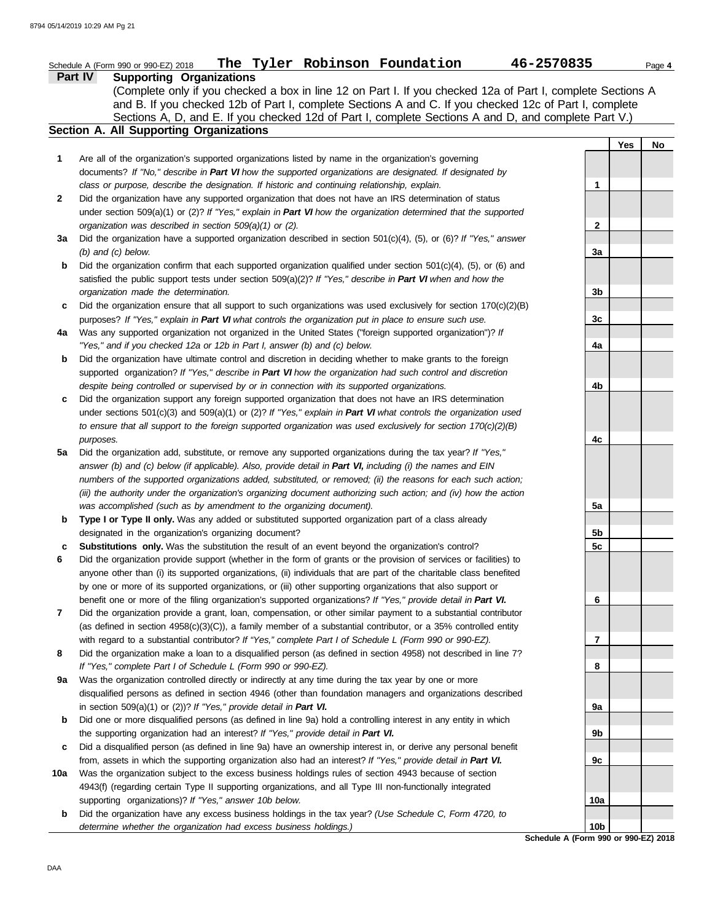| <b>Supporting Organizations</b><br>Part IV<br>(Complete only if you checked a box in line 12 on Part I. If you checked 12a of Part I, complete Sections A<br>and B. If you checked 12b of Part I, complete Sections A and C. If you checked 12c of Part I, complete<br>Sections A, D, and E. If you checked 12d of Part I, complete Sections A and D, and complete Part V.)<br>Section A. All Supporting Organizations<br><b>Yes</b><br>1<br>Are all of the organization's supported organizations listed by name in the organization's governing<br>documents? If "No," describe in Part VI how the supported organizations are designated. If designated by<br>class or purpose, describe the designation. If historic and continuing relationship, explain.<br>1<br>$\mathbf{2}$<br>Did the organization have any supported organization that does not have an IRS determination of status<br>under section 509(a)(1) or (2)? If "Yes," explain in Part VI how the organization determined that the supported<br>$\mathbf{2}$<br>organization was described in section 509(a)(1) or (2).<br>Did the organization have a supported organization described in section 501(c)(4), (5), or (6)? If "Yes," answer<br>3a<br>$(b)$ and $(c)$ below.<br>3a<br>Did the organization confirm that each supported organization qualified under section $501(c)(4)$ , $(5)$ , or $(6)$ and<br>b<br>satisfied the public support tests under section 509(a)(2)? If "Yes," describe in Part VI when and how the<br>organization made the determination.<br>3b<br>Did the organization ensure that all support to such organizations was used exclusively for section $170(c)(2)(B)$<br>c<br>purposes? If "Yes," explain in Part VI what controls the organization put in place to ensure such use.<br>3 <sub>c</sub><br>Was any supported organization not organized in the United States ("foreign supported organization")? If<br>4a<br>"Yes," and if you checked 12a or 12b in Part I, answer (b) and (c) below.<br>4a<br>Did the organization have ultimate control and discretion in deciding whether to make grants to the foreign<br>b<br>supported organization? If "Yes," describe in Part VI how the organization had such control and discretion<br>despite being controlled or supervised by or in connection with its supported organizations.<br>4b<br>Did the organization support any foreign supported organization that does not have an IRS determination<br>c<br>under sections $501(c)(3)$ and $509(a)(1)$ or $(2)?$ If "Yes," explain in Part VI what controls the organization used<br>to ensure that all support to the foreign supported organization was used exclusively for section $170(c)(2)(B)$<br>4с<br>purposes.<br>Did the organization add, substitute, or remove any supported organizations during the tax year? If "Yes,"<br>5a<br>answer (b) and (c) below (if applicable). Also, provide detail in Part VI, including (i) the names and EIN<br>numbers of the supported organizations added, substituted, or removed; (ii) the reasons for each such action;<br>(iii) the authority under the organization's organizing document authorizing such action; and (iv) how the action<br>was accomplished (such as by amendment to the organizing document).<br>5a<br>Type I or Type II only. Was any added or substituted supported organization part of a class already<br>b<br>designated in the organization's organizing document?<br>5b<br>5c<br>Substitutions only. Was the substitution the result of an event beyond the organization's control?<br>c<br>6<br>Did the organization provide support (whether in the form of grants or the provision of services or facilities) to<br>anyone other than (i) its supported organizations, (ii) individuals that are part of the charitable class benefited<br>by one or more of its supported organizations, or (iii) other supporting organizations that also support or<br>benefit one or more of the filing organization's supported organizations? If "Yes," provide detail in Part VI.<br>6<br>Did the organization provide a grant, loan, compensation, or other similar payment to a substantial contributor<br>7<br>(as defined in section 4958(c)(3)(C)), a family member of a substantial contributor, or a 35% controlled entity<br>with regard to a substantial contributor? If "Yes," complete Part I of Schedule L (Form 990 or 990-EZ).<br>7<br>Did the organization make a loan to a disqualified person (as defined in section 4958) not described in line 7?<br>8<br>If "Yes," complete Part I of Schedule L (Form 990 or 990-EZ).<br>8<br>Was the organization controlled directly or indirectly at any time during the tax year by one or more<br>9a<br>disqualified persons as defined in section 4946 (other than foundation managers and organizations described<br>in section 509(a)(1) or (2))? If "Yes," provide detail in Part VI.<br>9а<br>Did one or more disqualified persons (as defined in line 9a) hold a controlling interest in any entity in which<br>b<br>the supporting organization had an interest? If "Yes," provide detail in Part VI.<br>9b<br>Did a disqualified person (as defined in line 9a) have an ownership interest in, or derive any personal benefit<br>c<br>from, assets in which the supporting organization also had an interest? If "Yes," provide detail in Part VI.<br>9c | The Tyler Robinson Foundation<br>46-2570835<br>Schedule A (Form 990 or 990-EZ) 2018 | Page 4 |
|---------------------------------------------------------------------------------------------------------------------------------------------------------------------------------------------------------------------------------------------------------------------------------------------------------------------------------------------------------------------------------------------------------------------------------------------------------------------------------------------------------------------------------------------------------------------------------------------------------------------------------------------------------------------------------------------------------------------------------------------------------------------------------------------------------------------------------------------------------------------------------------------------------------------------------------------------------------------------------------------------------------------------------------------------------------------------------------------------------------------------------------------------------------------------------------------------------------------------------------------------------------------------------------------------------------------------------------------------------------------------------------------------------------------------------------------------------------------------------------------------------------------------------------------------------------------------------------------------------------------------------------------------------------------------------------------------------------------------------------------------------------------------------------------------------------------------------------------------------------------------------------------------------------------------------------------------------------------------------------------------------------------------------------------------------------------------------------------------------------------------------------------------------------------------------------------------------------------------------------------------------------------------------------------------------------------------------------------------------------------------------------------------------------------------------------------------------------------------------------------------------------------------------------------------------------------------------------------------------------------------------------------------------------------------------------------------------------------------------------------------------------------------------------------------------------------------------------------------------------------------------------------------------------------------------------------------------------------------------------------------------------------------------------------------------------------------------------------------------------------------------------------------------------------------------------------------------------------------------------------------------------------------------------------------------------------------------------------------------------------------------------------------------------------------------------------------------------------------------------------------------------------------------------------------------------------------------------------------------------------------------------------------------------------------------------------------------------------------------------------------------------------------------------------------------------------------------------------------------------------------------------------------------------------------------------------------------------------------------------------------------------------------------------------------------------------------------------------------------------------------------------------------------------------------------------------------------------------------------------------------------------------------------------------------------------------------------------------------------------------------------------------------------------------------------------------------------------------------------------------------------------------------------------------------------------------------------------------------------------------------------------------------------------------------------------------------------------------------------------------------------------------------------------------------------------------------------------------------------------------------------------------------------------------------------------------------------------------------------------------------------------------------------------------------------------------------------------------------------------------------------------------------------------------------------------------------------------------------------------------------------------------------------------------------------------------------------------------------------------------------------------------------------------------|-------------------------------------------------------------------------------------|--------|
|                                                                                                                                                                                                                                                                                                                                                                                                                                                                                                                                                                                                                                                                                                                                                                                                                                                                                                                                                                                                                                                                                                                                                                                                                                                                                                                                                                                                                                                                                                                                                                                                                                                                                                                                                                                                                                                                                                                                                                                                                                                                                                                                                                                                                                                                                                                                                                                                                                                                                                                                                                                                                                                                                                                                                                                                                                                                                                                                                                                                                                                                                                                                                                                                                                                                                                                                                                                                                                                                                                                                                                                                                                                                                                                                                                                                                                                                                                                                                                                                                                                                                                                                                                                                                                                                                                                                                                                                                                                                                                                                                                                                                                                                                                                                                                                                                                                                                                                                                                                                                                                                                                                                                                                                                                                                                                                                                                                                                     |                                                                                     |        |
|                                                                                                                                                                                                                                                                                                                                                                                                                                                                                                                                                                                                                                                                                                                                                                                                                                                                                                                                                                                                                                                                                                                                                                                                                                                                                                                                                                                                                                                                                                                                                                                                                                                                                                                                                                                                                                                                                                                                                                                                                                                                                                                                                                                                                                                                                                                                                                                                                                                                                                                                                                                                                                                                                                                                                                                                                                                                                                                                                                                                                                                                                                                                                                                                                                                                                                                                                                                                                                                                                                                                                                                                                                                                                                                                                                                                                                                                                                                                                                                                                                                                                                                                                                                                                                                                                                                                                                                                                                                                                                                                                                                                                                                                                                                                                                                                                                                                                                                                                                                                                                                                                                                                                                                                                                                                                                                                                                                                                     |                                                                                     |        |
|                                                                                                                                                                                                                                                                                                                                                                                                                                                                                                                                                                                                                                                                                                                                                                                                                                                                                                                                                                                                                                                                                                                                                                                                                                                                                                                                                                                                                                                                                                                                                                                                                                                                                                                                                                                                                                                                                                                                                                                                                                                                                                                                                                                                                                                                                                                                                                                                                                                                                                                                                                                                                                                                                                                                                                                                                                                                                                                                                                                                                                                                                                                                                                                                                                                                                                                                                                                                                                                                                                                                                                                                                                                                                                                                                                                                                                                                                                                                                                                                                                                                                                                                                                                                                                                                                                                                                                                                                                                                                                                                                                                                                                                                                                                                                                                                                                                                                                                                                                                                                                                                                                                                                                                                                                                                                                                                                                                                                     |                                                                                     |        |
|                                                                                                                                                                                                                                                                                                                                                                                                                                                                                                                                                                                                                                                                                                                                                                                                                                                                                                                                                                                                                                                                                                                                                                                                                                                                                                                                                                                                                                                                                                                                                                                                                                                                                                                                                                                                                                                                                                                                                                                                                                                                                                                                                                                                                                                                                                                                                                                                                                                                                                                                                                                                                                                                                                                                                                                                                                                                                                                                                                                                                                                                                                                                                                                                                                                                                                                                                                                                                                                                                                                                                                                                                                                                                                                                                                                                                                                                                                                                                                                                                                                                                                                                                                                                                                                                                                                                                                                                                                                                                                                                                                                                                                                                                                                                                                                                                                                                                                                                                                                                                                                                                                                                                                                                                                                                                                                                                                                                                     |                                                                                     |        |
|                                                                                                                                                                                                                                                                                                                                                                                                                                                                                                                                                                                                                                                                                                                                                                                                                                                                                                                                                                                                                                                                                                                                                                                                                                                                                                                                                                                                                                                                                                                                                                                                                                                                                                                                                                                                                                                                                                                                                                                                                                                                                                                                                                                                                                                                                                                                                                                                                                                                                                                                                                                                                                                                                                                                                                                                                                                                                                                                                                                                                                                                                                                                                                                                                                                                                                                                                                                                                                                                                                                                                                                                                                                                                                                                                                                                                                                                                                                                                                                                                                                                                                                                                                                                                                                                                                                                                                                                                                                                                                                                                                                                                                                                                                                                                                                                                                                                                                                                                                                                                                                                                                                                                                                                                                                                                                                                                                                                                     |                                                                                     |        |
|                                                                                                                                                                                                                                                                                                                                                                                                                                                                                                                                                                                                                                                                                                                                                                                                                                                                                                                                                                                                                                                                                                                                                                                                                                                                                                                                                                                                                                                                                                                                                                                                                                                                                                                                                                                                                                                                                                                                                                                                                                                                                                                                                                                                                                                                                                                                                                                                                                                                                                                                                                                                                                                                                                                                                                                                                                                                                                                                                                                                                                                                                                                                                                                                                                                                                                                                                                                                                                                                                                                                                                                                                                                                                                                                                                                                                                                                                                                                                                                                                                                                                                                                                                                                                                                                                                                                                                                                                                                                                                                                                                                                                                                                                                                                                                                                                                                                                                                                                                                                                                                                                                                                                                                                                                                                                                                                                                                                                     |                                                                                     | No     |
|                                                                                                                                                                                                                                                                                                                                                                                                                                                                                                                                                                                                                                                                                                                                                                                                                                                                                                                                                                                                                                                                                                                                                                                                                                                                                                                                                                                                                                                                                                                                                                                                                                                                                                                                                                                                                                                                                                                                                                                                                                                                                                                                                                                                                                                                                                                                                                                                                                                                                                                                                                                                                                                                                                                                                                                                                                                                                                                                                                                                                                                                                                                                                                                                                                                                                                                                                                                                                                                                                                                                                                                                                                                                                                                                                                                                                                                                                                                                                                                                                                                                                                                                                                                                                                                                                                                                                                                                                                                                                                                                                                                                                                                                                                                                                                                                                                                                                                                                                                                                                                                                                                                                                                                                                                                                                                                                                                                                                     |                                                                                     |        |
|                                                                                                                                                                                                                                                                                                                                                                                                                                                                                                                                                                                                                                                                                                                                                                                                                                                                                                                                                                                                                                                                                                                                                                                                                                                                                                                                                                                                                                                                                                                                                                                                                                                                                                                                                                                                                                                                                                                                                                                                                                                                                                                                                                                                                                                                                                                                                                                                                                                                                                                                                                                                                                                                                                                                                                                                                                                                                                                                                                                                                                                                                                                                                                                                                                                                                                                                                                                                                                                                                                                                                                                                                                                                                                                                                                                                                                                                                                                                                                                                                                                                                                                                                                                                                                                                                                                                                                                                                                                                                                                                                                                                                                                                                                                                                                                                                                                                                                                                                                                                                                                                                                                                                                                                                                                                                                                                                                                                                     |                                                                                     |        |
|                                                                                                                                                                                                                                                                                                                                                                                                                                                                                                                                                                                                                                                                                                                                                                                                                                                                                                                                                                                                                                                                                                                                                                                                                                                                                                                                                                                                                                                                                                                                                                                                                                                                                                                                                                                                                                                                                                                                                                                                                                                                                                                                                                                                                                                                                                                                                                                                                                                                                                                                                                                                                                                                                                                                                                                                                                                                                                                                                                                                                                                                                                                                                                                                                                                                                                                                                                                                                                                                                                                                                                                                                                                                                                                                                                                                                                                                                                                                                                                                                                                                                                                                                                                                                                                                                                                                                                                                                                                                                                                                                                                                                                                                                                                                                                                                                                                                                                                                                                                                                                                                                                                                                                                                                                                                                                                                                                                                                     |                                                                                     |        |
|                                                                                                                                                                                                                                                                                                                                                                                                                                                                                                                                                                                                                                                                                                                                                                                                                                                                                                                                                                                                                                                                                                                                                                                                                                                                                                                                                                                                                                                                                                                                                                                                                                                                                                                                                                                                                                                                                                                                                                                                                                                                                                                                                                                                                                                                                                                                                                                                                                                                                                                                                                                                                                                                                                                                                                                                                                                                                                                                                                                                                                                                                                                                                                                                                                                                                                                                                                                                                                                                                                                                                                                                                                                                                                                                                                                                                                                                                                                                                                                                                                                                                                                                                                                                                                                                                                                                                                                                                                                                                                                                                                                                                                                                                                                                                                                                                                                                                                                                                                                                                                                                                                                                                                                                                                                                                                                                                                                                                     |                                                                                     |        |
|                                                                                                                                                                                                                                                                                                                                                                                                                                                                                                                                                                                                                                                                                                                                                                                                                                                                                                                                                                                                                                                                                                                                                                                                                                                                                                                                                                                                                                                                                                                                                                                                                                                                                                                                                                                                                                                                                                                                                                                                                                                                                                                                                                                                                                                                                                                                                                                                                                                                                                                                                                                                                                                                                                                                                                                                                                                                                                                                                                                                                                                                                                                                                                                                                                                                                                                                                                                                                                                                                                                                                                                                                                                                                                                                                                                                                                                                                                                                                                                                                                                                                                                                                                                                                                                                                                                                                                                                                                                                                                                                                                                                                                                                                                                                                                                                                                                                                                                                                                                                                                                                                                                                                                                                                                                                                                                                                                                                                     |                                                                                     |        |
|                                                                                                                                                                                                                                                                                                                                                                                                                                                                                                                                                                                                                                                                                                                                                                                                                                                                                                                                                                                                                                                                                                                                                                                                                                                                                                                                                                                                                                                                                                                                                                                                                                                                                                                                                                                                                                                                                                                                                                                                                                                                                                                                                                                                                                                                                                                                                                                                                                                                                                                                                                                                                                                                                                                                                                                                                                                                                                                                                                                                                                                                                                                                                                                                                                                                                                                                                                                                                                                                                                                                                                                                                                                                                                                                                                                                                                                                                                                                                                                                                                                                                                                                                                                                                                                                                                                                                                                                                                                                                                                                                                                                                                                                                                                                                                                                                                                                                                                                                                                                                                                                                                                                                                                                                                                                                                                                                                                                                     |                                                                                     |        |
|                                                                                                                                                                                                                                                                                                                                                                                                                                                                                                                                                                                                                                                                                                                                                                                                                                                                                                                                                                                                                                                                                                                                                                                                                                                                                                                                                                                                                                                                                                                                                                                                                                                                                                                                                                                                                                                                                                                                                                                                                                                                                                                                                                                                                                                                                                                                                                                                                                                                                                                                                                                                                                                                                                                                                                                                                                                                                                                                                                                                                                                                                                                                                                                                                                                                                                                                                                                                                                                                                                                                                                                                                                                                                                                                                                                                                                                                                                                                                                                                                                                                                                                                                                                                                                                                                                                                                                                                                                                                                                                                                                                                                                                                                                                                                                                                                                                                                                                                                                                                                                                                                                                                                                                                                                                                                                                                                                                                                     |                                                                                     |        |
|                                                                                                                                                                                                                                                                                                                                                                                                                                                                                                                                                                                                                                                                                                                                                                                                                                                                                                                                                                                                                                                                                                                                                                                                                                                                                                                                                                                                                                                                                                                                                                                                                                                                                                                                                                                                                                                                                                                                                                                                                                                                                                                                                                                                                                                                                                                                                                                                                                                                                                                                                                                                                                                                                                                                                                                                                                                                                                                                                                                                                                                                                                                                                                                                                                                                                                                                                                                                                                                                                                                                                                                                                                                                                                                                                                                                                                                                                                                                                                                                                                                                                                                                                                                                                                                                                                                                                                                                                                                                                                                                                                                                                                                                                                                                                                                                                                                                                                                                                                                                                                                                                                                                                                                                                                                                                                                                                                                                                     |                                                                                     |        |
|                                                                                                                                                                                                                                                                                                                                                                                                                                                                                                                                                                                                                                                                                                                                                                                                                                                                                                                                                                                                                                                                                                                                                                                                                                                                                                                                                                                                                                                                                                                                                                                                                                                                                                                                                                                                                                                                                                                                                                                                                                                                                                                                                                                                                                                                                                                                                                                                                                                                                                                                                                                                                                                                                                                                                                                                                                                                                                                                                                                                                                                                                                                                                                                                                                                                                                                                                                                                                                                                                                                                                                                                                                                                                                                                                                                                                                                                                                                                                                                                                                                                                                                                                                                                                                                                                                                                                                                                                                                                                                                                                                                                                                                                                                                                                                                                                                                                                                                                                                                                                                                                                                                                                                                                                                                                                                                                                                                                                     |                                                                                     |        |
|                                                                                                                                                                                                                                                                                                                                                                                                                                                                                                                                                                                                                                                                                                                                                                                                                                                                                                                                                                                                                                                                                                                                                                                                                                                                                                                                                                                                                                                                                                                                                                                                                                                                                                                                                                                                                                                                                                                                                                                                                                                                                                                                                                                                                                                                                                                                                                                                                                                                                                                                                                                                                                                                                                                                                                                                                                                                                                                                                                                                                                                                                                                                                                                                                                                                                                                                                                                                                                                                                                                                                                                                                                                                                                                                                                                                                                                                                                                                                                                                                                                                                                                                                                                                                                                                                                                                                                                                                                                                                                                                                                                                                                                                                                                                                                                                                                                                                                                                                                                                                                                                                                                                                                                                                                                                                                                                                                                                                     |                                                                                     |        |
|                                                                                                                                                                                                                                                                                                                                                                                                                                                                                                                                                                                                                                                                                                                                                                                                                                                                                                                                                                                                                                                                                                                                                                                                                                                                                                                                                                                                                                                                                                                                                                                                                                                                                                                                                                                                                                                                                                                                                                                                                                                                                                                                                                                                                                                                                                                                                                                                                                                                                                                                                                                                                                                                                                                                                                                                                                                                                                                                                                                                                                                                                                                                                                                                                                                                                                                                                                                                                                                                                                                                                                                                                                                                                                                                                                                                                                                                                                                                                                                                                                                                                                                                                                                                                                                                                                                                                                                                                                                                                                                                                                                                                                                                                                                                                                                                                                                                                                                                                                                                                                                                                                                                                                                                                                                                                                                                                                                                                     |                                                                                     |        |
|                                                                                                                                                                                                                                                                                                                                                                                                                                                                                                                                                                                                                                                                                                                                                                                                                                                                                                                                                                                                                                                                                                                                                                                                                                                                                                                                                                                                                                                                                                                                                                                                                                                                                                                                                                                                                                                                                                                                                                                                                                                                                                                                                                                                                                                                                                                                                                                                                                                                                                                                                                                                                                                                                                                                                                                                                                                                                                                                                                                                                                                                                                                                                                                                                                                                                                                                                                                                                                                                                                                                                                                                                                                                                                                                                                                                                                                                                                                                                                                                                                                                                                                                                                                                                                                                                                                                                                                                                                                                                                                                                                                                                                                                                                                                                                                                                                                                                                                                                                                                                                                                                                                                                                                                                                                                                                                                                                                                                     |                                                                                     |        |
|                                                                                                                                                                                                                                                                                                                                                                                                                                                                                                                                                                                                                                                                                                                                                                                                                                                                                                                                                                                                                                                                                                                                                                                                                                                                                                                                                                                                                                                                                                                                                                                                                                                                                                                                                                                                                                                                                                                                                                                                                                                                                                                                                                                                                                                                                                                                                                                                                                                                                                                                                                                                                                                                                                                                                                                                                                                                                                                                                                                                                                                                                                                                                                                                                                                                                                                                                                                                                                                                                                                                                                                                                                                                                                                                                                                                                                                                                                                                                                                                                                                                                                                                                                                                                                                                                                                                                                                                                                                                                                                                                                                                                                                                                                                                                                                                                                                                                                                                                                                                                                                                                                                                                                                                                                                                                                                                                                                                                     |                                                                                     |        |
|                                                                                                                                                                                                                                                                                                                                                                                                                                                                                                                                                                                                                                                                                                                                                                                                                                                                                                                                                                                                                                                                                                                                                                                                                                                                                                                                                                                                                                                                                                                                                                                                                                                                                                                                                                                                                                                                                                                                                                                                                                                                                                                                                                                                                                                                                                                                                                                                                                                                                                                                                                                                                                                                                                                                                                                                                                                                                                                                                                                                                                                                                                                                                                                                                                                                                                                                                                                                                                                                                                                                                                                                                                                                                                                                                                                                                                                                                                                                                                                                                                                                                                                                                                                                                                                                                                                                                                                                                                                                                                                                                                                                                                                                                                                                                                                                                                                                                                                                                                                                                                                                                                                                                                                                                                                                                                                                                                                                                     |                                                                                     |        |
|                                                                                                                                                                                                                                                                                                                                                                                                                                                                                                                                                                                                                                                                                                                                                                                                                                                                                                                                                                                                                                                                                                                                                                                                                                                                                                                                                                                                                                                                                                                                                                                                                                                                                                                                                                                                                                                                                                                                                                                                                                                                                                                                                                                                                                                                                                                                                                                                                                                                                                                                                                                                                                                                                                                                                                                                                                                                                                                                                                                                                                                                                                                                                                                                                                                                                                                                                                                                                                                                                                                                                                                                                                                                                                                                                                                                                                                                                                                                                                                                                                                                                                                                                                                                                                                                                                                                                                                                                                                                                                                                                                                                                                                                                                                                                                                                                                                                                                                                                                                                                                                                                                                                                                                                                                                                                                                                                                                                                     |                                                                                     |        |
|                                                                                                                                                                                                                                                                                                                                                                                                                                                                                                                                                                                                                                                                                                                                                                                                                                                                                                                                                                                                                                                                                                                                                                                                                                                                                                                                                                                                                                                                                                                                                                                                                                                                                                                                                                                                                                                                                                                                                                                                                                                                                                                                                                                                                                                                                                                                                                                                                                                                                                                                                                                                                                                                                                                                                                                                                                                                                                                                                                                                                                                                                                                                                                                                                                                                                                                                                                                                                                                                                                                                                                                                                                                                                                                                                                                                                                                                                                                                                                                                                                                                                                                                                                                                                                                                                                                                                                                                                                                                                                                                                                                                                                                                                                                                                                                                                                                                                                                                                                                                                                                                                                                                                                                                                                                                                                                                                                                                                     |                                                                                     |        |
|                                                                                                                                                                                                                                                                                                                                                                                                                                                                                                                                                                                                                                                                                                                                                                                                                                                                                                                                                                                                                                                                                                                                                                                                                                                                                                                                                                                                                                                                                                                                                                                                                                                                                                                                                                                                                                                                                                                                                                                                                                                                                                                                                                                                                                                                                                                                                                                                                                                                                                                                                                                                                                                                                                                                                                                                                                                                                                                                                                                                                                                                                                                                                                                                                                                                                                                                                                                                                                                                                                                                                                                                                                                                                                                                                                                                                                                                                                                                                                                                                                                                                                                                                                                                                                                                                                                                                                                                                                                                                                                                                                                                                                                                                                                                                                                                                                                                                                                                                                                                                                                                                                                                                                                                                                                                                                                                                                                                                     |                                                                                     |        |
|                                                                                                                                                                                                                                                                                                                                                                                                                                                                                                                                                                                                                                                                                                                                                                                                                                                                                                                                                                                                                                                                                                                                                                                                                                                                                                                                                                                                                                                                                                                                                                                                                                                                                                                                                                                                                                                                                                                                                                                                                                                                                                                                                                                                                                                                                                                                                                                                                                                                                                                                                                                                                                                                                                                                                                                                                                                                                                                                                                                                                                                                                                                                                                                                                                                                                                                                                                                                                                                                                                                                                                                                                                                                                                                                                                                                                                                                                                                                                                                                                                                                                                                                                                                                                                                                                                                                                                                                                                                                                                                                                                                                                                                                                                                                                                                                                                                                                                                                                                                                                                                                                                                                                                                                                                                                                                                                                                                                                     |                                                                                     |        |
|                                                                                                                                                                                                                                                                                                                                                                                                                                                                                                                                                                                                                                                                                                                                                                                                                                                                                                                                                                                                                                                                                                                                                                                                                                                                                                                                                                                                                                                                                                                                                                                                                                                                                                                                                                                                                                                                                                                                                                                                                                                                                                                                                                                                                                                                                                                                                                                                                                                                                                                                                                                                                                                                                                                                                                                                                                                                                                                                                                                                                                                                                                                                                                                                                                                                                                                                                                                                                                                                                                                                                                                                                                                                                                                                                                                                                                                                                                                                                                                                                                                                                                                                                                                                                                                                                                                                                                                                                                                                                                                                                                                                                                                                                                                                                                                                                                                                                                                                                                                                                                                                                                                                                                                                                                                                                                                                                                                                                     |                                                                                     |        |
|                                                                                                                                                                                                                                                                                                                                                                                                                                                                                                                                                                                                                                                                                                                                                                                                                                                                                                                                                                                                                                                                                                                                                                                                                                                                                                                                                                                                                                                                                                                                                                                                                                                                                                                                                                                                                                                                                                                                                                                                                                                                                                                                                                                                                                                                                                                                                                                                                                                                                                                                                                                                                                                                                                                                                                                                                                                                                                                                                                                                                                                                                                                                                                                                                                                                                                                                                                                                                                                                                                                                                                                                                                                                                                                                                                                                                                                                                                                                                                                                                                                                                                                                                                                                                                                                                                                                                                                                                                                                                                                                                                                                                                                                                                                                                                                                                                                                                                                                                                                                                                                                                                                                                                                                                                                                                                                                                                                                                     |                                                                                     |        |
|                                                                                                                                                                                                                                                                                                                                                                                                                                                                                                                                                                                                                                                                                                                                                                                                                                                                                                                                                                                                                                                                                                                                                                                                                                                                                                                                                                                                                                                                                                                                                                                                                                                                                                                                                                                                                                                                                                                                                                                                                                                                                                                                                                                                                                                                                                                                                                                                                                                                                                                                                                                                                                                                                                                                                                                                                                                                                                                                                                                                                                                                                                                                                                                                                                                                                                                                                                                                                                                                                                                                                                                                                                                                                                                                                                                                                                                                                                                                                                                                                                                                                                                                                                                                                                                                                                                                                                                                                                                                                                                                                                                                                                                                                                                                                                                                                                                                                                                                                                                                                                                                                                                                                                                                                                                                                                                                                                                                                     |                                                                                     |        |
|                                                                                                                                                                                                                                                                                                                                                                                                                                                                                                                                                                                                                                                                                                                                                                                                                                                                                                                                                                                                                                                                                                                                                                                                                                                                                                                                                                                                                                                                                                                                                                                                                                                                                                                                                                                                                                                                                                                                                                                                                                                                                                                                                                                                                                                                                                                                                                                                                                                                                                                                                                                                                                                                                                                                                                                                                                                                                                                                                                                                                                                                                                                                                                                                                                                                                                                                                                                                                                                                                                                                                                                                                                                                                                                                                                                                                                                                                                                                                                                                                                                                                                                                                                                                                                                                                                                                                                                                                                                                                                                                                                                                                                                                                                                                                                                                                                                                                                                                                                                                                                                                                                                                                                                                                                                                                                                                                                                                                     |                                                                                     |        |
|                                                                                                                                                                                                                                                                                                                                                                                                                                                                                                                                                                                                                                                                                                                                                                                                                                                                                                                                                                                                                                                                                                                                                                                                                                                                                                                                                                                                                                                                                                                                                                                                                                                                                                                                                                                                                                                                                                                                                                                                                                                                                                                                                                                                                                                                                                                                                                                                                                                                                                                                                                                                                                                                                                                                                                                                                                                                                                                                                                                                                                                                                                                                                                                                                                                                                                                                                                                                                                                                                                                                                                                                                                                                                                                                                                                                                                                                                                                                                                                                                                                                                                                                                                                                                                                                                                                                                                                                                                                                                                                                                                                                                                                                                                                                                                                                                                                                                                                                                                                                                                                                                                                                                                                                                                                                                                                                                                                                                     |                                                                                     |        |
|                                                                                                                                                                                                                                                                                                                                                                                                                                                                                                                                                                                                                                                                                                                                                                                                                                                                                                                                                                                                                                                                                                                                                                                                                                                                                                                                                                                                                                                                                                                                                                                                                                                                                                                                                                                                                                                                                                                                                                                                                                                                                                                                                                                                                                                                                                                                                                                                                                                                                                                                                                                                                                                                                                                                                                                                                                                                                                                                                                                                                                                                                                                                                                                                                                                                                                                                                                                                                                                                                                                                                                                                                                                                                                                                                                                                                                                                                                                                                                                                                                                                                                                                                                                                                                                                                                                                                                                                                                                                                                                                                                                                                                                                                                                                                                                                                                                                                                                                                                                                                                                                                                                                                                                                                                                                                                                                                                                                                     |                                                                                     |        |
|                                                                                                                                                                                                                                                                                                                                                                                                                                                                                                                                                                                                                                                                                                                                                                                                                                                                                                                                                                                                                                                                                                                                                                                                                                                                                                                                                                                                                                                                                                                                                                                                                                                                                                                                                                                                                                                                                                                                                                                                                                                                                                                                                                                                                                                                                                                                                                                                                                                                                                                                                                                                                                                                                                                                                                                                                                                                                                                                                                                                                                                                                                                                                                                                                                                                                                                                                                                                                                                                                                                                                                                                                                                                                                                                                                                                                                                                                                                                                                                                                                                                                                                                                                                                                                                                                                                                                                                                                                                                                                                                                                                                                                                                                                                                                                                                                                                                                                                                                                                                                                                                                                                                                                                                                                                                                                                                                                                                                     |                                                                                     |        |
|                                                                                                                                                                                                                                                                                                                                                                                                                                                                                                                                                                                                                                                                                                                                                                                                                                                                                                                                                                                                                                                                                                                                                                                                                                                                                                                                                                                                                                                                                                                                                                                                                                                                                                                                                                                                                                                                                                                                                                                                                                                                                                                                                                                                                                                                                                                                                                                                                                                                                                                                                                                                                                                                                                                                                                                                                                                                                                                                                                                                                                                                                                                                                                                                                                                                                                                                                                                                                                                                                                                                                                                                                                                                                                                                                                                                                                                                                                                                                                                                                                                                                                                                                                                                                                                                                                                                                                                                                                                                                                                                                                                                                                                                                                                                                                                                                                                                                                                                                                                                                                                                                                                                                                                                                                                                                                                                                                                                                     |                                                                                     |        |
|                                                                                                                                                                                                                                                                                                                                                                                                                                                                                                                                                                                                                                                                                                                                                                                                                                                                                                                                                                                                                                                                                                                                                                                                                                                                                                                                                                                                                                                                                                                                                                                                                                                                                                                                                                                                                                                                                                                                                                                                                                                                                                                                                                                                                                                                                                                                                                                                                                                                                                                                                                                                                                                                                                                                                                                                                                                                                                                                                                                                                                                                                                                                                                                                                                                                                                                                                                                                                                                                                                                                                                                                                                                                                                                                                                                                                                                                                                                                                                                                                                                                                                                                                                                                                                                                                                                                                                                                                                                                                                                                                                                                                                                                                                                                                                                                                                                                                                                                                                                                                                                                                                                                                                                                                                                                                                                                                                                                                     |                                                                                     |        |
|                                                                                                                                                                                                                                                                                                                                                                                                                                                                                                                                                                                                                                                                                                                                                                                                                                                                                                                                                                                                                                                                                                                                                                                                                                                                                                                                                                                                                                                                                                                                                                                                                                                                                                                                                                                                                                                                                                                                                                                                                                                                                                                                                                                                                                                                                                                                                                                                                                                                                                                                                                                                                                                                                                                                                                                                                                                                                                                                                                                                                                                                                                                                                                                                                                                                                                                                                                                                                                                                                                                                                                                                                                                                                                                                                                                                                                                                                                                                                                                                                                                                                                                                                                                                                                                                                                                                                                                                                                                                                                                                                                                                                                                                                                                                                                                                                                                                                                                                                                                                                                                                                                                                                                                                                                                                                                                                                                                                                     |                                                                                     |        |
|                                                                                                                                                                                                                                                                                                                                                                                                                                                                                                                                                                                                                                                                                                                                                                                                                                                                                                                                                                                                                                                                                                                                                                                                                                                                                                                                                                                                                                                                                                                                                                                                                                                                                                                                                                                                                                                                                                                                                                                                                                                                                                                                                                                                                                                                                                                                                                                                                                                                                                                                                                                                                                                                                                                                                                                                                                                                                                                                                                                                                                                                                                                                                                                                                                                                                                                                                                                                                                                                                                                                                                                                                                                                                                                                                                                                                                                                                                                                                                                                                                                                                                                                                                                                                                                                                                                                                                                                                                                                                                                                                                                                                                                                                                                                                                                                                                                                                                                                                                                                                                                                                                                                                                                                                                                                                                                                                                                                                     |                                                                                     |        |
|                                                                                                                                                                                                                                                                                                                                                                                                                                                                                                                                                                                                                                                                                                                                                                                                                                                                                                                                                                                                                                                                                                                                                                                                                                                                                                                                                                                                                                                                                                                                                                                                                                                                                                                                                                                                                                                                                                                                                                                                                                                                                                                                                                                                                                                                                                                                                                                                                                                                                                                                                                                                                                                                                                                                                                                                                                                                                                                                                                                                                                                                                                                                                                                                                                                                                                                                                                                                                                                                                                                                                                                                                                                                                                                                                                                                                                                                                                                                                                                                                                                                                                                                                                                                                                                                                                                                                                                                                                                                                                                                                                                                                                                                                                                                                                                                                                                                                                                                                                                                                                                                                                                                                                                                                                                                                                                                                                                                                     |                                                                                     |        |
|                                                                                                                                                                                                                                                                                                                                                                                                                                                                                                                                                                                                                                                                                                                                                                                                                                                                                                                                                                                                                                                                                                                                                                                                                                                                                                                                                                                                                                                                                                                                                                                                                                                                                                                                                                                                                                                                                                                                                                                                                                                                                                                                                                                                                                                                                                                                                                                                                                                                                                                                                                                                                                                                                                                                                                                                                                                                                                                                                                                                                                                                                                                                                                                                                                                                                                                                                                                                                                                                                                                                                                                                                                                                                                                                                                                                                                                                                                                                                                                                                                                                                                                                                                                                                                                                                                                                                                                                                                                                                                                                                                                                                                                                                                                                                                                                                                                                                                                                                                                                                                                                                                                                                                                                                                                                                                                                                                                                                     |                                                                                     |        |
|                                                                                                                                                                                                                                                                                                                                                                                                                                                                                                                                                                                                                                                                                                                                                                                                                                                                                                                                                                                                                                                                                                                                                                                                                                                                                                                                                                                                                                                                                                                                                                                                                                                                                                                                                                                                                                                                                                                                                                                                                                                                                                                                                                                                                                                                                                                                                                                                                                                                                                                                                                                                                                                                                                                                                                                                                                                                                                                                                                                                                                                                                                                                                                                                                                                                                                                                                                                                                                                                                                                                                                                                                                                                                                                                                                                                                                                                                                                                                                                                                                                                                                                                                                                                                                                                                                                                                                                                                                                                                                                                                                                                                                                                                                                                                                                                                                                                                                                                                                                                                                                                                                                                                                                                                                                                                                                                                                                                                     |                                                                                     |        |
|                                                                                                                                                                                                                                                                                                                                                                                                                                                                                                                                                                                                                                                                                                                                                                                                                                                                                                                                                                                                                                                                                                                                                                                                                                                                                                                                                                                                                                                                                                                                                                                                                                                                                                                                                                                                                                                                                                                                                                                                                                                                                                                                                                                                                                                                                                                                                                                                                                                                                                                                                                                                                                                                                                                                                                                                                                                                                                                                                                                                                                                                                                                                                                                                                                                                                                                                                                                                                                                                                                                                                                                                                                                                                                                                                                                                                                                                                                                                                                                                                                                                                                                                                                                                                                                                                                                                                                                                                                                                                                                                                                                                                                                                                                                                                                                                                                                                                                                                                                                                                                                                                                                                                                                                                                                                                                                                                                                                                     |                                                                                     |        |
|                                                                                                                                                                                                                                                                                                                                                                                                                                                                                                                                                                                                                                                                                                                                                                                                                                                                                                                                                                                                                                                                                                                                                                                                                                                                                                                                                                                                                                                                                                                                                                                                                                                                                                                                                                                                                                                                                                                                                                                                                                                                                                                                                                                                                                                                                                                                                                                                                                                                                                                                                                                                                                                                                                                                                                                                                                                                                                                                                                                                                                                                                                                                                                                                                                                                                                                                                                                                                                                                                                                                                                                                                                                                                                                                                                                                                                                                                                                                                                                                                                                                                                                                                                                                                                                                                                                                                                                                                                                                                                                                                                                                                                                                                                                                                                                                                                                                                                                                                                                                                                                                                                                                                                                                                                                                                                                                                                                                                     |                                                                                     |        |
|                                                                                                                                                                                                                                                                                                                                                                                                                                                                                                                                                                                                                                                                                                                                                                                                                                                                                                                                                                                                                                                                                                                                                                                                                                                                                                                                                                                                                                                                                                                                                                                                                                                                                                                                                                                                                                                                                                                                                                                                                                                                                                                                                                                                                                                                                                                                                                                                                                                                                                                                                                                                                                                                                                                                                                                                                                                                                                                                                                                                                                                                                                                                                                                                                                                                                                                                                                                                                                                                                                                                                                                                                                                                                                                                                                                                                                                                                                                                                                                                                                                                                                                                                                                                                                                                                                                                                                                                                                                                                                                                                                                                                                                                                                                                                                                                                                                                                                                                                                                                                                                                                                                                                                                                                                                                                                                                                                                                                     |                                                                                     |        |
|                                                                                                                                                                                                                                                                                                                                                                                                                                                                                                                                                                                                                                                                                                                                                                                                                                                                                                                                                                                                                                                                                                                                                                                                                                                                                                                                                                                                                                                                                                                                                                                                                                                                                                                                                                                                                                                                                                                                                                                                                                                                                                                                                                                                                                                                                                                                                                                                                                                                                                                                                                                                                                                                                                                                                                                                                                                                                                                                                                                                                                                                                                                                                                                                                                                                                                                                                                                                                                                                                                                                                                                                                                                                                                                                                                                                                                                                                                                                                                                                                                                                                                                                                                                                                                                                                                                                                                                                                                                                                                                                                                                                                                                                                                                                                                                                                                                                                                                                                                                                                                                                                                                                                                                                                                                                                                                                                                                                                     |                                                                                     |        |
|                                                                                                                                                                                                                                                                                                                                                                                                                                                                                                                                                                                                                                                                                                                                                                                                                                                                                                                                                                                                                                                                                                                                                                                                                                                                                                                                                                                                                                                                                                                                                                                                                                                                                                                                                                                                                                                                                                                                                                                                                                                                                                                                                                                                                                                                                                                                                                                                                                                                                                                                                                                                                                                                                                                                                                                                                                                                                                                                                                                                                                                                                                                                                                                                                                                                                                                                                                                                                                                                                                                                                                                                                                                                                                                                                                                                                                                                                                                                                                                                                                                                                                                                                                                                                                                                                                                                                                                                                                                                                                                                                                                                                                                                                                                                                                                                                                                                                                                                                                                                                                                                                                                                                                                                                                                                                                                                                                                                                     |                                                                                     |        |
|                                                                                                                                                                                                                                                                                                                                                                                                                                                                                                                                                                                                                                                                                                                                                                                                                                                                                                                                                                                                                                                                                                                                                                                                                                                                                                                                                                                                                                                                                                                                                                                                                                                                                                                                                                                                                                                                                                                                                                                                                                                                                                                                                                                                                                                                                                                                                                                                                                                                                                                                                                                                                                                                                                                                                                                                                                                                                                                                                                                                                                                                                                                                                                                                                                                                                                                                                                                                                                                                                                                                                                                                                                                                                                                                                                                                                                                                                                                                                                                                                                                                                                                                                                                                                                                                                                                                                                                                                                                                                                                                                                                                                                                                                                                                                                                                                                                                                                                                                                                                                                                                                                                                                                                                                                                                                                                                                                                                                     |                                                                                     |        |
|                                                                                                                                                                                                                                                                                                                                                                                                                                                                                                                                                                                                                                                                                                                                                                                                                                                                                                                                                                                                                                                                                                                                                                                                                                                                                                                                                                                                                                                                                                                                                                                                                                                                                                                                                                                                                                                                                                                                                                                                                                                                                                                                                                                                                                                                                                                                                                                                                                                                                                                                                                                                                                                                                                                                                                                                                                                                                                                                                                                                                                                                                                                                                                                                                                                                                                                                                                                                                                                                                                                                                                                                                                                                                                                                                                                                                                                                                                                                                                                                                                                                                                                                                                                                                                                                                                                                                                                                                                                                                                                                                                                                                                                                                                                                                                                                                                                                                                                                                                                                                                                                                                                                                                                                                                                                                                                                                                                                                     |                                                                                     |        |
|                                                                                                                                                                                                                                                                                                                                                                                                                                                                                                                                                                                                                                                                                                                                                                                                                                                                                                                                                                                                                                                                                                                                                                                                                                                                                                                                                                                                                                                                                                                                                                                                                                                                                                                                                                                                                                                                                                                                                                                                                                                                                                                                                                                                                                                                                                                                                                                                                                                                                                                                                                                                                                                                                                                                                                                                                                                                                                                                                                                                                                                                                                                                                                                                                                                                                                                                                                                                                                                                                                                                                                                                                                                                                                                                                                                                                                                                                                                                                                                                                                                                                                                                                                                                                                                                                                                                                                                                                                                                                                                                                                                                                                                                                                                                                                                                                                                                                                                                                                                                                                                                                                                                                                                                                                                                                                                                                                                                                     |                                                                                     |        |
|                                                                                                                                                                                                                                                                                                                                                                                                                                                                                                                                                                                                                                                                                                                                                                                                                                                                                                                                                                                                                                                                                                                                                                                                                                                                                                                                                                                                                                                                                                                                                                                                                                                                                                                                                                                                                                                                                                                                                                                                                                                                                                                                                                                                                                                                                                                                                                                                                                                                                                                                                                                                                                                                                                                                                                                                                                                                                                                                                                                                                                                                                                                                                                                                                                                                                                                                                                                                                                                                                                                                                                                                                                                                                                                                                                                                                                                                                                                                                                                                                                                                                                                                                                                                                                                                                                                                                                                                                                                                                                                                                                                                                                                                                                                                                                                                                                                                                                                                                                                                                                                                                                                                                                                                                                                                                                                                                                                                                     |                                                                                     |        |
|                                                                                                                                                                                                                                                                                                                                                                                                                                                                                                                                                                                                                                                                                                                                                                                                                                                                                                                                                                                                                                                                                                                                                                                                                                                                                                                                                                                                                                                                                                                                                                                                                                                                                                                                                                                                                                                                                                                                                                                                                                                                                                                                                                                                                                                                                                                                                                                                                                                                                                                                                                                                                                                                                                                                                                                                                                                                                                                                                                                                                                                                                                                                                                                                                                                                                                                                                                                                                                                                                                                                                                                                                                                                                                                                                                                                                                                                                                                                                                                                                                                                                                                                                                                                                                                                                                                                                                                                                                                                                                                                                                                                                                                                                                                                                                                                                                                                                                                                                                                                                                                                                                                                                                                                                                                                                                                                                                                                                     |                                                                                     |        |
|                                                                                                                                                                                                                                                                                                                                                                                                                                                                                                                                                                                                                                                                                                                                                                                                                                                                                                                                                                                                                                                                                                                                                                                                                                                                                                                                                                                                                                                                                                                                                                                                                                                                                                                                                                                                                                                                                                                                                                                                                                                                                                                                                                                                                                                                                                                                                                                                                                                                                                                                                                                                                                                                                                                                                                                                                                                                                                                                                                                                                                                                                                                                                                                                                                                                                                                                                                                                                                                                                                                                                                                                                                                                                                                                                                                                                                                                                                                                                                                                                                                                                                                                                                                                                                                                                                                                                                                                                                                                                                                                                                                                                                                                                                                                                                                                                                                                                                                                                                                                                                                                                                                                                                                                                                                                                                                                                                                                                     |                                                                                     |        |
|                                                                                                                                                                                                                                                                                                                                                                                                                                                                                                                                                                                                                                                                                                                                                                                                                                                                                                                                                                                                                                                                                                                                                                                                                                                                                                                                                                                                                                                                                                                                                                                                                                                                                                                                                                                                                                                                                                                                                                                                                                                                                                                                                                                                                                                                                                                                                                                                                                                                                                                                                                                                                                                                                                                                                                                                                                                                                                                                                                                                                                                                                                                                                                                                                                                                                                                                                                                                                                                                                                                                                                                                                                                                                                                                                                                                                                                                                                                                                                                                                                                                                                                                                                                                                                                                                                                                                                                                                                                                                                                                                                                                                                                                                                                                                                                                                                                                                                                                                                                                                                                                                                                                                                                                                                                                                                                                                                                                                     |                                                                                     |        |
|                                                                                                                                                                                                                                                                                                                                                                                                                                                                                                                                                                                                                                                                                                                                                                                                                                                                                                                                                                                                                                                                                                                                                                                                                                                                                                                                                                                                                                                                                                                                                                                                                                                                                                                                                                                                                                                                                                                                                                                                                                                                                                                                                                                                                                                                                                                                                                                                                                                                                                                                                                                                                                                                                                                                                                                                                                                                                                                                                                                                                                                                                                                                                                                                                                                                                                                                                                                                                                                                                                                                                                                                                                                                                                                                                                                                                                                                                                                                                                                                                                                                                                                                                                                                                                                                                                                                                                                                                                                                                                                                                                                                                                                                                                                                                                                                                                                                                                                                                                                                                                                                                                                                                                                                                                                                                                                                                                                                                     |                                                                                     |        |
|                                                                                                                                                                                                                                                                                                                                                                                                                                                                                                                                                                                                                                                                                                                                                                                                                                                                                                                                                                                                                                                                                                                                                                                                                                                                                                                                                                                                                                                                                                                                                                                                                                                                                                                                                                                                                                                                                                                                                                                                                                                                                                                                                                                                                                                                                                                                                                                                                                                                                                                                                                                                                                                                                                                                                                                                                                                                                                                                                                                                                                                                                                                                                                                                                                                                                                                                                                                                                                                                                                                                                                                                                                                                                                                                                                                                                                                                                                                                                                                                                                                                                                                                                                                                                                                                                                                                                                                                                                                                                                                                                                                                                                                                                                                                                                                                                                                                                                                                                                                                                                                                                                                                                                                                                                                                                                                                                                                                                     |                                                                                     |        |
|                                                                                                                                                                                                                                                                                                                                                                                                                                                                                                                                                                                                                                                                                                                                                                                                                                                                                                                                                                                                                                                                                                                                                                                                                                                                                                                                                                                                                                                                                                                                                                                                                                                                                                                                                                                                                                                                                                                                                                                                                                                                                                                                                                                                                                                                                                                                                                                                                                                                                                                                                                                                                                                                                                                                                                                                                                                                                                                                                                                                                                                                                                                                                                                                                                                                                                                                                                                                                                                                                                                                                                                                                                                                                                                                                                                                                                                                                                                                                                                                                                                                                                                                                                                                                                                                                                                                                                                                                                                                                                                                                                                                                                                                                                                                                                                                                                                                                                                                                                                                                                                                                                                                                                                                                                                                                                                                                                                                                     |                                                                                     |        |
| Was the organization subject to the excess business holdings rules of section 4943 because of section<br>10a                                                                                                                                                                                                                                                                                                                                                                                                                                                                                                                                                                                                                                                                                                                                                                                                                                                                                                                                                                                                                                                                                                                                                                                                                                                                                                                                                                                                                                                                                                                                                                                                                                                                                                                                                                                                                                                                                                                                                                                                                                                                                                                                                                                                                                                                                                                                                                                                                                                                                                                                                                                                                                                                                                                                                                                                                                                                                                                                                                                                                                                                                                                                                                                                                                                                                                                                                                                                                                                                                                                                                                                                                                                                                                                                                                                                                                                                                                                                                                                                                                                                                                                                                                                                                                                                                                                                                                                                                                                                                                                                                                                                                                                                                                                                                                                                                                                                                                                                                                                                                                                                                                                                                                                                                                                                                                        |                                                                                     |        |
| 4943(f) (regarding certain Type II supporting organizations, and all Type III non-functionally integrated                                                                                                                                                                                                                                                                                                                                                                                                                                                                                                                                                                                                                                                                                                                                                                                                                                                                                                                                                                                                                                                                                                                                                                                                                                                                                                                                                                                                                                                                                                                                                                                                                                                                                                                                                                                                                                                                                                                                                                                                                                                                                                                                                                                                                                                                                                                                                                                                                                                                                                                                                                                                                                                                                                                                                                                                                                                                                                                                                                                                                                                                                                                                                                                                                                                                                                                                                                                                                                                                                                                                                                                                                                                                                                                                                                                                                                                                                                                                                                                                                                                                                                                                                                                                                                                                                                                                                                                                                                                                                                                                                                                                                                                                                                                                                                                                                                                                                                                                                                                                                                                                                                                                                                                                                                                                                                           |                                                                                     |        |
| supporting organizations)? If "Yes," answer 10b below.<br>10a                                                                                                                                                                                                                                                                                                                                                                                                                                                                                                                                                                                                                                                                                                                                                                                                                                                                                                                                                                                                                                                                                                                                                                                                                                                                                                                                                                                                                                                                                                                                                                                                                                                                                                                                                                                                                                                                                                                                                                                                                                                                                                                                                                                                                                                                                                                                                                                                                                                                                                                                                                                                                                                                                                                                                                                                                                                                                                                                                                                                                                                                                                                                                                                                                                                                                                                                                                                                                                                                                                                                                                                                                                                                                                                                                                                                                                                                                                                                                                                                                                                                                                                                                                                                                                                                                                                                                                                                                                                                                                                                                                                                                                                                                                                                                                                                                                                                                                                                                                                                                                                                                                                                                                                                                                                                                                                                                       |                                                                                     |        |
| Did the organization have any excess business holdings in the tax year? (Use Schedule C, Form 4720, to<br>b<br>determine whether the organization had excess business holdings.)<br>10 <sub>b</sub>                                                                                                                                                                                                                                                                                                                                                                                                                                                                                                                                                                                                                                                                                                                                                                                                                                                                                                                                                                                                                                                                                                                                                                                                                                                                                                                                                                                                                                                                                                                                                                                                                                                                                                                                                                                                                                                                                                                                                                                                                                                                                                                                                                                                                                                                                                                                                                                                                                                                                                                                                                                                                                                                                                                                                                                                                                                                                                                                                                                                                                                                                                                                                                                                                                                                                                                                                                                                                                                                                                                                                                                                                                                                                                                                                                                                                                                                                                                                                                                                                                                                                                                                                                                                                                                                                                                                                                                                                                                                                                                                                                                                                                                                                                                                                                                                                                                                                                                                                                                                                                                                                                                                                                                                                 |                                                                                     |        |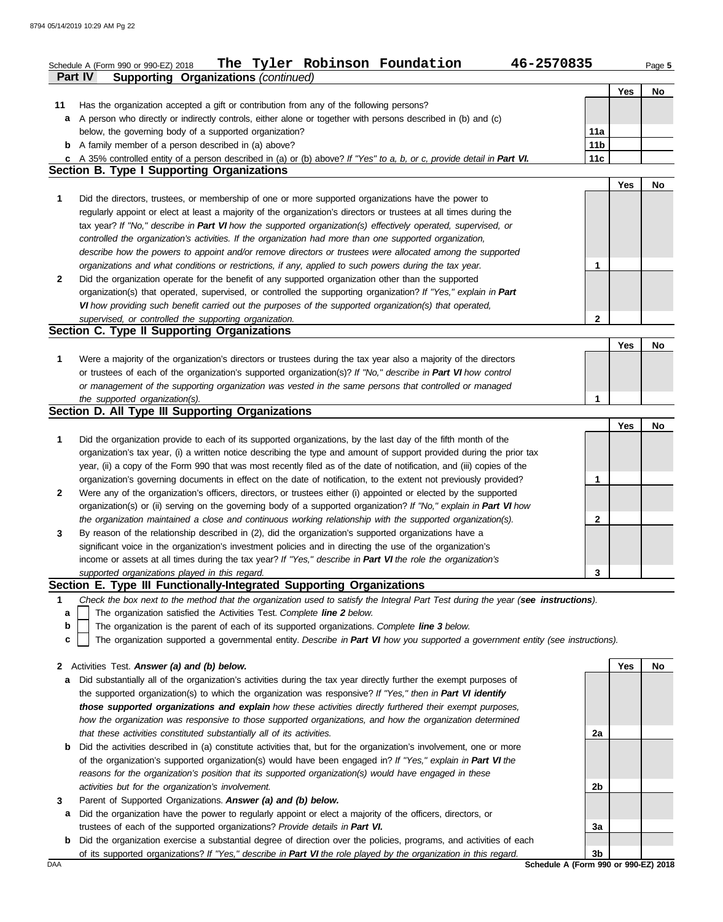|              | The Tyler Robinson Foundation<br>46-2570835<br>Schedule A (Form 990 or 990-EZ) 2018                                                                                                                                 |                 |            | Page 5 |
|--------------|---------------------------------------------------------------------------------------------------------------------------------------------------------------------------------------------------------------------|-----------------|------------|--------|
|              | <b>Supporting Organizations (continued)</b><br>Part IV                                                                                                                                                              |                 |            |        |
|              |                                                                                                                                                                                                                     |                 | Yes        | No     |
| 11<br>a      | Has the organization accepted a gift or contribution from any of the following persons?<br>A person who directly or indirectly controls, either alone or together with persons described in (b) and (c)             |                 |            |        |
|              | below, the governing body of a supported organization?                                                                                                                                                              | 11a             |            |        |
|              | <b>b</b> A family member of a person described in (a) above?                                                                                                                                                        | 11 <sub>b</sub> |            |        |
|              | c A 35% controlled entity of a person described in (a) or (b) above? If "Yes" to a, b, or c, provide detail in Part VI.                                                                                             | 11c             |            |        |
|              | <b>Section B. Type I Supporting Organizations</b>                                                                                                                                                                   |                 |            |        |
|              |                                                                                                                                                                                                                     |                 | <b>Yes</b> | No.    |
| 1            | Did the directors, trustees, or membership of one or more supported organizations have the power to                                                                                                                 |                 |            |        |
|              | regularly appoint or elect at least a majority of the organization's directors or trustees at all times during the                                                                                                  |                 |            |        |
|              | tax year? If "No," describe in Part VI how the supported organization(s) effectively operated, supervised, or                                                                                                       |                 |            |        |
|              | controlled the organization's activities. If the organization had more than one supported organization,                                                                                                             |                 |            |        |
|              | describe how the powers to appoint and/or remove directors or trustees were allocated among the supported                                                                                                           |                 |            |        |
|              | organizations and what conditions or restrictions, if any, applied to such powers during the tax year.                                                                                                              | 1               |            |        |
| $\mathbf{2}$ | Did the organization operate for the benefit of any supported organization other than the supported                                                                                                                 |                 |            |        |
|              | organization(s) that operated, supervised, or controlled the supporting organization? If "Yes," explain in Part                                                                                                     |                 |            |        |
|              | VI how providing such benefit carried out the purposes of the supported organization(s) that operated,<br>supervised, or controlled the supporting organization.                                                    | 2               |            |        |
|              | Section C. Type II Supporting Organizations                                                                                                                                                                         |                 |            |        |
|              |                                                                                                                                                                                                                     |                 | Yes        | No     |
| 1            | Were a majority of the organization's directors or trustees during the tax year also a majority of the directors                                                                                                    |                 |            |        |
|              | or trustees of each of the organization's supported organization(s)? If "No," describe in Part VI how control                                                                                                       |                 |            |        |
|              | or management of the supporting organization was vested in the same persons that controlled or managed                                                                                                              |                 |            |        |
|              | the supported organization(s).                                                                                                                                                                                      | 1               |            |        |
|              | Section D. All Type III Supporting Organizations                                                                                                                                                                    |                 |            |        |
|              |                                                                                                                                                                                                                     |                 | Yes        | No     |
| 1            | Did the organization provide to each of its supported organizations, by the last day of the fifth month of the                                                                                                      |                 |            |        |
|              | organization's tax year, (i) a written notice describing the type and amount of support provided during the prior tax                                                                                               |                 |            |        |
|              | year, (ii) a copy of the Form 990 that was most recently filed as of the date of notification, and (iii) copies of the                                                                                              |                 |            |        |
|              | organization's governing documents in effect on the date of notification, to the extent not previously provided?                                                                                                    | 1               |            |        |
| $\mathbf{2}$ | Were any of the organization's officers, directors, or trustees either (i) appointed or elected by the supported                                                                                                    |                 |            |        |
|              | organization(s) or (ii) serving on the governing body of a supported organization? If "No," explain in Part VI how                                                                                                  |                 |            |        |
|              | the organization maintained a close and continuous working relationship with the supported organization(s).                                                                                                         | 2               |            |        |
| 3            | By reason of the relationship described in (2), did the organization's supported organizations have a<br>significant voice in the organization's investment policies and in directing the use of the organization's |                 |            |        |
|              | income or assets at all times during the tax year? If "Yes," describe in Part VI the role the organization's                                                                                                        |                 |            |        |
|              | supported organizations played in this regard.                                                                                                                                                                      | 3               |            |        |
|              | Section E. Type III Functionally-Integrated Supporting Organizations                                                                                                                                                |                 |            |        |
| 1            | Check the box next to the method that the organization used to satisfy the Integral Part Test during the year (see instructions).                                                                                   |                 |            |        |
| a            | The organization satisfied the Activities Test. Complete line 2 below.                                                                                                                                              |                 |            |        |
| b            | The organization is the parent of each of its supported organizations. Complete line 3 below.                                                                                                                       |                 |            |        |
| c            | The organization supported a governmental entity. Describe in Part VI how you supported a government entity (see instructions).                                                                                     |                 |            |        |
|              |                                                                                                                                                                                                                     |                 |            |        |
| $\mathbf{2}$ | Activities Test. Answer (a) and (b) below.                                                                                                                                                                          |                 | Yes        | No     |
| a            | Did substantially all of the organization's activities during the tax year directly further the exempt purposes of                                                                                                  |                 |            |        |
|              | the supported organization(s) to which the organization was responsive? If "Yes," then in Part VI identify                                                                                                          |                 |            |        |
|              | those supported organizations and explain how these activities directly furthered their exempt purposes,                                                                                                            |                 |            |        |
|              | how the organization was responsive to those supported organizations, and how the organization determined                                                                                                           |                 |            |        |
| b            | that these activities constituted substantially all of its activities.<br>Did the activities described in (a) constitute activities that, but for the organization's involvement, one or more                       | 2a              |            |        |
|              | of the organization's supported organization(s) would have been engaged in? If "Yes," explain in Part VI the                                                                                                        |                 |            |        |
|              | reasons for the organization's position that its supported organization(s) would have engaged in these                                                                                                              |                 |            |        |
|              | activities but for the organization's involvement.                                                                                                                                                                  | 2b              |            |        |
| 3            | Parent of Supported Organizations. Answer (a) and (b) below.                                                                                                                                                        |                 |            |        |
| а            | Did the organization have the power to regularly appoint or elect a majority of the officers, directors, or                                                                                                         |                 |            |        |
|              | trustees of each of the supported organizations? Provide details in Part VI.                                                                                                                                        | 3a              |            |        |

**b** Did the organization exercise a substantial degree of direction over the policies, programs, and activities of each of its supported organizations? *If "Yes," describe in Part VI the role played by the organization in this regard.*

DAA **Schedule A (Form 990 or 990-EZ) 2018 3b**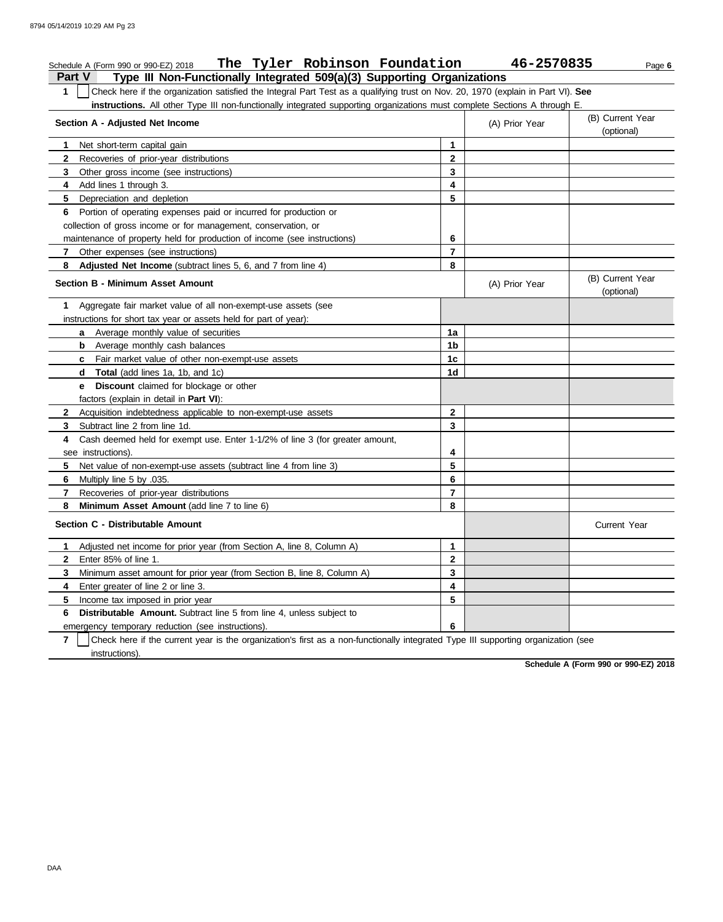#### **Part V Type III Non-Functionally Integrated 509(a)(3) Supporting Organizations** Schedule A (Form 990 or 990-EZ) 2018 Page **6 The Tyler Robinson Foundation 46-2570835 1** Check here if the organization satisfied the Integral Part Test as a qualifying trust on Nov. 20, 1970 (explain in Part VI). **See instructions.** All other Type III non-functionally integrated supporting organizations must complete Sections A through E. **1** Net short-term capital gain **2 3 4** Add lines 1 through 3. **5** Depreciation and depletion **6** Portion of operating expenses paid or incurred for production or **7** Other expenses (see instructions) **8 Adjusted Net Income** (subtract lines 5, 6, and 7 from line 4) **1** Aggregate fair market value of all non-exempt-use assets (see **Section A - Adjusted Net Income** Recoveries of prior-year distributions Other gross income (see instructions) collection of gross income or for management, conservation, or maintenance of property held for production of income (see instructions) **Section B - Minimum Asset Amount** instructions for short tax year or assets held for part of year): **a** Average monthly value of securities **b** Average monthly cash balances **c** Fair market value of other non-exempt-use assets **d Total** (add lines 1a, 1b, and 1c) **e Discount** claimed for blockage or other factors (explain in detail in **Part VI**): **8 Minimum Asset Amount** (add line 7 to line 6) **7 6** Multiply line 5 by .035. **5** Net value of non-exempt-use assets (subtract line 4 from line 3) **4** Cash deemed held for exempt use. Enter 1-1/2% of line 3 (for greater amount, **3** Subtract line 2 from line 1d. **2** Acquisition indebtedness applicable to non-exempt-use assets see instructions). Recoveries of prior-year distributions **Section C - Distributable Amount 6 Distributable Amount.** Subtract line 5 from line 4, unless subject to **5** Income tax imposed in prior year **4** Enter greater of line 2 or line 3. **3 2** Enter 85% of line 1. **1** Adjusted net income for prior year (from Section A, line 8, Column A) Minimum asset amount for prior year (from Section B, line 8, Column A) emergency temporary reduction (see instructions). **8 7 6 5 4 3 2 1** (A) Prior Year (B) Current Year (optional) (optional) (B) Current Year (A) Prior Year **1a 1b 1c 1d 2 3 4 5 6 7 8 3 2 1 6 5 4** Current Year

**7** instructions). Check here if the current year is the organization's first as a non-functionally integrated Type III supporting organization (see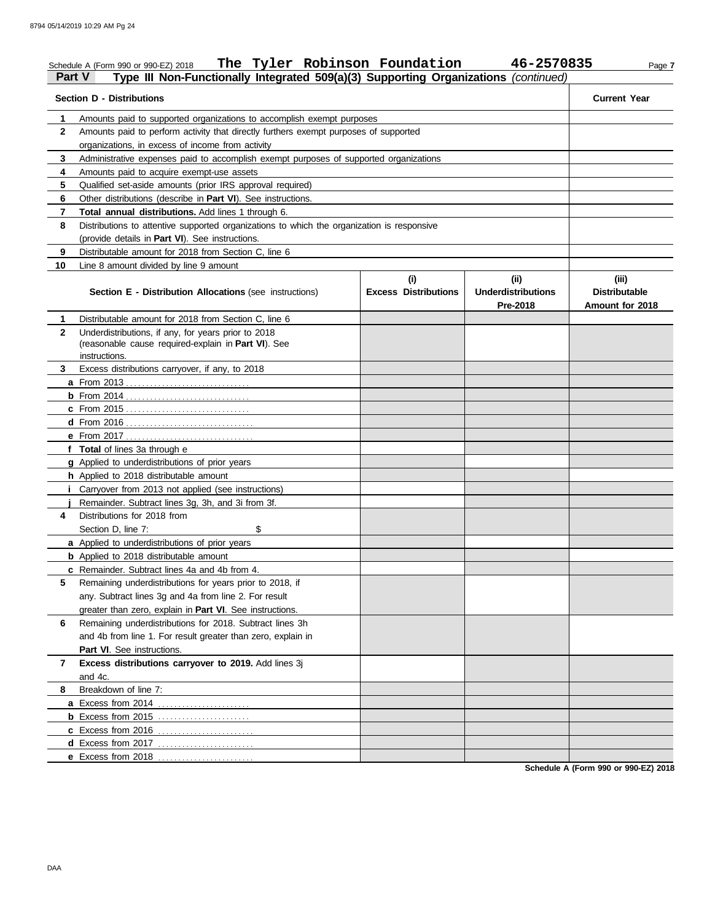| <b>Part V</b> | The Tyler Robinson Foundation<br>Schedule A (Form 990 or 990-EZ) 2018<br>Type III Non-Functionally Integrated 509(a)(3) Supporting Organizations (continued) |                                    | 46-2570835                                   | Page 7                                           |
|---------------|--------------------------------------------------------------------------------------------------------------------------------------------------------------|------------------------------------|----------------------------------------------|--------------------------------------------------|
|               | <b>Section D - Distributions</b>                                                                                                                             |                                    |                                              | <b>Current Year</b>                              |
| 1             | Amounts paid to supported organizations to accomplish exempt purposes                                                                                        |                                    |                                              |                                                  |
| $\mathbf{2}$  | Amounts paid to perform activity that directly furthers exempt purposes of supported                                                                         |                                    |                                              |                                                  |
|               | organizations, in excess of income from activity                                                                                                             |                                    |                                              |                                                  |
| 3             | Administrative expenses paid to accomplish exempt purposes of supported organizations                                                                        |                                    |                                              |                                                  |
| 4             | Amounts paid to acquire exempt-use assets                                                                                                                    |                                    |                                              |                                                  |
| 5             | Qualified set-aside amounts (prior IRS approval required)                                                                                                    |                                    |                                              |                                                  |
| 6             | Other distributions (describe in Part VI). See instructions.                                                                                                 |                                    |                                              |                                                  |
| 7             | Total annual distributions. Add lines 1 through 6.                                                                                                           |                                    |                                              |                                                  |
| 8             | Distributions to attentive supported organizations to which the organization is responsive                                                                   |                                    |                                              |                                                  |
|               | (provide details in Part VI). See instructions.                                                                                                              |                                    |                                              |                                                  |
| 9             | Distributable amount for 2018 from Section C, line 6                                                                                                         |                                    |                                              |                                                  |
| 10            | Line 8 amount divided by line 9 amount                                                                                                                       |                                    |                                              |                                                  |
|               | Section E - Distribution Allocations (see instructions)                                                                                                      | (i)<br><b>Excess Distributions</b> | (i)<br><b>Underdistributions</b><br>Pre-2018 | (iii)<br><b>Distributable</b><br>Amount for 2018 |
| 1             | Distributable amount for 2018 from Section C, line 6                                                                                                         |                                    |                                              |                                                  |
| $\mathbf{2}$  | Underdistributions, if any, for years prior to 2018                                                                                                          |                                    |                                              |                                                  |
|               | (reasonable cause required-explain in Part VI). See                                                                                                          |                                    |                                              |                                                  |
|               | instructions.                                                                                                                                                |                                    |                                              |                                                  |
| 3             | Excess distributions carryover, if any, to 2018                                                                                                              |                                    |                                              |                                                  |
|               |                                                                                                                                                              |                                    |                                              |                                                  |
|               |                                                                                                                                                              |                                    |                                              |                                                  |
|               | <b>c</b> From 2015                                                                                                                                           |                                    |                                              |                                                  |
|               |                                                                                                                                                              |                                    |                                              |                                                  |
|               |                                                                                                                                                              |                                    |                                              |                                                  |
|               | f Total of lines 3a through e                                                                                                                                |                                    |                                              |                                                  |
|               | g Applied to underdistributions of prior years                                                                                                               |                                    |                                              |                                                  |
|               | h Applied to 2018 distributable amount                                                                                                                       |                                    |                                              |                                                  |
|               | <i>i</i> Carryover from 2013 not applied (see instructions)                                                                                                  |                                    |                                              |                                                  |
|               | Remainder. Subtract lines 3g, 3h, and 3i from 3f.                                                                                                            |                                    |                                              |                                                  |
| 4             | Distributions for 2018 from                                                                                                                                  |                                    |                                              |                                                  |
|               | Section D, line 7:<br>\$                                                                                                                                     |                                    |                                              |                                                  |
|               | a Applied to underdistributions of prior years                                                                                                               |                                    |                                              |                                                  |
|               | <b>b</b> Applied to 2018 distributable amount                                                                                                                |                                    |                                              |                                                  |
|               | c Remainder. Subtract lines 4a and 4b from 4.                                                                                                                |                                    |                                              |                                                  |
| 5.            | Remaining underdistributions for years prior to 2018, if                                                                                                     |                                    |                                              |                                                  |
|               | any. Subtract lines 3g and 4a from line 2. For result                                                                                                        |                                    |                                              |                                                  |
|               | greater than zero, explain in Part VI. See instructions.                                                                                                     |                                    |                                              |                                                  |
| 6             | Remaining underdistributions for 2018. Subtract lines 3h                                                                                                     |                                    |                                              |                                                  |
|               | and 4b from line 1. For result greater than zero, explain in                                                                                                 |                                    |                                              |                                                  |
|               | Part VI. See instructions.                                                                                                                                   |                                    |                                              |                                                  |
| 7             | Excess distributions carryover to 2019. Add lines 3j<br>and 4c.                                                                                              |                                    |                                              |                                                  |
| 8             | Breakdown of line 7:                                                                                                                                         |                                    |                                              |                                                  |
|               | a Excess from 2014<br>.                                                                                                                                      |                                    |                                              |                                                  |
|               | <b>b</b> Excess from 2015 $\ldots$                                                                                                                           |                                    |                                              |                                                  |
|               | c Excess from 2016<br>.                                                                                                                                      |                                    |                                              |                                                  |
|               | <b>d</b> Excess from 2017                                                                                                                                    |                                    |                                              |                                                  |
|               | e Excess from 2018<br>.                                                                                                                                      |                                    |                                              |                                                  |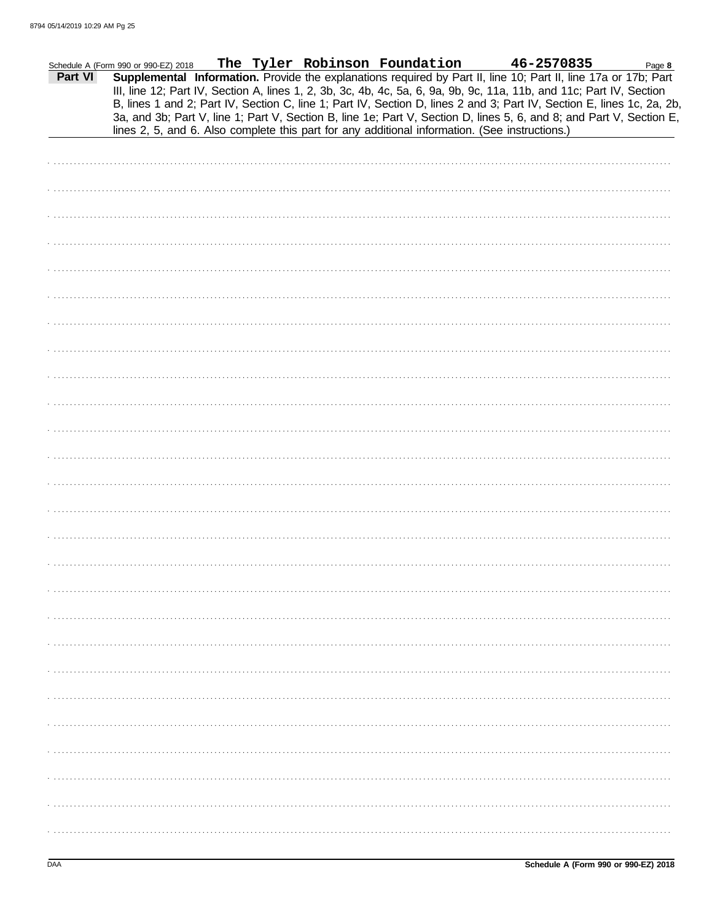|         | Schedule A (Form 990 or 990-EZ) 2018                                                                                                                                                                                                                                                                                                                                                                                                                                                      |  | The Tyler Robinson Foundation |  | 46-2570835 | Page 8 |
|---------|-------------------------------------------------------------------------------------------------------------------------------------------------------------------------------------------------------------------------------------------------------------------------------------------------------------------------------------------------------------------------------------------------------------------------------------------------------------------------------------------|--|-------------------------------|--|------------|--------|
| Part VI | Supplemental Information. Provide the explanations required by Part II, line 10; Part II, line 17a or 17b; Part<br>III, line 12; Part IV, Section A, lines 1, 2, 3b, 3c, 4b, 4c, 5a, 6, 9a, 9b, 9c, 11a, 11b, and 11c; Part IV, Section<br>B, lines 1 and 2; Part IV, Section C, line 1; Part IV, Section D, lines 2 and 3; Part IV, Section E, lines 1c, 2a, 2b,<br>3a, and 3b; Part V, line 1; Part V, Section B, line 1e; Part V, Section D, lines 5, 6, and 8; and Part V, Section E, |  |                               |  |            |        |
|         | lines 2, 5, and 6. Also complete this part for any additional information. (See instructions.)                                                                                                                                                                                                                                                                                                                                                                                            |  |                               |  |            |        |
|         |                                                                                                                                                                                                                                                                                                                                                                                                                                                                                           |  |                               |  |            |        |
|         |                                                                                                                                                                                                                                                                                                                                                                                                                                                                                           |  |                               |  |            |        |
|         |                                                                                                                                                                                                                                                                                                                                                                                                                                                                                           |  |                               |  |            |        |
|         |                                                                                                                                                                                                                                                                                                                                                                                                                                                                                           |  |                               |  |            |        |
|         |                                                                                                                                                                                                                                                                                                                                                                                                                                                                                           |  |                               |  |            |        |
|         |                                                                                                                                                                                                                                                                                                                                                                                                                                                                                           |  |                               |  |            |        |
|         |                                                                                                                                                                                                                                                                                                                                                                                                                                                                                           |  |                               |  |            |        |
|         |                                                                                                                                                                                                                                                                                                                                                                                                                                                                                           |  |                               |  |            |        |
|         |                                                                                                                                                                                                                                                                                                                                                                                                                                                                                           |  |                               |  |            |        |
|         |                                                                                                                                                                                                                                                                                                                                                                                                                                                                                           |  |                               |  |            |        |
|         |                                                                                                                                                                                                                                                                                                                                                                                                                                                                                           |  |                               |  |            |        |
|         |                                                                                                                                                                                                                                                                                                                                                                                                                                                                                           |  |                               |  |            |        |
|         |                                                                                                                                                                                                                                                                                                                                                                                                                                                                                           |  |                               |  |            |        |
|         |                                                                                                                                                                                                                                                                                                                                                                                                                                                                                           |  |                               |  |            |        |
|         |                                                                                                                                                                                                                                                                                                                                                                                                                                                                                           |  |                               |  |            |        |
|         |                                                                                                                                                                                                                                                                                                                                                                                                                                                                                           |  |                               |  |            |        |
|         |                                                                                                                                                                                                                                                                                                                                                                                                                                                                                           |  |                               |  |            |        |
|         |                                                                                                                                                                                                                                                                                                                                                                                                                                                                                           |  |                               |  |            |        |
|         |                                                                                                                                                                                                                                                                                                                                                                                                                                                                                           |  |                               |  |            |        |
|         |                                                                                                                                                                                                                                                                                                                                                                                                                                                                                           |  |                               |  |            |        |
|         |                                                                                                                                                                                                                                                                                                                                                                                                                                                                                           |  |                               |  |            |        |
|         |                                                                                                                                                                                                                                                                                                                                                                                                                                                                                           |  |                               |  |            |        |
|         |                                                                                                                                                                                                                                                                                                                                                                                                                                                                                           |  |                               |  |            |        |
|         |                                                                                                                                                                                                                                                                                                                                                                                                                                                                                           |  |                               |  |            |        |
|         |                                                                                                                                                                                                                                                                                                                                                                                                                                                                                           |  |                               |  |            |        |
|         |                                                                                                                                                                                                                                                                                                                                                                                                                                                                                           |  |                               |  |            |        |
|         |                                                                                                                                                                                                                                                                                                                                                                                                                                                                                           |  |                               |  |            |        |
|         |                                                                                                                                                                                                                                                                                                                                                                                                                                                                                           |  |                               |  |            |        |
|         |                                                                                                                                                                                                                                                                                                                                                                                                                                                                                           |  |                               |  |            |        |
|         |                                                                                                                                                                                                                                                                                                                                                                                                                                                                                           |  |                               |  |            |        |
|         |                                                                                                                                                                                                                                                                                                                                                                                                                                                                                           |  |                               |  |            |        |
|         |                                                                                                                                                                                                                                                                                                                                                                                                                                                                                           |  |                               |  |            |        |
|         |                                                                                                                                                                                                                                                                                                                                                                                                                                                                                           |  |                               |  |            |        |
|         |                                                                                                                                                                                                                                                                                                                                                                                                                                                                                           |  |                               |  |            |        |
|         |                                                                                                                                                                                                                                                                                                                                                                                                                                                                                           |  |                               |  |            |        |
|         |                                                                                                                                                                                                                                                                                                                                                                                                                                                                                           |  |                               |  |            |        |
|         |                                                                                                                                                                                                                                                                                                                                                                                                                                                                                           |  |                               |  |            |        |
|         |                                                                                                                                                                                                                                                                                                                                                                                                                                                                                           |  |                               |  |            |        |
|         |                                                                                                                                                                                                                                                                                                                                                                                                                                                                                           |  |                               |  |            |        |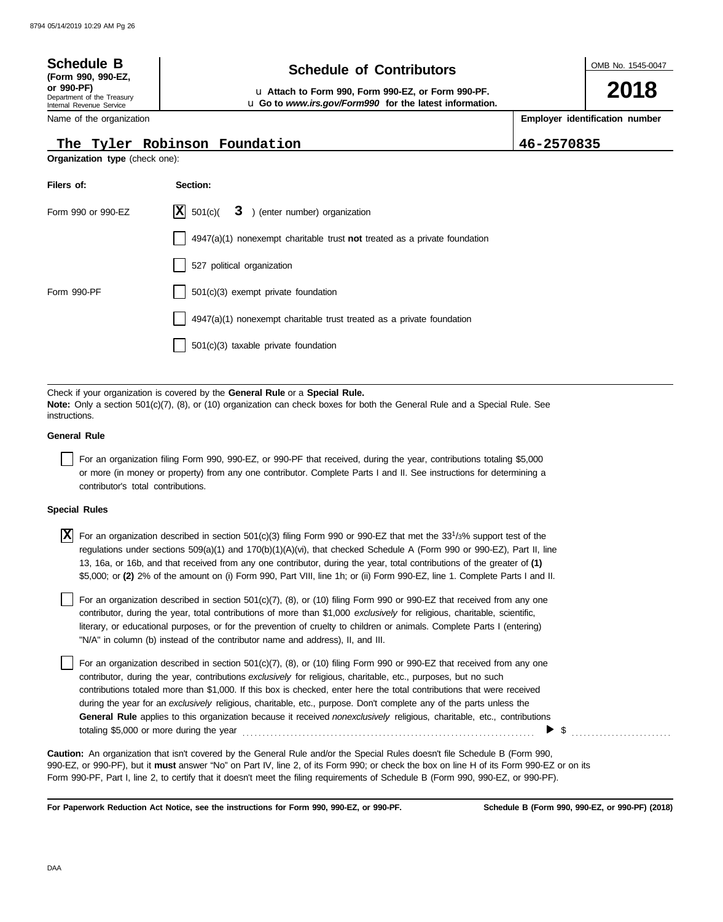| <b>Schedule B</b><br>(Form 990, 990-EZ,<br>or 990-PF)<br>Department of the Treasury<br>Internal Revenue Service | <b>Schedule of Contributors</b><br>La Attach to Form 990, Form 990-EZ, or Form 990-PF.<br>La Go to www.irs.gov/Form990 for the latest information. | OMB No. 1545-0047<br>2018 |                                |  |
|-----------------------------------------------------------------------------------------------------------------|----------------------------------------------------------------------------------------------------------------------------------------------------|---------------------------|--------------------------------|--|
| Name of the organization                                                                                        |                                                                                                                                                    |                           | Employer identification number |  |
|                                                                                                                 | The Tyler Robinson Foundation                                                                                                                      | 46-2570835                |                                |  |
| Organization type (check one):                                                                                  |                                                                                                                                                    |                           |                                |  |
| Filers of:                                                                                                      | Section:                                                                                                                                           |                           |                                |  |
| Form 990 or 990-EZ                                                                                              | $ \mathbf{X} $ 501(c)( 3) (enter number) organization                                                                                              |                           |                                |  |
|                                                                                                                 | $4947(a)(1)$ nonexempt charitable trust not treated as a private foundation                                                                        |                           |                                |  |
|                                                                                                                 | 527 political organization                                                                                                                         |                           |                                |  |
| Form 990-PF                                                                                                     | 501(c)(3) exempt private foundation                                                                                                                |                           |                                |  |
|                                                                                                                 | 4947(a)(1) nonexempt charitable trust treated as a private foundation                                                                              |                           |                                |  |
|                                                                                                                 | 501(c)(3) taxable private foundation                                                                                                               |                           |                                |  |

Check if your organization is covered by the **General Rule** or a **Special Rule. Note:** Only a section 501(c)(7), (8), or (10) organization can check boxes for both the General Rule and a Special Rule. See instructions.

#### **General Rule**

For an organization filing Form 990, 990-EZ, or 990-PF that received, during the year, contributions totaling \$5,000 or more (in money or property) from any one contributor. Complete Parts I and II. See instructions for determining a contributor's total contributions.

#### **Special Rules**

For an organization described in section 501(c)(3) filing Form 990 or 990-EZ that met the 33<sup>1</sup> /3% support test of the **X** regulations under sections 509(a)(1) and 170(b)(1)(A)(vi), that checked Schedule A (Form 990 or 990-EZ), Part II, line 13, 16a, or 16b, and that received from any one contributor, during the year, total contributions of the greater of **(1)** \$5,000; or **(2)** 2% of the amount on (i) Form 990, Part VIII, line 1h; or (ii) Form 990-EZ, line 1. Complete Parts I and II.

literary, or educational purposes, or for the prevention of cruelty to children or animals. Complete Parts I (entering) For an organization described in section  $501(c)(7)$ , (8), or (10) filing Form 990 or 990-EZ that received from any one contributor, during the year, total contributions of more than \$1,000 *exclusively* for religious, charitable, scientific, "N/A" in column (b) instead of the contributor name and address), II, and III.

For an organization described in section 501(c)(7), (8), or (10) filing Form 990 or 990-EZ that received from any one contributor, during the year, contributions *exclusively* for religious, charitable, etc., purposes, but no such contributions totaled more than \$1,000. If this box is checked, enter here the total contributions that were received during the year for an *exclusively* religious, charitable, etc., purpose. Don't complete any of the parts unless the **General Rule** applies to this organization because it received *nonexclusively* religious, charitable, etc., contributions totaling \$5,000 or more during the year . . . . . . . . . . . . . . . . . . . . . . . . . . . . . . . . . . . . . . . . . . . . . . . . . . . . . . . . . . . . . . . . . . . . . . . . . \$ . . . . . . . . . . . . . . . . . . . . . . . . .

990-EZ, or 990-PF), but it **must** answer "No" on Part IV, line 2, of its Form 990; or check the box on line H of its Form 990-EZ or on its Form 990-PF, Part I, line 2, to certify that it doesn't meet the filing requirements of Schedule B (Form 990, 990-EZ, or 990-PF). **Caution:** An organization that isn't covered by the General Rule and/or the Special Rules doesn't file Schedule B (Form 990,

**For Paperwork Reduction Act Notice, see the instructions for Form 990, 990-EZ, or 990-PF.**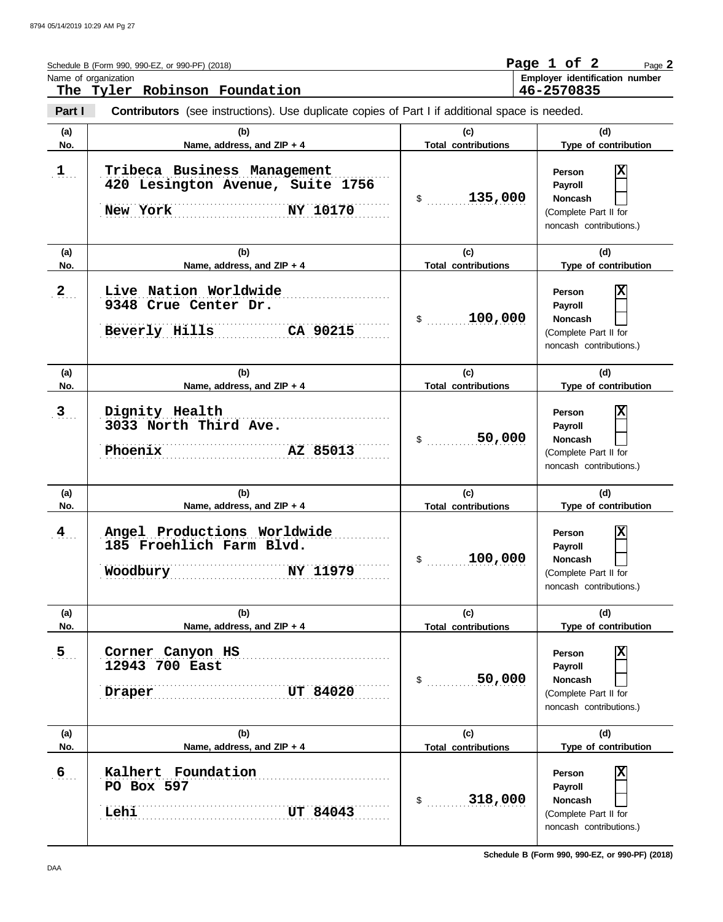|                  | Schedule B (Form 990, 990-EZ, or 990-PF) (2018)<br>Name of organization<br>The Tyler Robinson Foundation |                                   | Page 1 of 2<br>Page 2<br>Employer identification number<br>46-2570835                                              |
|------------------|----------------------------------------------------------------------------------------------------------|-----------------------------------|--------------------------------------------------------------------------------------------------------------------|
| Part I           | <b>Contributors</b> (see instructions). Use duplicate copies of Part I if additional space is needed.    |                                   |                                                                                                                    |
| (a)<br>No.       | (b)<br>(c)<br><b>Total contributions</b><br>Name, address, and ZIP + 4                                   |                                   | (d)<br>Type of contribution                                                                                        |
| $1$              | Tribeca Business Management<br>420 Lesington Avenue, Suite 1756<br>NY 10170<br>New York                  | 135,000<br>$\mathfrak s$          | X<br>Person<br>Payroll<br><b>Noncash</b><br>(Complete Part II for<br>noncash contributions.)                       |
| (a)<br>No.       | (b)<br>Name, address, and ZIP + 4                                                                        | (c)<br><b>Total contributions</b> | (d)<br>Type of contribution                                                                                        |
| $2_{\ldots}$     | Live Nation Worldwide<br>9348 Crue Center Dr.<br>Beverly Hills<br>CA 90215                               | 100,000<br>\$                     | X<br><b>Person</b><br>Payroll<br><b>Noncash</b><br>(Complete Part II for<br>noncash contributions.)                |
| (a)<br>No.       | (b)<br>Name, address, and ZIP + 4                                                                        | (c)<br><b>Total contributions</b> | (d)<br>Type of contribution                                                                                        |
| $3$ .            | Dignity Health<br>3033 North Third Ave.<br>AZ 85013<br>Phoenix                                           | 50,000<br>\$                      | X<br><b>Person</b><br>Payroll<br><b>Noncash</b><br>(Complete Part II for<br>noncash contributions.)                |
| (a)<br>No.       | (b)<br>Name, address, and ZIP + 4                                                                        | (c)<br><b>Total contributions</b> | (d)<br>Type of contribution                                                                                        |
| $4_{\ldots}$     | Angel Productions Worldwide<br>185 Froehlich Farm Blvd.<br>NY 11979<br>Woodbury                          | 100,000<br>\$                     | $\overline{\textbf{x}}$<br>Person<br>Payroll<br><b>Noncash</b><br>(Complete Part II for<br>noncash contributions.) |
| (a)<br>No.       | (b)<br>Name, address, and ZIP + 4                                                                        | (c)<br><b>Total contributions</b> | (d)<br>Type of contribution                                                                                        |
| 5 <sub></sub>    | Corner Canyon HS<br>12943 700 East<br><b>UT 84020</b><br>Draper                                          | 50,000<br>$\sim$                  | X<br>Person<br>Payroll<br><b>Noncash</b><br>(Complete Part II for<br>noncash contributions.)                       |
| (a)<br>No.       | (b)<br>Name, address, and ZIP + 4                                                                        | (c)<br><b>Total contributions</b> | (d)<br>Type of contribution                                                                                        |
| 6 <sub>111</sub> | Kalhert Foundation<br>PO Box 597<br>Lehi<br>UT 84043                                                     | 318,000<br>$\sim$                 | X<br>Person<br>Payroll<br><b>Noncash</b><br>(Complete Part II for<br>noncash contributions.)                       |

**Schedule B (Form 990, 990-EZ, or 990-PF) (2018)**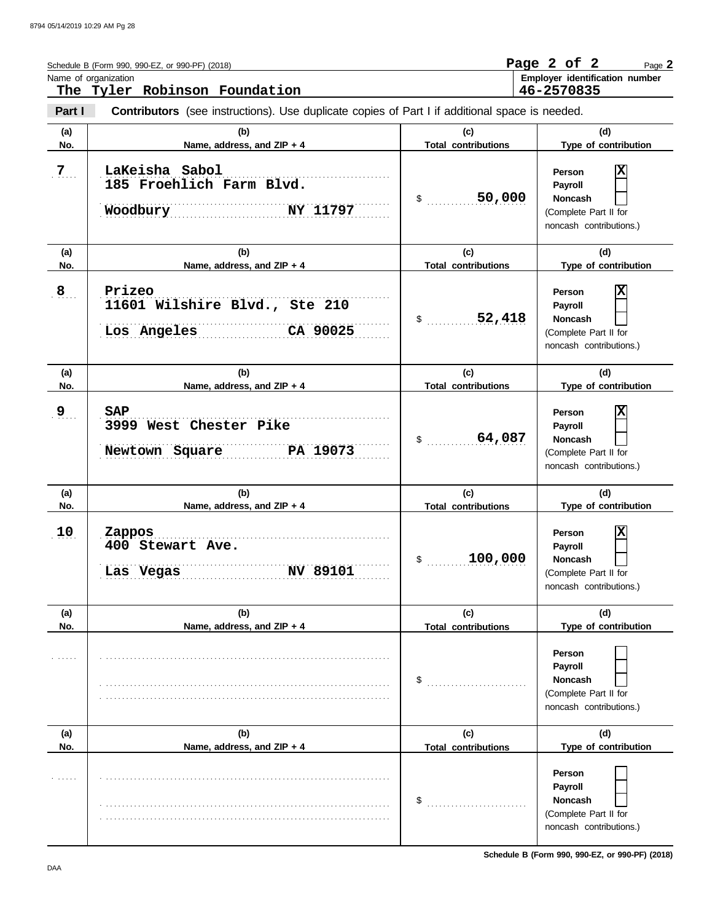|                 | Schedule B (Form 990, 990-EZ, or 990-PF) (2018)<br>Name of organization<br>The Tyler Robinson Foundation |                                   | Page 2 of 2<br>Page 2<br>Employer identification number<br>46-2570835                               |
|-----------------|----------------------------------------------------------------------------------------------------------|-----------------------------------|-----------------------------------------------------------------------------------------------------|
| Part I          | <b>Contributors</b> (see instructions). Use duplicate copies of Part I if additional space is needed.    |                                   |                                                                                                     |
| (a)<br>No.      | (b)<br>Name, address, and ZIP + 4                                                                        | (c)<br><b>Total contributions</b> | (d)<br>Type of contribution                                                                         |
| 7 <sub>1</sub>  | LaKeisha Sabol<br>185 Froehlich Farm Blvd.<br>Woodbury<br>NY 11797                                       | 50,000<br>$\sim$                  | X<br><b>Person</b><br>Payroll<br><b>Noncash</b><br>(Complete Part II for<br>noncash contributions.) |
| (a)<br>No.      | (b)<br>Name, address, and ZIP + 4                                                                        | (c)<br><b>Total contributions</b> | (d)<br>Type of contribution                                                                         |
| 8 <sub>1</sub>  | Prizeo<br>11601 Wilshire Blvd., Ste 210<br>Los Angeles<br>CA 90025                                       | 52,418<br>$\sim$                  | X<br>Person<br>Payroll<br><b>Noncash</b><br>(Complete Part II for<br>noncash contributions.)        |
| (a)<br>No.      | (b)<br>Name, address, and ZIP + 4                                                                        | (c)<br><b>Total contributions</b> | (d)<br>Type of contribution                                                                         |
| $9_{\ldots}$    | <b>SAP</b><br>3999 West Chester Pike<br>Newtown Square PA 19073                                          | 64,087<br>$\sim$                  | X<br>Person<br>Payroll<br><b>Noncash</b><br>(Complete Part II for<br>noncash contributions.)        |
| (a)<br>No.      | (b)<br>Name, address, and ZIP + 4                                                                        | (c)<br><b>Total contributions</b> | (d)<br>Type of contribution                                                                         |
| 10 <sub>1</sub> | Zappos<br>400 Stewart Ave.<br><b>NV 89101</b><br>Las Vegas                                               | 100,000<br>\$                     | X<br>Person<br>Payroll<br>Noncash<br>(Complete Part II for<br>noncash contributions.)               |
| (a)<br>No.      | (b)<br>Name, address, and ZIP + 4                                                                        | (c)<br><b>Total contributions</b> | (d)<br>Type of contribution                                                                         |
|                 |                                                                                                          | \$                                | Person<br>Payroll<br><b>Noncash</b><br>(Complete Part II for<br>noncash contributions.)             |
| (a)<br>No.      | (b)<br>Name, address, and ZIP + 4                                                                        | (c)<br><b>Total contributions</b> | (d)<br>Type of contribution                                                                         |
|                 |                                                                                                          | \$                                | Person<br>Payroll<br><b>Noncash</b><br>(Complete Part II for<br>noncash contributions.)             |

**Schedule B (Form 990, 990-EZ, or 990-PF) (2018)**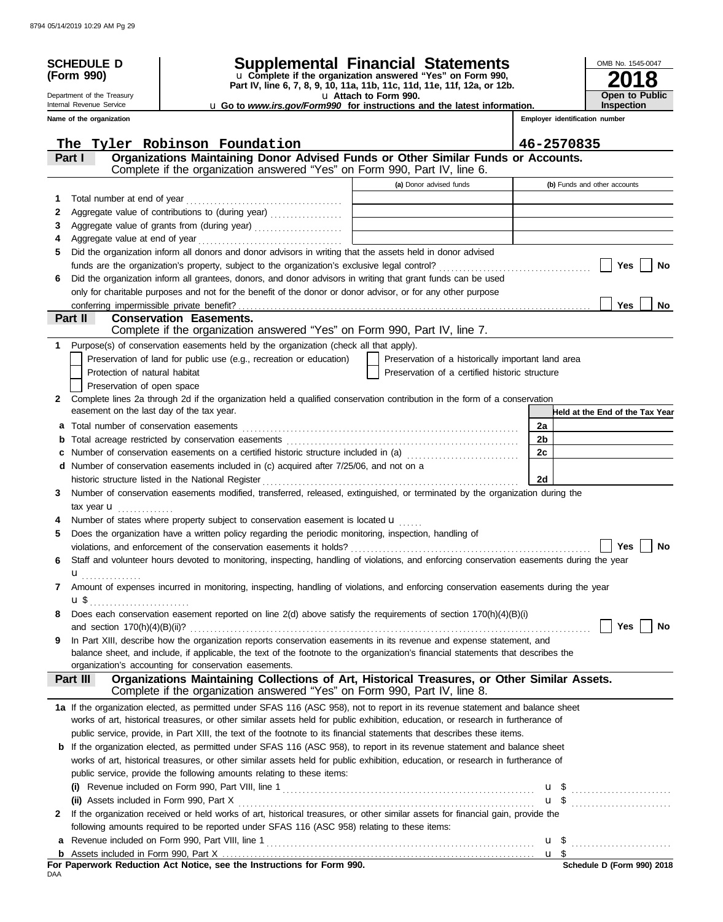| <b>SCHEDULE D</b>                         |                                                                                                                                                                                    | Supplemental Financial Statements                                                                 |                                | OMB No. 1545-0047               |
|-------------------------------------------|------------------------------------------------------------------------------------------------------------------------------------------------------------------------------------|---------------------------------------------------------------------------------------------------|--------------------------------|---------------------------------|
| (Form 990)                                |                                                                                                                                                                                    | u Complete if the organization answered "Yes" on Form 990,                                        |                                |                                 |
| Department of the Treasury                |                                                                                                                                                                                    | Part IV, line 6, 7, 8, 9, 10, 11a, 11b, 11c, 11d, 11e, 11f, 12a, or 12b.<br>U Attach to Form 990. |                                | <b>Open to Public</b>           |
| Internal Revenue Service                  |                                                                                                                                                                                    | U Go to www.irs.gov/Form990 for instructions and the latest information.                          |                                | Inspection                      |
| Name of the organization                  |                                                                                                                                                                                    |                                                                                                   | Employer identification number |                                 |
|                                           | The Tyler Robinson Foundation                                                                                                                                                      |                                                                                                   | 46-2570835                     |                                 |
| Part I                                    | Organizations Maintaining Donor Advised Funds or Other Similar Funds or Accounts.                                                                                                  |                                                                                                   |                                |                                 |
|                                           | Complete if the organization answered "Yes" on Form 990, Part IV, line 6.                                                                                                          |                                                                                                   |                                |                                 |
|                                           |                                                                                                                                                                                    | (a) Donor advised funds                                                                           |                                | (b) Funds and other accounts    |
| Total number at end of year<br>1          |                                                                                                                                                                                    | the control of the control of the control of the control of                                       |                                |                                 |
| 2                                         | Aggregate value of contributions to (during year)                                                                                                                                  | the control of the control of the control of the control of the control of the control of         |                                |                                 |
| 3                                         | Aggregate value of grants from (during year)                                                                                                                                       | the contract of the contract of the contract of the contract of the contract of                   |                                |                                 |
| 4                                         |                                                                                                                                                                                    |                                                                                                   |                                |                                 |
| 5                                         | Did the organization inform all donors and donor advisors in writing that the assets held in donor advised                                                                         |                                                                                                   |                                |                                 |
|                                           |                                                                                                                                                                                    |                                                                                                   |                                | Yes<br>No                       |
| 6                                         | Did the organization inform all grantees, donors, and donor advisors in writing that grant funds can be used                                                                       |                                                                                                   |                                |                                 |
|                                           | only for charitable purposes and not for the benefit of the donor or donor advisor, or for any other purpose                                                                       |                                                                                                   |                                |                                 |
| Part II                                   | <b>Conservation Easements.</b>                                                                                                                                                     |                                                                                                   |                                | Yes<br><b>No</b>                |
|                                           | Complete if the organization answered "Yes" on Form 990, Part IV, line 7.                                                                                                          |                                                                                                   |                                |                                 |
| 1                                         | Purpose(s) of conservation easements held by the organization (check all that apply).                                                                                              |                                                                                                   |                                |                                 |
|                                           | Preservation of land for public use (e.g., recreation or education)                                                                                                                | Preservation of a historically important land area                                                |                                |                                 |
| Protection of natural habitat             |                                                                                                                                                                                    | Preservation of a certified historic structure                                                    |                                |                                 |
| Preservation of open space                |                                                                                                                                                                                    |                                                                                                   |                                |                                 |
| $\mathbf{2}$                              | Complete lines 2a through 2d if the organization held a qualified conservation contribution in the form of a conservation                                                          |                                                                                                   |                                |                                 |
| easement on the last day of the tax year. |                                                                                                                                                                                    |                                                                                                   |                                | Held at the End of the Tax Year |
| a                                         |                                                                                                                                                                                    |                                                                                                   | 2a                             |                                 |
| b                                         |                                                                                                                                                                                    |                                                                                                   | 2 <sub>b</sub>                 |                                 |
| c                                         | Number of conservation easements on a certified historic structure included in (a) [[[[[[[[[[[[[[[[[[[[[[[[[]]]]]]]                                                                |                                                                                                   | 2c                             |                                 |
| d                                         | Number of conservation easements included in (c) acquired after 7/25/06, and not on a                                                                                              |                                                                                                   | 2d                             |                                 |
| 3                                         | historic structure listed in the National Register<br>Number of conservation easements modified, transferred, released, extinguished, or terminated by the organization during the |                                                                                                   |                                |                                 |
| tax year $\blacksquare$                   |                                                                                                                                                                                    |                                                                                                   |                                |                                 |
|                                           | Number of states where property subject to conservation easement is located u                                                                                                      |                                                                                                   |                                |                                 |
| 5                                         | Does the organization have a written policy regarding the periodic monitoring, inspection, handling of                                                                             |                                                                                                   |                                |                                 |
|                                           | violations, and enforcement of the conservation easements it holds?                                                                                                                |                                                                                                   |                                | Yes<br>No                       |
| 6                                         | Staff and volunteer hours devoted to monitoring, inspecting, handling of violations, and enforcing conservation easements during the year                                          |                                                                                                   |                                |                                 |
|                                           |                                                                                                                                                                                    |                                                                                                   |                                |                                 |
| 7                                         | Amount of expenses incurred in monitoring, inspecting, handling of violations, and enforcing conservation easements during the year                                                |                                                                                                   |                                |                                 |
|                                           |                                                                                                                                                                                    |                                                                                                   |                                |                                 |
| 8                                         | Does each conservation easement reported on line $2(d)$ above satisfy the requirements of section $170(h)(4)(B)(i)$                                                                |                                                                                                   |                                |                                 |
| 9                                         | In Part XIII, describe how the organization reports conservation easements in its revenue and expense statement, and                                                               |                                                                                                   |                                | Yes<br>No                       |
|                                           | balance sheet, and include, if applicable, the text of the footnote to the organization's financial statements that describes the                                                  |                                                                                                   |                                |                                 |
|                                           | organization's accounting for conservation easements.                                                                                                                              |                                                                                                   |                                |                                 |
| Part III                                  | Organizations Maintaining Collections of Art, Historical Treasures, or Other Similar Assets.                                                                                       |                                                                                                   |                                |                                 |
|                                           | Complete if the organization answered "Yes" on Form 990, Part IV, line 8.                                                                                                          |                                                                                                   |                                |                                 |
|                                           | 1a If the organization elected, as permitted under SFAS 116 (ASC 958), not to report in its revenue statement and balance sheet                                                    |                                                                                                   |                                |                                 |
|                                           | works of art, historical treasures, or other similar assets held for public exhibition, education, or research in furtherance of                                                   |                                                                                                   |                                |                                 |
|                                           | public service, provide, in Part XIII, the text of the footnote to its financial statements that describes these items.                                                            |                                                                                                   |                                |                                 |
|                                           | <b>b</b> If the organization elected, as permitted under SFAS 116 (ASC 958), to report in its revenue statement and balance sheet                                                  |                                                                                                   |                                |                                 |
|                                           | works of art, historical treasures, or other similar assets held for public exhibition, education, or research in furtherance of                                                   |                                                                                                   |                                |                                 |
|                                           | public service, provide the following amounts relating to these items:                                                                                                             |                                                                                                   |                                |                                 |
| (i)                                       |                                                                                                                                                                                    |                                                                                                   |                                |                                 |
| 2                                         | If the organization received or held works of art, historical treasures, or other similar assets for financial gain, provide the                                                   |                                                                                                   |                                |                                 |
|                                           | following amounts required to be reported under SFAS 116 (ASC 958) relating to these items:                                                                                        |                                                                                                   |                                |                                 |
| a                                         |                                                                                                                                                                                    |                                                                                                   |                                |                                 |
|                                           |                                                                                                                                                                                    |                                                                                                   |                                |                                 |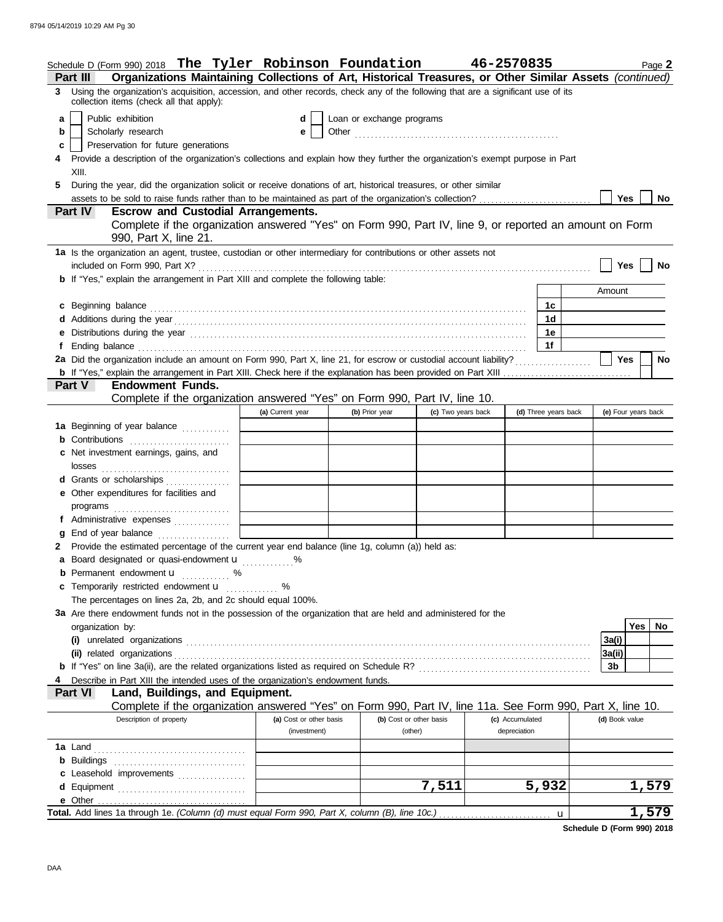|    | Schedule D (Form 990) 2018 The Tyler Robinson Foundation $46-2570835$                                                                                                                                                          |                         |                           |                    |                 |                      |                     | Page 2       |
|----|--------------------------------------------------------------------------------------------------------------------------------------------------------------------------------------------------------------------------------|-------------------------|---------------------------|--------------------|-----------------|----------------------|---------------------|--------------|
|    | Organizations Maintaining Collections of Art, Historical Treasures, or Other Similar Assets (continued)<br>Part III                                                                                                            |                         |                           |                    |                 |                      |                     |              |
|    | 3 Using the organization's acquisition, accession, and other records, check any of the following that are a significant use of its<br>collection items (check all that apply):                                                 |                         |                           |                    |                 |                      |                     |              |
| a  | Public exhibition                                                                                                                                                                                                              | d                       | Loan or exchange programs |                    |                 |                      |                     |              |
| b  | Scholarly research                                                                                                                                                                                                             | е                       |                           |                    |                 |                      |                     |              |
| c  | Preservation for future generations                                                                                                                                                                                            |                         |                           |                    |                 |                      |                     |              |
|    | Provide a description of the organization's collections and explain how they further the organization's exempt purpose in Part                                                                                                 |                         |                           |                    |                 |                      |                     |              |
|    | XIII.                                                                                                                                                                                                                          |                         |                           |                    |                 |                      |                     |              |
| 5. | During the year, did the organization solicit or receive donations of art, historical treasures, or other similar                                                                                                              |                         |                           |                    |                 |                      |                     |              |
|    | assets to be sold to raise funds rather than to be maintained as part of the organization's collection?                                                                                                                        |                         |                           |                    |                 |                      | Yes                 | <b>No</b>    |
|    | <b>Part IV</b><br><b>Escrow and Custodial Arrangements.</b>                                                                                                                                                                    |                         |                           |                    |                 |                      |                     |              |
|    | Complete if the organization answered "Yes" on Form 990, Part IV, line 9, or reported an amount on Form                                                                                                                        |                         |                           |                    |                 |                      |                     |              |
|    | 990, Part X, line 21.                                                                                                                                                                                                          |                         |                           |                    |                 |                      |                     |              |
|    | 1a Is the organization an agent, trustee, custodian or other intermediary for contributions or other assets not                                                                                                                |                         |                           |                    |                 |                      |                     |              |
|    |                                                                                                                                                                                                                                |                         |                           |                    |                 |                      | $Yes \mid$          | No           |
|    | b If "Yes," explain the arrangement in Part XIII and complete the following table:                                                                                                                                             |                         |                           |                    |                 |                      |                     |              |
|    |                                                                                                                                                                                                                                |                         |                           |                    |                 |                      | Amount              |              |
|    | c Beginning balance expressions and the contract of the contract of the contract of the contract of the contract of the contract of the contract of the contract of the contract of the contract of the contract of the contra |                         |                           |                    |                 | 1c                   |                     |              |
|    |                                                                                                                                                                                                                                |                         |                           |                    |                 | 1d                   |                     |              |
|    | e Distributions during the year contained and according to the year contained and year and the year contained with the state of the state of the state of the state of the state of the state of the state of the state of the |                         |                           |                    |                 | 1e                   |                     |              |
|    |                                                                                                                                                                                                                                |                         |                           |                    |                 | 1f                   |                     |              |
|    |                                                                                                                                                                                                                                |                         |                           |                    |                 |                      | Yes                 | <b>No</b>    |
|    |                                                                                                                                                                                                                                |                         |                           |                    |                 |                      |                     |              |
|    | <b>Endowment Funds.</b><br><b>Part V</b>                                                                                                                                                                                       |                         |                           |                    |                 |                      |                     |              |
|    | Complete if the organization answered "Yes" on Form 990, Part IV, line 10.                                                                                                                                                     |                         |                           |                    |                 |                      |                     |              |
|    |                                                                                                                                                                                                                                | (a) Current year        | (b) Prior year            | (c) Two years back |                 | (d) Three years back | (e) Four years back |              |
|    | 1a Beginning of year balance                                                                                                                                                                                                   |                         |                           |                    |                 |                      |                     |              |
|    | <b>b</b> Contributions <b>contributions</b>                                                                                                                                                                                    |                         |                           |                    |                 |                      |                     |              |
|    | c Net investment earnings, gains, and                                                                                                                                                                                          |                         |                           |                    |                 |                      |                     |              |
|    |                                                                                                                                                                                                                                |                         |                           |                    |                 |                      |                     |              |
|    | d Grants or scholarships                                                                                                                                                                                                       |                         |                           |                    |                 |                      |                     |              |
|    | e Other expenditures for facilities and                                                                                                                                                                                        |                         |                           |                    |                 |                      |                     |              |
|    |                                                                                                                                                                                                                                |                         |                           |                    |                 |                      |                     |              |
|    | f Administrative expenses                                                                                                                                                                                                      |                         |                           |                    |                 |                      |                     |              |
|    | g End of year balance                                                                                                                                                                                                          |                         |                           |                    |                 |                      |                     |              |
|    | 2 Provide the estimated percentage of the current year end balance (line 1g, column (a)) held as:                                                                                                                              |                         |                           |                    |                 |                      |                     |              |
|    | a Board designated or quasi-endowment u                                                                                                                                                                                        |                         |                           |                    |                 |                      |                     |              |
|    | <b>b</b> Permanent endowment <b>u</b> %                                                                                                                                                                                        |                         |                           |                    |                 |                      |                     |              |
|    | c Temporarily restricted endowment u                                                                                                                                                                                           | %                       |                           |                    |                 |                      |                     |              |
|    | The percentages on lines 2a, 2b, and 2c should equal 100%.                                                                                                                                                                     |                         |                           |                    |                 |                      |                     |              |
|    | 3a Are there endowment funds not in the possession of the organization that are held and administered for the                                                                                                                  |                         |                           |                    |                 |                      |                     |              |
|    | organization by:                                                                                                                                                                                                               |                         |                           |                    |                 |                      |                     | Yes<br>No.   |
|    |                                                                                                                                                                                                                                |                         |                           |                    |                 |                      | 3a(i)               |              |
|    |                                                                                                                                                                                                                                |                         |                           |                    |                 |                      | 3a(ii)              |              |
|    |                                                                                                                                                                                                                                |                         |                           |                    |                 |                      | 3b                  |              |
|    | Describe in Part XIII the intended uses of the organization's endowment funds.                                                                                                                                                 |                         |                           |                    |                 |                      |                     |              |
|    | Land, Buildings, and Equipment.<br>Part VI                                                                                                                                                                                     |                         |                           |                    |                 |                      |                     |              |
|    | Complete if the organization answered "Yes" on Form 990, Part IV, line 11a. See Form 990, Part X, line 10.                                                                                                                     |                         |                           |                    |                 |                      |                     |              |
|    | Description of property                                                                                                                                                                                                        | (a) Cost or other basis | (b) Cost or other basis   |                    | (c) Accumulated |                      | (d) Book value      |              |
|    |                                                                                                                                                                                                                                | (investment)            | (other)                   |                    | depreciation    |                      |                     |              |
|    |                                                                                                                                                                                                                                |                         |                           |                    |                 |                      |                     |              |
|    |                                                                                                                                                                                                                                |                         |                           |                    |                 |                      |                     |              |
|    | c Leasehold improvements                                                                                                                                                                                                       |                         |                           |                    |                 |                      |                     |              |
|    |                                                                                                                                                                                                                                |                         |                           | 7,511              |                 | 5,932                |                     | <u>1,579</u> |
|    |                                                                                                                                                                                                                                |                         |                           |                    |                 |                      |                     |              |
|    | Total. Add lines 1a through 1e. (Column (d) must equal Form 990, Part X, column (B), line 10c.)                                                                                                                                |                         |                           |                    |                 | $\mathbf{u}$         |                     | 1,579        |
|    |                                                                                                                                                                                                                                |                         |                           |                    |                 |                      |                     |              |

**Schedule D (Form 990) 2018**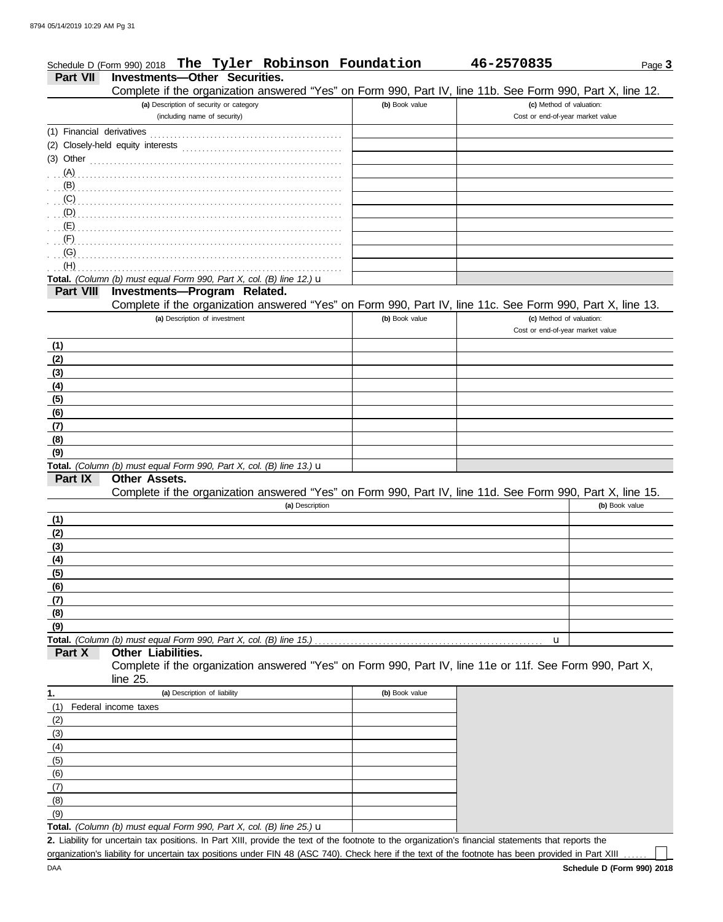|                  | Schedule D (Form 990) 2018 The Tyler Robinson Foundation                                                                                           |                | 46-2570835                       | Page 3         |
|------------------|----------------------------------------------------------------------------------------------------------------------------------------------------|----------------|----------------------------------|----------------|
| <b>Part VII</b>  | <b>Investments-Other Securities.</b><br>Complete if the organization answered "Yes" on Form 990, Part IV, line 11b. See Form 990, Part X, line 12. |                |                                  |                |
|                  | (a) Description of security or category                                                                                                            | (b) Book value | (c) Method of valuation:         |                |
|                  | (including name of security)                                                                                                                       |                | Cost or end-of-year market value |                |
|                  |                                                                                                                                                    |                |                                  |                |
|                  |                                                                                                                                                    |                |                                  |                |
|                  | $(3)$ Other $\ldots$ $\ldots$ $\ldots$ $\ldots$ $\ldots$ $\ldots$ $\ldots$ $\ldots$ $\ldots$ $\ldots$ $\ldots$                                     |                |                                  |                |
|                  |                                                                                                                                                    |                |                                  |                |
|                  | (B)                                                                                                                                                |                |                                  |                |
|                  |                                                                                                                                                    |                |                                  |                |
|                  |                                                                                                                                                    |                |                                  |                |
|                  |                                                                                                                                                    |                |                                  |                |
| (F)              |                                                                                                                                                    |                |                                  |                |
| (G)              |                                                                                                                                                    |                |                                  |                |
| (H)              |                                                                                                                                                    |                |                                  |                |
| <b>Part VIII</b> | Total. (Column (b) must equal Form 990, Part X, col. (B) line 12.) u<br>Investments-Program Related.                                               |                |                                  |                |
|                  | Complete if the organization answered "Yes" on Form 990, Part IV, line 11c. See Form 990, Part X, line 13.                                         |                |                                  |                |
|                  | (a) Description of investment                                                                                                                      | (b) Book value | (c) Method of valuation:         |                |
|                  |                                                                                                                                                    |                | Cost or end-of-year market value |                |
| (1)              |                                                                                                                                                    |                |                                  |                |
| (2)              |                                                                                                                                                    |                |                                  |                |
| (3)              |                                                                                                                                                    |                |                                  |                |
| (4)              |                                                                                                                                                    |                |                                  |                |
| (5)              |                                                                                                                                                    |                |                                  |                |
| (6)              |                                                                                                                                                    |                |                                  |                |
| (7)              |                                                                                                                                                    |                |                                  |                |
| (8)              |                                                                                                                                                    |                |                                  |                |
| (9)              |                                                                                                                                                    |                |                                  |                |
|                  | Total. (Column (b) must equal Form 990, Part X, col. (B) line 13.) u                                                                               |                |                                  |                |
| Part IX          | Other Assets.<br>Complete if the organization answered "Yes" on Form 990, Part IV, line 11d. See Form 990, Part X, line 15.                        |                |                                  |                |
|                  | (a) Description                                                                                                                                    |                |                                  | (b) Book value |
| (1)              |                                                                                                                                                    |                |                                  |                |
| (2)              |                                                                                                                                                    |                |                                  |                |
| (3)              |                                                                                                                                                    |                |                                  |                |
| (4)              |                                                                                                                                                    |                |                                  |                |
| (5)              |                                                                                                                                                    |                |                                  |                |
| (6)              |                                                                                                                                                    |                |                                  |                |
| (7)              |                                                                                                                                                    |                |                                  |                |
| (8)              |                                                                                                                                                    |                |                                  |                |
| (9)              |                                                                                                                                                    |                |                                  |                |
|                  | Total. (Column (b) must equal Form 990, Part X, col. (B) line 15.)                                                                                 |                | u                                |                |
| Part X           | Other Liabilities.                                                                                                                                 |                |                                  |                |
|                  | Complete if the organization answered "Yes" on Form 990, Part IV, line 11e or 11f. See Form 990, Part X,                                           |                |                                  |                |
|                  | line $25$ .                                                                                                                                        |                |                                  |                |
| 1.               | (a) Description of liability                                                                                                                       | (b) Book value |                                  |                |
| (1)              | Federal income taxes                                                                                                                               |                |                                  |                |
| (2)              |                                                                                                                                                    |                |                                  |                |
| (3)              |                                                                                                                                                    |                |                                  |                |
| (4)              |                                                                                                                                                    |                |                                  |                |
| (5)              |                                                                                                                                                    |                |                                  |                |
| (6)              |                                                                                                                                                    |                |                                  |                |
| (7)              |                                                                                                                                                    |                |                                  |                |
| (8)              |                                                                                                                                                    |                |                                  |                |
| (9)              |                                                                                                                                                    |                |                                  |                |
|                  | Total. (Column (b) must equal Form 990, Part X, col. (B) line 25.) u                                                                               |                |                                  |                |

Liability for uncertain tax positions. In Part XIII, provide the text of the footnote to the organization's financial statements that reports the **2.** organization's liability for uncertain tax positions under FIN 48 (ASC 740). Check here if the text of the footnote has been provided in Part XIII

 $\Box$ 

DAA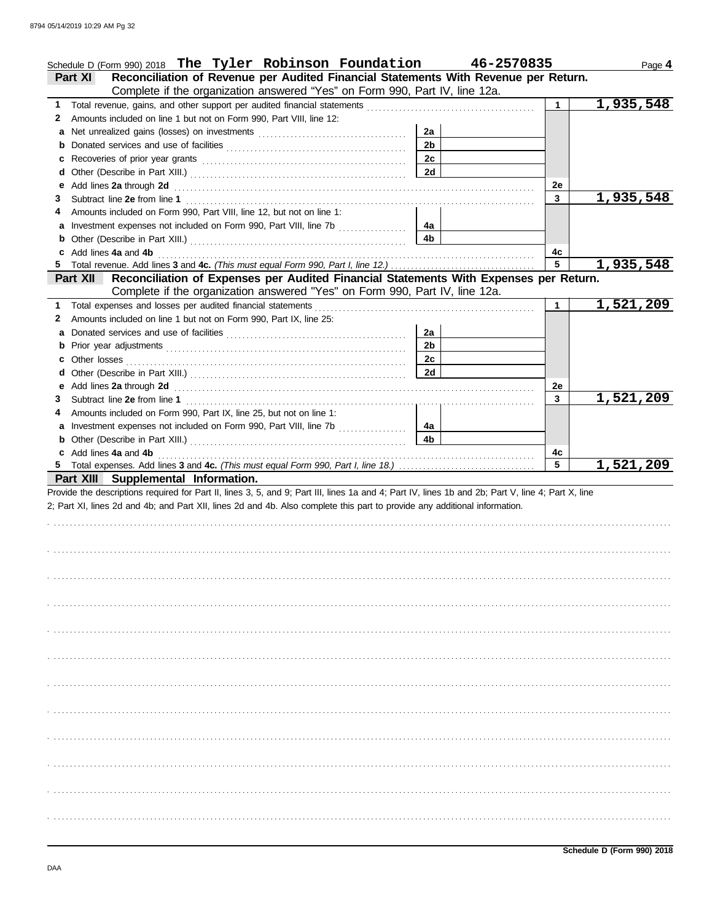|   | Schedule D (Form 990) 2018 The Tyler Robinson Foundation 46-2570835                                                                                                                                                                 |                |              | Page 4    |
|---|-------------------------------------------------------------------------------------------------------------------------------------------------------------------------------------------------------------------------------------|----------------|--------------|-----------|
|   | Reconciliation of Revenue per Audited Financial Statements With Revenue per Return.<br>Part XI<br>Complete if the organization answered "Yes" on Form 990, Part IV, line 12a.                                                       |                |              |           |
| 1 |                                                                                                                                                                                                                                     |                | 1.           | 1,935,548 |
| 2 | Amounts included on line 1 but not on Form 990, Part VIII, line 12:                                                                                                                                                                 |                |              |           |
|   |                                                                                                                                                                                                                                     | 2a             |              |           |
|   |                                                                                                                                                                                                                                     | 2 <sub>b</sub> |              |           |
|   |                                                                                                                                                                                                                                     | 2c             |              |           |
|   |                                                                                                                                                                                                                                     | 2d             |              |           |
|   |                                                                                                                                                                                                                                     |                | 2e           |           |
| 3 |                                                                                                                                                                                                                                     |                | 3            | 1,935,548 |
| 4 | Amounts included on Form 990, Part VIII, line 12, but not on line 1:                                                                                                                                                                |                |              |           |
|   | a Investment expenses not included on Form 990, Part VIII, line 7b                                                                                                                                                                  | 4a             |              |           |
|   |                                                                                                                                                                                                                                     | 4b             |              |           |
|   | c Add lines 4a and 4b <b>contract and 5</b> and 5 and 5 and 5 and 5 and 5 and 5 and 5 and 5 and 5 and 5 and 5 and 5 and 5 and 5 and 5 and 5 and 5 and 5 and 5 and 5 and 5 and 5 and 5 and 5 and 5 and 5 and 5 and 5 and 5 and 5 and |                | 4c           |           |
|   |                                                                                                                                                                                                                                     |                | 5            | 1,935,548 |
|   | Reconciliation of Expenses per Audited Financial Statements With Expenses per Return.<br><b>Part XII</b>                                                                                                                            |                |              |           |
|   | Complete if the organization answered "Yes" on Form 990, Part IV, line 12a.                                                                                                                                                         |                |              |           |
| 1 |                                                                                                                                                                                                                                     |                | $\mathbf{1}$ | 1,521,209 |
| 2 | Amounts included on line 1 but not on Form 990, Part IX, line 25:                                                                                                                                                                   |                |              |           |
|   |                                                                                                                                                                                                                                     | 2a             |              |           |
|   |                                                                                                                                                                                                                                     | 2 <sub>b</sub> |              |           |
|   |                                                                                                                                                                                                                                     | 2c             |              |           |
|   |                                                                                                                                                                                                                                     | 2d             |              |           |
|   |                                                                                                                                                                                                                                     |                | 2e           |           |
| 3 |                                                                                                                                                                                                                                     |                | 3            | 1,521,209 |
|   | Amounts included on Form 990, Part IX, line 25, but not on line 1:                                                                                                                                                                  |                |              |           |
|   | a Investment expenses not included on Form 990, Part VIII, line 7b                                                                                                                                                                  | 4a             |              |           |
|   |                                                                                                                                                                                                                                     |                |              |           |
|   |                                                                                                                                                                                                                                     | 4 <sub>b</sub> |              |           |
|   |                                                                                                                                                                                                                                     |                | 4c           |           |
|   | c Add lines 4a and 4b <b>contract and 5</b> and 5 and 5 and 5 and 5 and 5 and 5 and 5 and 5 and 5 and 5 and 5 and 5 and 5 and 5 and 5 and 5 and 5 and 5 and 5 and 5 and 5 and 5 and 5 and 5 and 5 and 5 and 5 and 5 and 5 and 5 and |                | 5            | 1,521,209 |
|   | Part XIII Supplemental Information.                                                                                                                                                                                                 |                |              |           |
|   | Provide the descriptions required for Part II, lines 3, 5, and 9; Part III, lines 1a and 4; Part IV, lines 1b and 2b; Part V, line 4; Part X, line                                                                                  |                |              |           |
|   | 2; Part XI, lines 2d and 4b; and Part XII, lines 2d and 4b. Also complete this part to provide any additional information.                                                                                                          |                |              |           |
|   |                                                                                                                                                                                                                                     |                |              |           |
|   |                                                                                                                                                                                                                                     |                |              |           |
|   |                                                                                                                                                                                                                                     |                |              |           |
|   |                                                                                                                                                                                                                                     |                |              |           |
|   |                                                                                                                                                                                                                                     |                |              |           |
|   |                                                                                                                                                                                                                                     |                |              |           |
|   |                                                                                                                                                                                                                                     |                |              |           |
|   |                                                                                                                                                                                                                                     |                |              |           |
|   |                                                                                                                                                                                                                                     |                |              |           |
|   |                                                                                                                                                                                                                                     |                |              |           |
|   |                                                                                                                                                                                                                                     |                |              |           |
|   |                                                                                                                                                                                                                                     |                |              |           |
|   |                                                                                                                                                                                                                                     |                |              |           |
|   |                                                                                                                                                                                                                                     |                |              |           |
|   |                                                                                                                                                                                                                                     |                |              |           |
|   |                                                                                                                                                                                                                                     |                |              |           |
|   |                                                                                                                                                                                                                                     |                |              |           |
|   |                                                                                                                                                                                                                                     |                |              |           |
|   |                                                                                                                                                                                                                                     |                |              |           |
|   |                                                                                                                                                                                                                                     |                |              |           |
|   |                                                                                                                                                                                                                                     |                |              |           |
|   |                                                                                                                                                                                                                                     |                |              |           |
|   |                                                                                                                                                                                                                                     |                |              |           |
|   |                                                                                                                                                                                                                                     |                |              |           |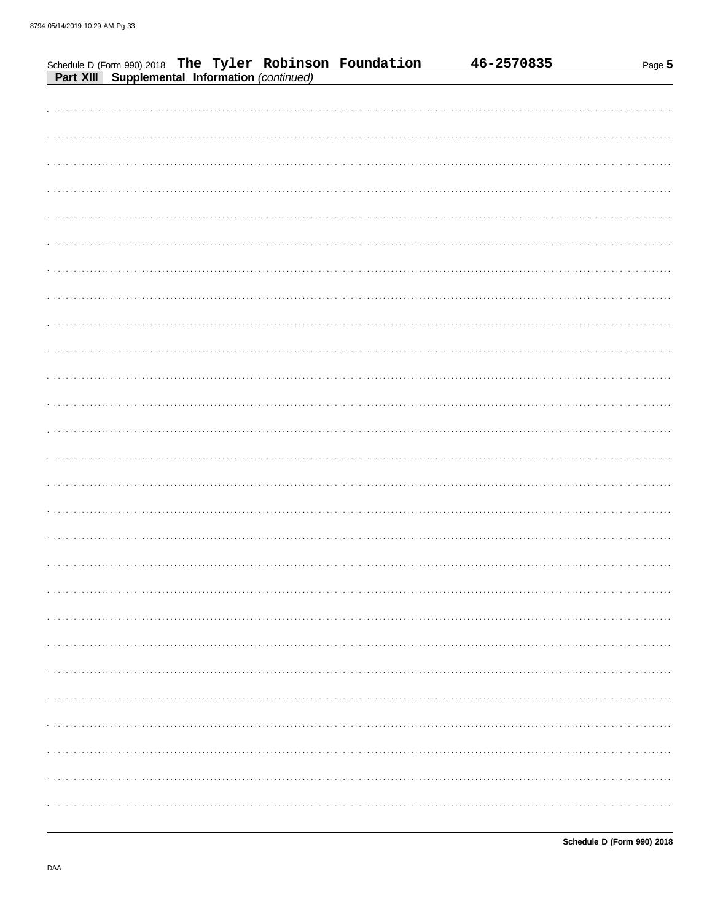|  |  | Schedule D (Form 990) 2018 The Tyler Robinson Foundation<br>Part XIII Supplemental Information (continued) | 46-2570835 | Page 5 |
|--|--|------------------------------------------------------------------------------------------------------------|------------|--------|
|  |  |                                                                                                            |            |        |
|  |  |                                                                                                            |            |        |
|  |  |                                                                                                            |            |        |
|  |  |                                                                                                            |            |        |
|  |  |                                                                                                            |            |        |
|  |  |                                                                                                            |            |        |
|  |  |                                                                                                            |            |        |
|  |  |                                                                                                            |            |        |
|  |  |                                                                                                            |            |        |
|  |  |                                                                                                            |            |        |
|  |  |                                                                                                            |            |        |
|  |  |                                                                                                            |            |        |
|  |  |                                                                                                            |            |        |
|  |  |                                                                                                            |            |        |
|  |  |                                                                                                            |            |        |
|  |  |                                                                                                            |            |        |
|  |  |                                                                                                            |            |        |
|  |  |                                                                                                            |            |        |
|  |  |                                                                                                            |            |        |
|  |  |                                                                                                            |            |        |
|  |  |                                                                                                            |            |        |
|  |  |                                                                                                            |            |        |
|  |  |                                                                                                            |            |        |
|  |  |                                                                                                            |            |        |
|  |  |                                                                                                            |            |        |
|  |  |                                                                                                            |            |        |
|  |  |                                                                                                            |            |        |
|  |  |                                                                                                            |            |        |
|  |  |                                                                                                            |            |        |
|  |  |                                                                                                            |            |        |
|  |  |                                                                                                            |            |        |
|  |  |                                                                                                            |            |        |
|  |  |                                                                                                            |            |        |
|  |  |                                                                                                            |            |        |
|  |  |                                                                                                            |            |        |
|  |  |                                                                                                            |            |        |
|  |  |                                                                                                            |            |        |
|  |  |                                                                                                            |            |        |
|  |  |                                                                                                            |            |        |
|  |  |                                                                                                            |            |        |
|  |  |                                                                                                            |            |        |
|  |  |                                                                                                            |            |        |
|  |  |                                                                                                            |            |        |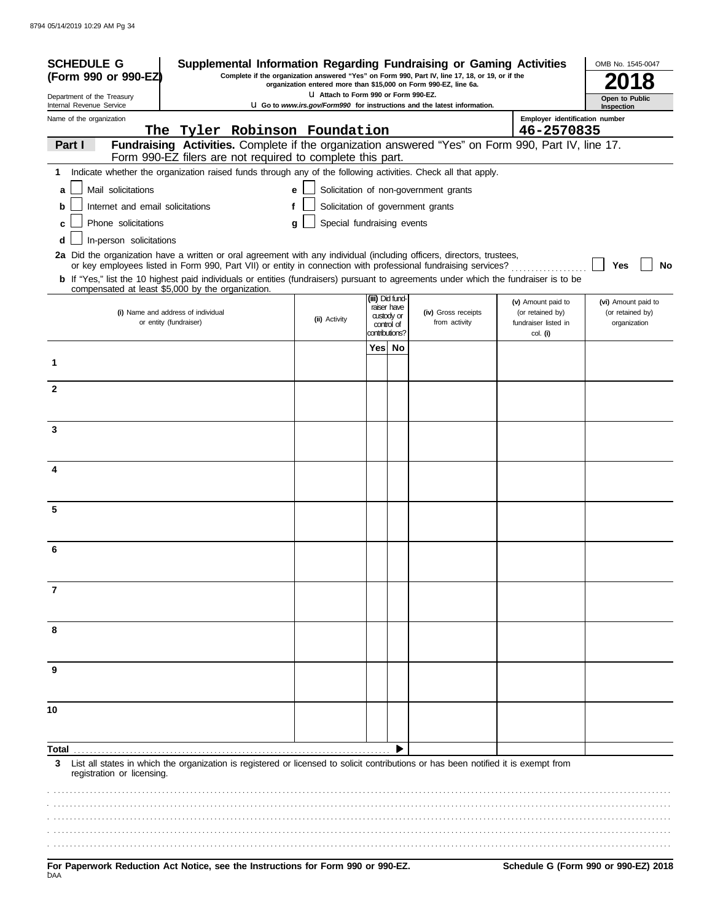| <b>SCHEDULE G</b>                                                                                                                                                                                                                        |                                                                                                                  |                 |             | Supplemental Information Regarding Fundraising or Gaming Activities                             |                                        | OMB No. 1545-0047                          |
|------------------------------------------------------------------------------------------------------------------------------------------------------------------------------------------------------------------------------------------|------------------------------------------------------------------------------------------------------------------|-----------------|-------------|-------------------------------------------------------------------------------------------------|----------------------------------------|--------------------------------------------|
| (Form 990 or 990-EZ)                                                                                                                                                                                                                     | organization entered more than \$15,000 on Form 990-EZ, line 6a.                                                 |                 |             | Complete if the organization answered "Yes" on Form 990, Part IV, line 17, 18, or 19, or if the |                                        |                                            |
| Department of the Treasury<br>Internal Revenue Service                                                                                                                                                                                   | U Attach to Form 990 or Form 990-EZ.<br>U Go to www.irs.gov/Form990 for instructions and the latest information. |                 |             |                                                                                                 |                                        | Open to Public<br>Inspection               |
| Name of the organization                                                                                                                                                                                                                 |                                                                                                                  |                 |             |                                                                                                 | Employer identification number         |                                            |
| The Tyler Robinson Foundation<br>Fundraising Activities. Complete if the organization answered "Yes" on Form 990, Part IV, line 17.<br>Part I                                                                                            |                                                                                                                  |                 |             |                                                                                                 | 46-2570835                             |                                            |
| Form 990-EZ filers are not required to complete this part.                                                                                                                                                                               |                                                                                                                  |                 |             |                                                                                                 |                                        |                                            |
| Indicate whether the organization raised funds through any of the following activities. Check all that apply.<br>1                                                                                                                       |                                                                                                                  |                 |             |                                                                                                 |                                        |                                            |
| Mail solicitations<br>a                                                                                                                                                                                                                  | e                                                                                                                |                 |             | Solicitation of non-government grants                                                           |                                        |                                            |
| Internet and email solicitations                                                                                                                                                                                                         | f                                                                                                                |                 |             | Solicitation of government grants                                                               |                                        |                                            |
| Phone solicitations<br>c                                                                                                                                                                                                                 | Special fundraising events<br>g                                                                                  |                 |             |                                                                                                 |                                        |                                            |
| In-person solicitations<br>d                                                                                                                                                                                                             |                                                                                                                  |                 |             |                                                                                                 |                                        |                                            |
| 2a Did the organization have a written or oral agreement with any individual (including officers, directors, trustees,<br>or key employees listed in Form 990, Part VII) or entity in connection with professional fundraising services? |                                                                                                                  |                 |             |                                                                                                 |                                        | Yes<br>No                                  |
| b If "Yes," list the 10 highest paid individuals or entities (fundraisers) pursuant to agreements under which the fundraiser is to be                                                                                                    |                                                                                                                  |                 |             |                                                                                                 |                                        |                                            |
| compensated at least \$5,000 by the organization.                                                                                                                                                                                        |                                                                                                                  | (iii) Did fund- |             |                                                                                                 |                                        |                                            |
| (i) Name and address of individual                                                                                                                                                                                                       |                                                                                                                  | custody or      | raiser have | (iv) Gross receipts                                                                             | (v) Amount paid to<br>(or retained by) | (vi) Amount paid to<br>(or retained by)    |
| or entity (fundraiser)                                                                                                                                                                                                                   | (ii) Activity                                                                                                    | contributions?  | control of  | from activity                                                                                   | fundraiser listed in<br>col. (i)       | organization                               |
|                                                                                                                                                                                                                                          |                                                                                                                  | Yes  No         |             |                                                                                                 |                                        |                                            |
| 1                                                                                                                                                                                                                                        |                                                                                                                  |                 |             |                                                                                                 |                                        |                                            |
|                                                                                                                                                                                                                                          |                                                                                                                  |                 |             |                                                                                                 |                                        |                                            |
| $\mathbf{2}$                                                                                                                                                                                                                             |                                                                                                                  |                 |             |                                                                                                 |                                        |                                            |
|                                                                                                                                                                                                                                          |                                                                                                                  |                 |             |                                                                                                 |                                        |                                            |
| 3                                                                                                                                                                                                                                        |                                                                                                                  |                 |             |                                                                                                 |                                        |                                            |
|                                                                                                                                                                                                                                          |                                                                                                                  |                 |             |                                                                                                 |                                        |                                            |
| 4                                                                                                                                                                                                                                        |                                                                                                                  |                 |             |                                                                                                 |                                        |                                            |
|                                                                                                                                                                                                                                          |                                                                                                                  |                 |             |                                                                                                 |                                        |                                            |
|                                                                                                                                                                                                                                          |                                                                                                                  |                 |             |                                                                                                 |                                        |                                            |
| 5                                                                                                                                                                                                                                        |                                                                                                                  |                 |             |                                                                                                 |                                        |                                            |
|                                                                                                                                                                                                                                          |                                                                                                                  |                 |             |                                                                                                 |                                        |                                            |
| 6                                                                                                                                                                                                                                        |                                                                                                                  |                 |             |                                                                                                 |                                        |                                            |
|                                                                                                                                                                                                                                          |                                                                                                                  |                 |             |                                                                                                 |                                        |                                            |
| 7                                                                                                                                                                                                                                        |                                                                                                                  |                 |             |                                                                                                 |                                        |                                            |
|                                                                                                                                                                                                                                          |                                                                                                                  |                 |             |                                                                                                 |                                        |                                            |
|                                                                                                                                                                                                                                          |                                                                                                                  |                 |             |                                                                                                 |                                        |                                            |
| 8                                                                                                                                                                                                                                        |                                                                                                                  |                 |             |                                                                                                 |                                        |                                            |
|                                                                                                                                                                                                                                          |                                                                                                                  |                 |             |                                                                                                 |                                        |                                            |
| 9                                                                                                                                                                                                                                        |                                                                                                                  |                 |             |                                                                                                 |                                        |                                            |
|                                                                                                                                                                                                                                          |                                                                                                                  |                 |             |                                                                                                 |                                        |                                            |
| 10                                                                                                                                                                                                                                       |                                                                                                                  |                 |             |                                                                                                 |                                        |                                            |
|                                                                                                                                                                                                                                          |                                                                                                                  |                 |             |                                                                                                 |                                        |                                            |
| Total                                                                                                                                                                                                                                    |                                                                                                                  |                 |             |                                                                                                 |                                        |                                            |
| List all states in which the organization is registered or licensed to solicit contributions or has been notified it is exempt from<br>3<br>registration or licensing.                                                                   |                                                                                                                  |                 |             |                                                                                                 |                                        |                                            |
|                                                                                                                                                                                                                                          |                                                                                                                  |                 |             |                                                                                                 |                                        |                                            |
|                                                                                                                                                                                                                                          |                                                                                                                  |                 |             |                                                                                                 |                                        |                                            |
|                                                                                                                                                                                                                                          |                                                                                                                  |                 |             |                                                                                                 |                                        |                                            |
|                                                                                                                                                                                                                                          |                                                                                                                  |                 |             |                                                                                                 |                                        |                                            |
| Department Deduction Act Notice and the Instructions for Ferm 000 or 000 F7                                                                                                                                                              |                                                                                                                  |                 |             |                                                                                                 |                                        | <b>Cohodule C (Ferm 000 or 000 EZ) 204</b> |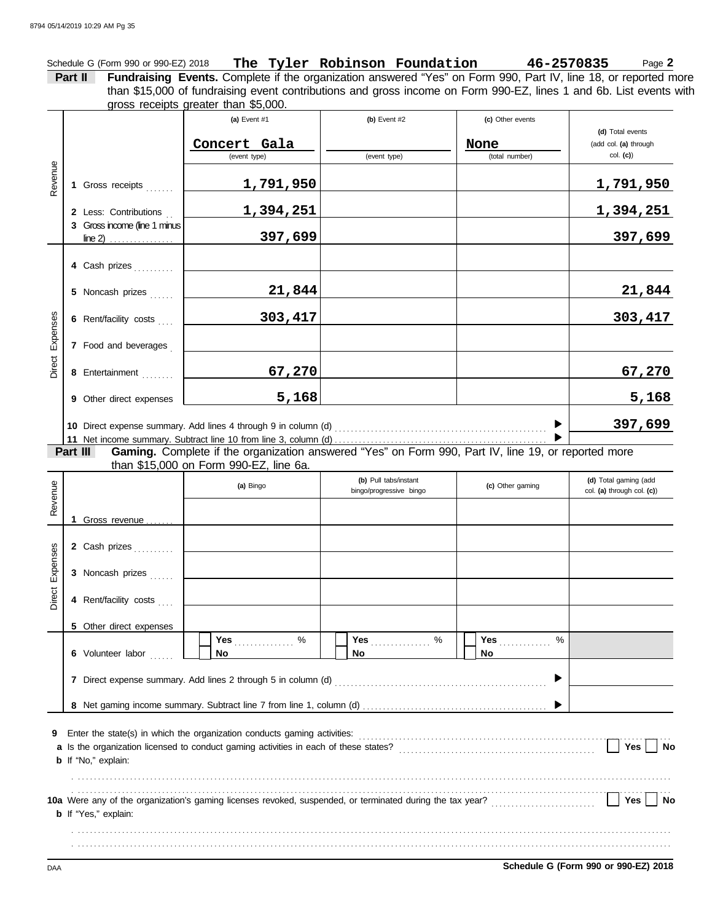Schedule G (Form 990 or 990-EZ) 2018 **The Tyler Robinson Foundation 46-2570835** Page **2 Part II Fundraising Events.** Complete if the organization answered "Yes" on Form 990, Part IV, line 18, or reported more gross receipts greater than \$5,000. **(a)** Event #1 **(b)** Event #2 **(c)** Other events **(d)** Total events (add col. **(a)** through than \$15,000 of fundraising event contributions and gross income on Form 990-EZ, lines 1 and 6b. List events with

|                 |                                                                | Concert Gala |              | None           | (add col. (a) through |
|-----------------|----------------------------------------------------------------|--------------|--------------|----------------|-----------------------|
|                 |                                                                | (event type) | (event type) | (total number) | $col.$ (c))           |
| Revenue         | 1 Gross receipts                                               | 1,791,950    |              |                | 1,791,950             |
|                 | 2 Less: Contributions                                          | 1,394,251    |              |                | 1,394,251             |
|                 | 3 Gross income (line 1 minus)<br>$line 2)$                     | 397,699      |              |                | 397,699               |
|                 | 4 Cash prizes                                                  |              |              |                |                       |
|                 | 5 Noncash prizes                                               | 21,844       |              |                | 21,844                |
|                 | 6 Rent/facility costs                                          | 303,417      |              |                | 303,417               |
| Direct Expenses | 7 Food and beverages                                           |              |              |                |                       |
|                 | 8 Entertainment                                                | 67,270       |              |                | 67,270                |
|                 | 9 Other direct expenses                                        | 5,168        |              |                | 5,168                 |
|                 | 10 Direct expense summary. Add lines 4 through 9 in column (d) | 397,699      |              |                |                       |
|                 |                                                                |              |              |                | $\sim$ $\sim$ $\sim$  |

**Gaming.** Complete if the organization answered "Yes" on Form 990, Part IV, line 19, or reported more than \$15,000 on Form 990-EZ, line 6a. **Part III**

| Revenue         |                                                                               | (a) Bingo                                                                | (b) Pull tabs/instant<br>bingo/progressive bingo | (c) Other gaming             | (d) Total gaming (add<br>col. (a) through col. (c)) |
|-----------------|-------------------------------------------------------------------------------|--------------------------------------------------------------------------|--------------------------------------------------|------------------------------|-----------------------------------------------------|
| Direct Expenses | 1 Gross revenue<br>2 Cash prizes<br>3 Noncash prizes<br>4 Rent/facility costs |                                                                          |                                                  |                              |                                                     |
|                 | 5 Other direct expenses<br>6 Volunteer labor<br>7                             | $\%$<br>No                                                               | Yes<br>$\%$<br>No                                | Yes $\frac{1}{2}$<br>%<br>No |                                                     |
| 9               | <b>b</b> If "No," explain:                                                    | Enter the state(s) in which the organization conducts gaming activities: |                                                  |                              | <b>Yes</b><br><b>No</b>                             |
|                 | <b>b</b> If "Yes," explain:                                                   |                                                                          |                                                  |                              | Yes<br><b>No</b>                                    |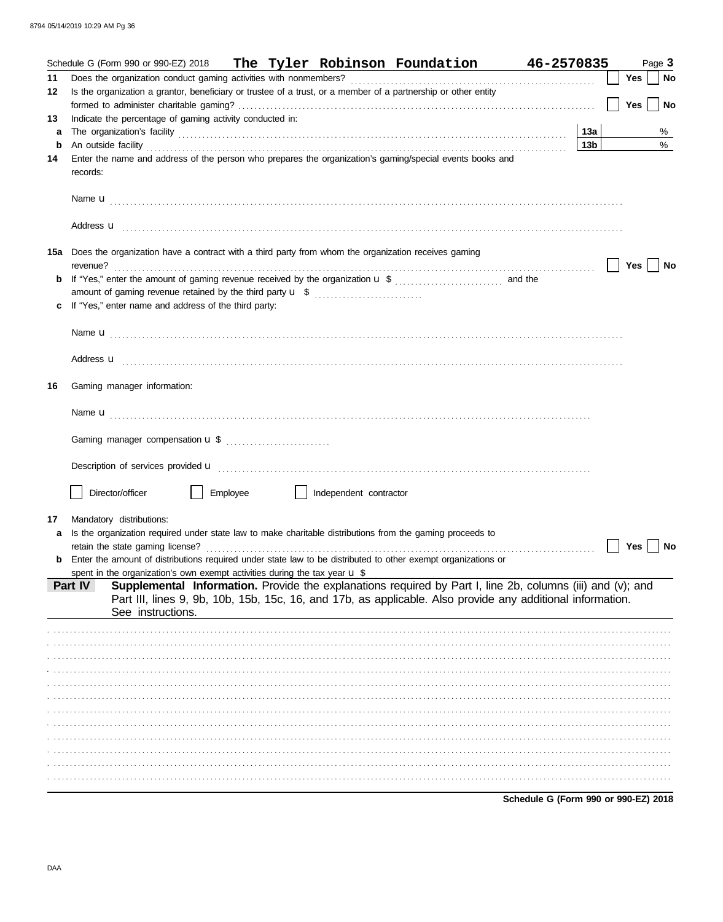|    | The Tyler Robinson Foundation 46-2570835<br>Schedule G (Form 990 or 990-EZ) 2018                                                                                                                                                   |                                      |            | Page 3    |
|----|------------------------------------------------------------------------------------------------------------------------------------------------------------------------------------------------------------------------------------|--------------------------------------|------------|-----------|
| 11 |                                                                                                                                                                                                                                    |                                      | <b>Yes</b> | <b>No</b> |
| 12 | Is the organization a grantor, beneficiary or trustee of a trust, or a member of a partnership or other entity                                                                                                                     |                                      |            |           |
|    |                                                                                                                                                                                                                                    |                                      | Yes        | No        |
| 13 | Indicate the percentage of gaming activity conducted in:                                                                                                                                                                           |                                      |            |           |
| a  |                                                                                                                                                                                                                                    | 13a                                  |            | %         |
| b  | An outside facility <i>contained a contained a contained a contained a contained a contained a contained a contained a</i>                                                                                                         | 13 <sub>b</sub>                      |            | $\%$      |
| 14 | Enter the name and address of the person who prepares the organization's gaming/special events books and<br>records:                                                                                                               |                                      |            |           |
|    |                                                                                                                                                                                                                                    |                                      |            |           |
|    |                                                                                                                                                                                                                                    |                                      |            |           |
|    | 15a Does the organization have a contract with a third party from whom the organization receives gaming<br>revenue?                                                                                                                |                                      | Yes        | No        |
| b  |                                                                                                                                                                                                                                    |                                      |            |           |
|    | amount of gaming revenue retained by the third party <b>u</b> \$                                                                                                                                                                   |                                      |            |           |
|    | If "Yes," enter name and address of the third party:                                                                                                                                                                               |                                      |            |           |
|    |                                                                                                                                                                                                                                    |                                      |            |           |
|    |                                                                                                                                                                                                                                    |                                      |            |           |
|    |                                                                                                                                                                                                                                    |                                      |            |           |
|    |                                                                                                                                                                                                                                    |                                      |            |           |
| 16 | Gaming manager information:                                                                                                                                                                                                        |                                      |            |           |
|    |                                                                                                                                                                                                                                    |                                      |            |           |
|    |                                                                                                                                                                                                                                    |                                      |            |           |
|    | Description of services provided <b>u</b> electron contains a constant of the service of the services of the services of the service of the services of the services of the services of the services of the service of the service |                                      |            |           |
|    |                                                                                                                                                                                                                                    |                                      |            |           |
|    | Director/officer<br>Employee<br>Independent contractor                                                                                                                                                                             |                                      |            |           |
|    |                                                                                                                                                                                                                                    |                                      |            |           |
| 17 | Mandatory distributions:                                                                                                                                                                                                           |                                      |            |           |
| a  | Is the organization required under state law to make charitable distributions from the gaming proceeds to                                                                                                                          |                                      |            |           |
|    | retain the state gaming license?<br>Enter the amount of distributions required under state law to be distributed to other exempt organizations or                                                                                  |                                      | Yes        | No        |
|    | spent in the organization's own exempt activities during the tax year $\cup$ \$                                                                                                                                                    |                                      |            |           |
|    | Supplemental Information. Provide the explanations required by Part I, line 2b, columns (iii) and (v); and<br>Part IV                                                                                                              |                                      |            |           |
|    | Part III, lines 9, 9b, 10b, 15b, 15c, 16, and 17b, as applicable. Also provide any additional information.                                                                                                                         |                                      |            |           |
|    | See instructions.                                                                                                                                                                                                                  |                                      |            |           |
|    |                                                                                                                                                                                                                                    |                                      |            |           |
|    |                                                                                                                                                                                                                                    |                                      |            |           |
|    |                                                                                                                                                                                                                                    |                                      |            |           |
|    |                                                                                                                                                                                                                                    |                                      |            |           |
|    |                                                                                                                                                                                                                                    |                                      |            |           |
|    |                                                                                                                                                                                                                                    |                                      |            |           |
|    |                                                                                                                                                                                                                                    |                                      |            |           |
|    |                                                                                                                                                                                                                                    |                                      |            |           |
|    |                                                                                                                                                                                                                                    |                                      |            |           |
|    |                                                                                                                                                                                                                                    |                                      |            |           |
|    |                                                                                                                                                                                                                                    |                                      |            |           |
|    |                                                                                                                                                                                                                                    |                                      |            |           |
|    |                                                                                                                                                                                                                                    | Schedule G (Form 990 or 990-EZ) 2018 |            |           |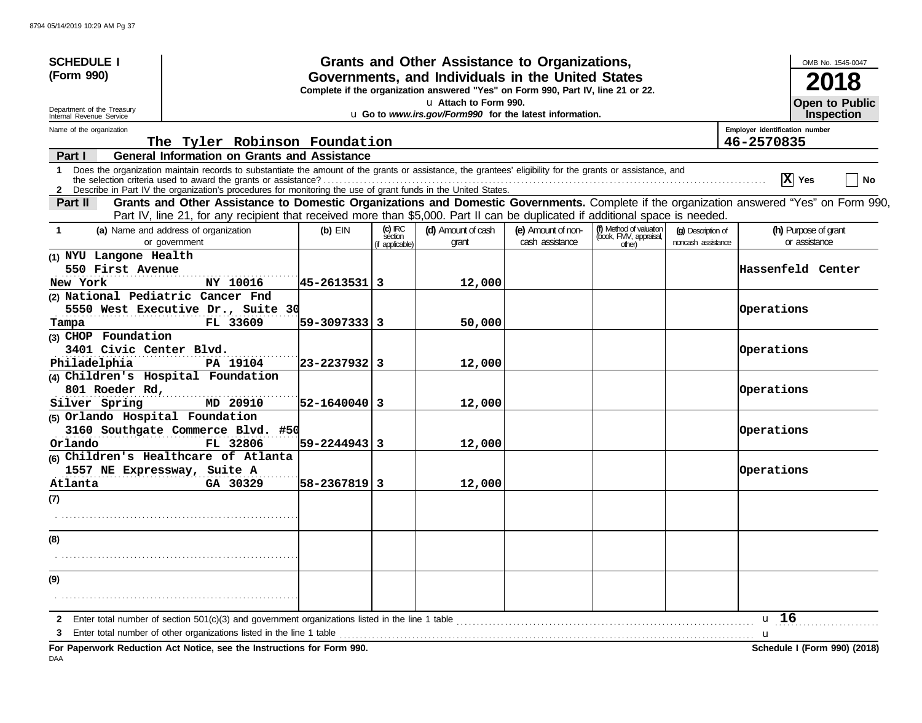| <b>SCHEDULE I</b>                                      |                                                                                                                                                                                                                                                                               |                    |                                         | Grants and Other Assistance to Organizations,                                                                                         |                                       |                                                             |                                          |                                | OMB No. 1545-0047                     |
|--------------------------------------------------------|-------------------------------------------------------------------------------------------------------------------------------------------------------------------------------------------------------------------------------------------------------------------------------|--------------------|-----------------------------------------|---------------------------------------------------------------------------------------------------------------------------------------|---------------------------------------|-------------------------------------------------------------|------------------------------------------|--------------------------------|---------------------------------------|
| (Form 990)                                             |                                                                                                                                                                                                                                                                               |                    |                                         | Governments, and Individuals in the United States<br>Complete if the organization answered "Yes" on Form 990, Part IV, line 21 or 22. |                                       |                                                             |                                          |                                |                                       |
| Department of the Treasury<br>Internal Revenue Service |                                                                                                                                                                                                                                                                               |                    |                                         | Lattach to Form 990.<br>u Go to www.irs.gov/Form990 for the latest information.                                                       |                                       |                                                             |                                          |                                | <b>Open to Public</b><br>Inspection   |
| Name of the organization                               |                                                                                                                                                                                                                                                                               |                    |                                         |                                                                                                                                       |                                       |                                                             |                                          | Employer identification number |                                       |
|                                                        | The Tyler Robinson Foundation                                                                                                                                                                                                                                                 |                    |                                         |                                                                                                                                       |                                       |                                                             |                                          | 46-2570835                     |                                       |
| Part I                                                 | <b>General Information on Grants and Assistance</b>                                                                                                                                                                                                                           |                    |                                         |                                                                                                                                       |                                       |                                                             |                                          |                                |                                       |
| 1                                                      | Does the organization maintain records to substantiate the amount of the grants or assistance, the grantees' eligibility for the grants or assistance, and<br>2 Describe in Part IV the organization's procedures for monitoring the use of grant funds in the United States. |                    |                                         |                                                                                                                                       |                                       |                                                             |                                          | $ \mathbf{x} $                 | Yes<br>No                             |
| Part II                                                | Grants and Other Assistance to Domestic Organizations and Domestic Governments. Complete if the organization answered "Yes" on Form 990,<br>Part IV, line 21, for any recipient that received more than \$5,000. Part II can be duplicated if additional space is needed.     |                    |                                         |                                                                                                                                       |                                       |                                                             |                                          |                                |                                       |
| -1                                                     | (a) Name and address of organization<br>or government                                                                                                                                                                                                                         | $(b)$ EIN          | $(c)$ IRC<br>séction<br>(if applicable) | (d) Amount of cash<br>grant                                                                                                           | (e) Amount of non-<br>cash assistance | (f) Method of valuation<br>(book, FMV, appraisal,<br>other) | (g) Description of<br>noncash assistance |                                | (h) Purpose of grant<br>or assistance |
| (1) NYU Langone Health                                 |                                                                                                                                                                                                                                                                               |                    |                                         |                                                                                                                                       |                                       |                                                             |                                          |                                |                                       |
| 550 First Avenue<br>New York                           | NY 10016                                                                                                                                                                                                                                                                      | 45-2613531 3       |                                         | 12,000                                                                                                                                |                                       |                                                             |                                          |                                | Hassenfeld Center                     |
|                                                        | (2) National Pediatric Cancer Fnd                                                                                                                                                                                                                                             |                    |                                         |                                                                                                                                       |                                       |                                                             |                                          |                                |                                       |
|                                                        | 5550 West Executive Dr., Suite 30                                                                                                                                                                                                                                             |                    |                                         |                                                                                                                                       |                                       |                                                             |                                          | Operations                     |                                       |
| Tampa                                                  | FL 33609                                                                                                                                                                                                                                                                      | $ 59 - 3097333 $ 3 |                                         | 50,000                                                                                                                                |                                       |                                                             |                                          |                                |                                       |
| (3) CHOP Foundation                                    |                                                                                                                                                                                                                                                                               |                    |                                         |                                                                                                                                       |                                       |                                                             |                                          |                                |                                       |
| 3401 Civic Center Blvd.                                |                                                                                                                                                                                                                                                                               |                    |                                         |                                                                                                                                       |                                       |                                                             |                                          | Operations                     |                                       |
| Philadelphia                                           | PA 19104                                                                                                                                                                                                                                                                      | $ 23 - 2237932 $ 3 |                                         | 12,000                                                                                                                                |                                       |                                                             |                                          |                                |                                       |
|                                                        | (4) Children's Hospital Foundation                                                                                                                                                                                                                                            |                    |                                         |                                                                                                                                       |                                       |                                                             |                                          |                                |                                       |
| 801 Roeder Rd,                                         |                                                                                                                                                                                                                                                                               |                    |                                         |                                                                                                                                       |                                       |                                                             |                                          | Operations                     |                                       |
| Silver Spring                                          | MD 20910                                                                                                                                                                                                                                                                      | $ 52 - 1640040 $ 3 |                                         | 12,000                                                                                                                                |                                       |                                                             |                                          |                                |                                       |
| (5) Orlando Hospital Foundation                        |                                                                                                                                                                                                                                                                               |                    |                                         |                                                                                                                                       |                                       |                                                             |                                          |                                |                                       |
|                                                        | 3160 Southgate Commerce Blvd. #50                                                                                                                                                                                                                                             |                    |                                         |                                                                                                                                       |                                       |                                                             |                                          | Operations                     |                                       |
| Orlando                                                | FL 32806                                                                                                                                                                                                                                                                      | $ 59 - 2244943 $   |                                         | 12,000                                                                                                                                |                                       |                                                             |                                          |                                |                                       |
|                                                        | (6) Children's Healthcare of Atlanta                                                                                                                                                                                                                                          |                    |                                         |                                                                                                                                       |                                       |                                                             |                                          | Operations                     |                                       |
| Atlanta                                                | 1557 NE Expressway, Suite A<br>GA 30329                                                                                                                                                                                                                                       | 58-2367819 3       |                                         | 12,000                                                                                                                                |                                       |                                                             |                                          |                                |                                       |
|                                                        |                                                                                                                                                                                                                                                                               |                    |                                         |                                                                                                                                       |                                       |                                                             |                                          |                                |                                       |
| (7)                                                    |                                                                                                                                                                                                                                                                               |                    |                                         |                                                                                                                                       |                                       |                                                             |                                          |                                |                                       |
|                                                        |                                                                                                                                                                                                                                                                               |                    |                                         |                                                                                                                                       |                                       |                                                             |                                          |                                |                                       |
| (8)                                                    |                                                                                                                                                                                                                                                                               |                    |                                         |                                                                                                                                       |                                       |                                                             |                                          |                                |                                       |
|                                                        |                                                                                                                                                                                                                                                                               |                    |                                         |                                                                                                                                       |                                       |                                                             |                                          |                                |                                       |
| (9)                                                    |                                                                                                                                                                                                                                                                               |                    |                                         |                                                                                                                                       |                                       |                                                             |                                          |                                |                                       |
|                                                        |                                                                                                                                                                                                                                                                               |                    |                                         |                                                                                                                                       |                                       |                                                             |                                          |                                |                                       |
|                                                        | Enter total number of section 501(c)(3) and government organizations listed in the line 1 table<br>Enter total number of other organizations listed in the line 1 table                                                                                                       |                    |                                         |                                                                                                                                       |                                       |                                                             |                                          | u <sub>16</sub>                |                                       |
|                                                        |                                                                                                                                                                                                                                                                               |                    |                                         |                                                                                                                                       |                                       |                                                             |                                          | u                              | Schedule I (Form 990) (2018)          |
|                                                        | For Paperwork Reduction Act Notice, see the Instructions for Form 990.                                                                                                                                                                                                        |                    |                                         |                                                                                                                                       |                                       |                                                             |                                          |                                |                                       |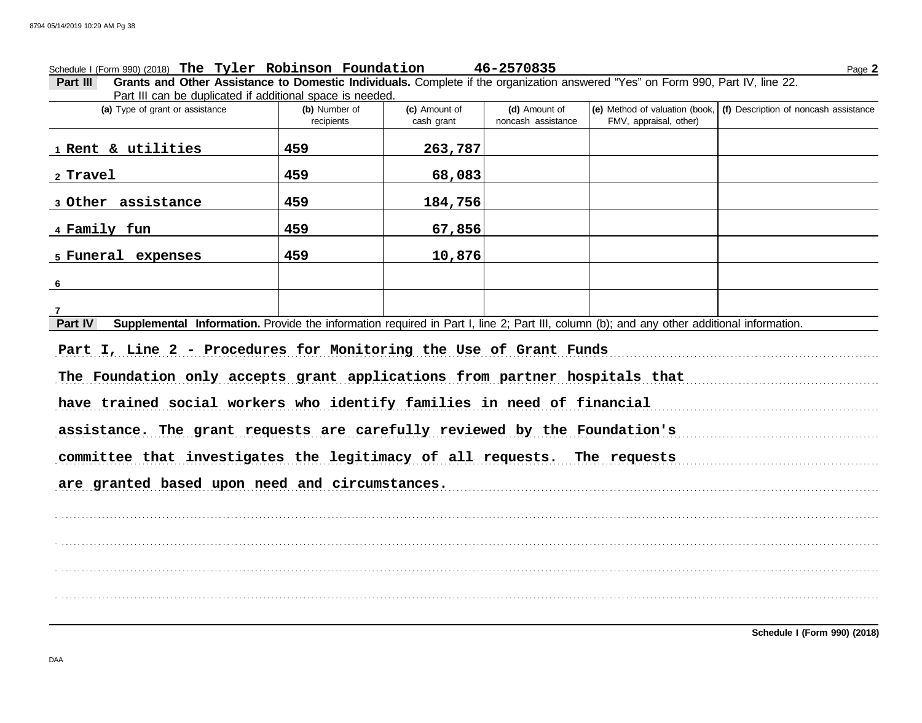#### Schedule I (Form 990) (2018) Page **2 The Tyler Robinson Foundation 46-2570835**

**Part III Grants and Other Assistance to Domestic Individuals.** Complete if the organization answered "Yes" on Form 990, Part IV, line 22. Part III can be duplicated if additional space is needed.

| r art in oan bo aaplicatou il additional opaco lo hoodod.<br>(a) Type of grant or assistance                                                         | (b) Number of<br>recipients | (c) Amount of<br>cash grant | (d) Amount of<br>noncash assistance | FMV, appraisal, other) | (e) Method of valuation (book,   (f) Description of noncash assistance |
|------------------------------------------------------------------------------------------------------------------------------------------------------|-----------------------------|-----------------------------|-------------------------------------|------------------------|------------------------------------------------------------------------|
| 1 Rent & utilities                                                                                                                                   | 459                         | 263,787                     |                                     |                        |                                                                        |
| 2 Travel                                                                                                                                             | 459                         | 68,083                      |                                     |                        |                                                                        |
| 3 Other assistance                                                                                                                                   | 459                         | 184,756                     |                                     |                        |                                                                        |
| 4 Family fun                                                                                                                                         | 459                         | 67,856                      |                                     |                        |                                                                        |
| 5 Funeral expenses                                                                                                                                   | 459                         | 10,876                      |                                     |                        |                                                                        |
| 6                                                                                                                                                    |                             |                             |                                     |                        |                                                                        |
|                                                                                                                                                      |                             |                             |                                     |                        |                                                                        |
| Supplemental Information. Provide the information required in Part I, line 2; Part III, column (b); and any other additional information.<br>Part IV |                             |                             |                                     |                        |                                                                        |
| Part I, Line 2 - Procedures for Monitoring the Use of Grant Funds                                                                                    |                             |                             |                                     |                        |                                                                        |
| The Foundation only accepts grant applications from partner hospitals that                                                                           |                             |                             |                                     |                        |                                                                        |
| have trained social workers who identify families in need of financial                                                                               |                             |                             |                                     |                        |                                                                        |
| assistance. The grant requests are carefully reviewed by the Foundation's                                                                            |                             |                             |                                     |                        |                                                                        |
| committee that investigates the legitimacy of all requests. The requests                                                                             |                             |                             |                                     |                        |                                                                        |
| are granted based upon need and circumstances.                                                                                                       |                             |                             |                                     |                        |                                                                        |
|                                                                                                                                                      |                             |                             |                                     |                        |                                                                        |
|                                                                                                                                                      |                             |                             |                                     |                        |                                                                        |
|                                                                                                                                                      |                             |                             |                                     |                        |                                                                        |
|                                                                                                                                                      |                             |                             |                                     |                        |                                                                        |
|                                                                                                                                                      |                             |                             |                                     |                        |                                                                        |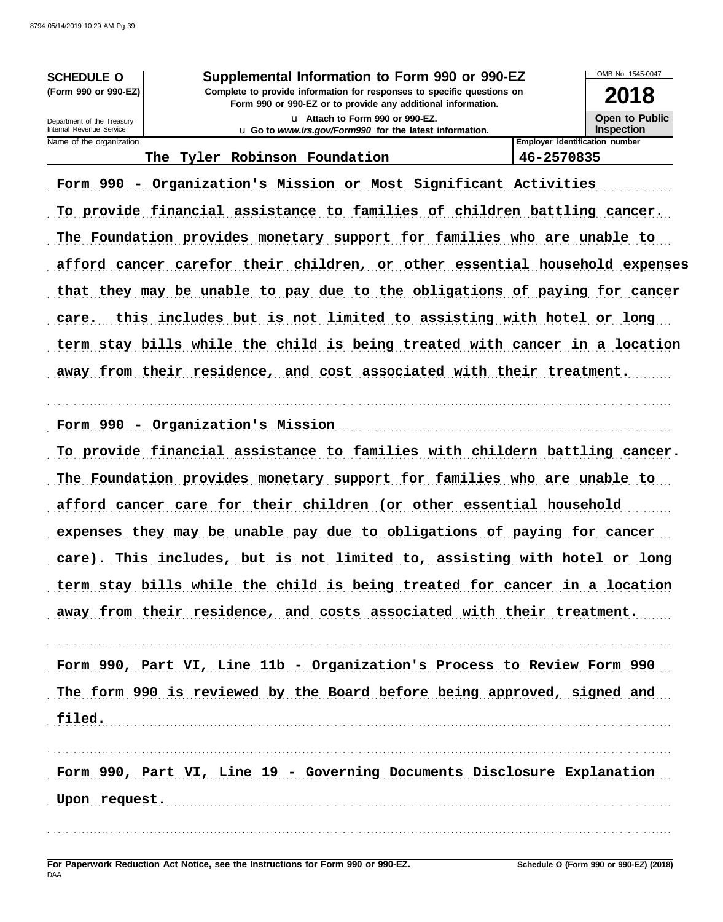| <b>SCHEDULE O</b>    |  |
|----------------------|--|
| (Form 990 or 990-EZ) |  |

Department of the Treasury Internal Revenue Service Name of the organization

filed.

Supplemental Information to Form 990 or 990-EZ Complete to provide information for responses to specific questions on

Form 990 or 990-EZ or to provide any additional information.

U Attach to Form 990 or 990-EZ. u Go to www.irs.gov/Form990 for the latest information.



**Employer identification number** 46-2570835

#### The Tyler Robinson Foundation

Form 990 - Organization's Mission or Most Significant Activities To provide financial assistance to families of children battling cancer. The Foundation provides monetary support for families who are unable to afford cancer carefor their children, or other essential household expenses that they may be unable to pay due to the obligations of paying for cancer care. this includes but is not limited to assisting with hotel or long term stay bills while the child is being treated with cancer in a location away from their residence, and cost associated with their treatment.

Form 990 - Organization's Mission

To provide financial assistance to families with childern battling cancer. The Foundation provides monetary support for families who are unable to afford cancer care for their children (or other essential household expenses they may be unable pay due to obligations of paying for cancer care). This includes, but is not limited to, assisting with hotel or long term stay bills while the child is being treated for cancer in a location away from their residence, and costs associated with their treatment.

Form 990, Part VI, Line 11b - Organization's Process to Review Form 990 The form 990 is reviewed by the Board before being approved, signed and

Form 990, Part VI, Line 19 - Governing Documents Disclosure Explanation Upon request.